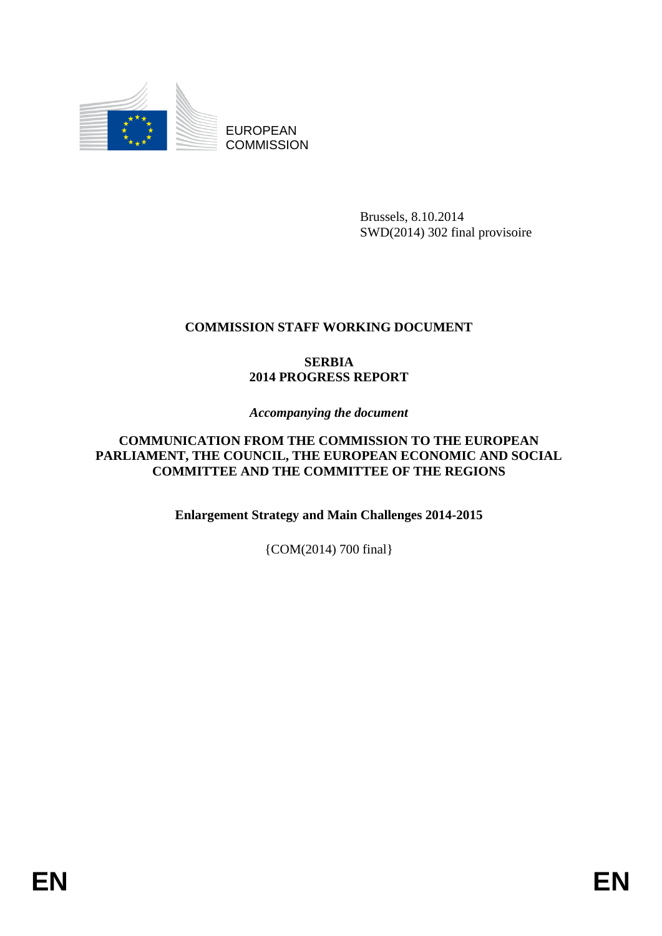

EUROPEAN **COMMISSION** 

> Brussels, 8.10.2014 SWD(2014) 302 final provisoire

## **COMMISSION STAFF WORKING DOCUMENT**

### **SERBIA 2014 PROGRESS REPORT**

### *Accompanying the document*

### **COMMUNICATION FROM THE COMMISSION TO THE EUROPEAN PARLIAMENT, THE COUNCIL, THE EUROPEAN ECONOMIC AND SOCIAL COMMITTEE AND THE COMMITTEE OF THE REGIONS**

**Enlargement Strategy and Main Challenges 2014-2015**

{COM(2014) 700 final}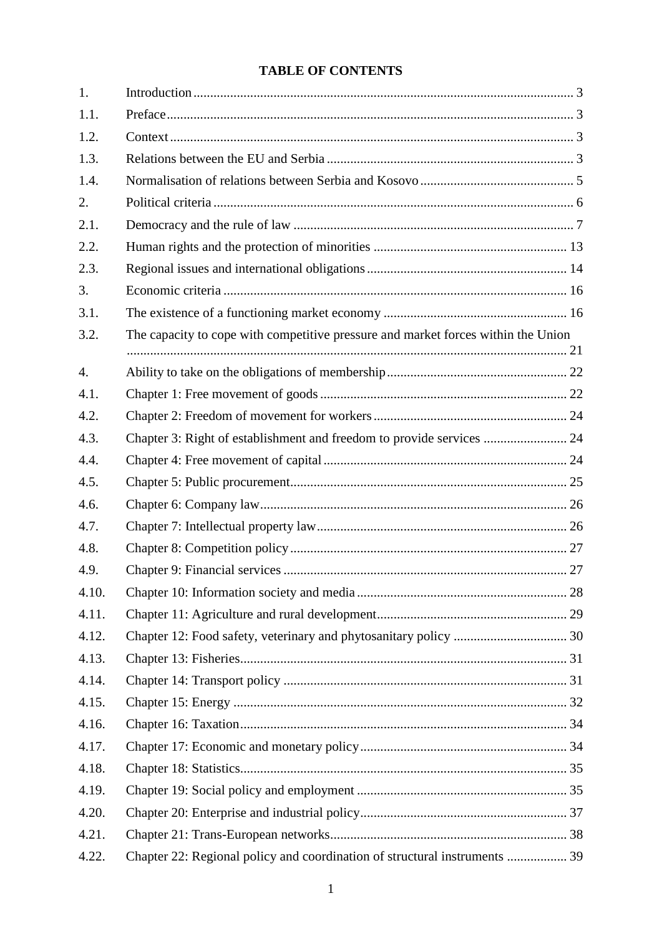# **TABLE OF CONTENTS**

| 1.               |                                                                                   |  |
|------------------|-----------------------------------------------------------------------------------|--|
| 1.1.             |                                                                                   |  |
| 1.2.             |                                                                                   |  |
| 1.3.             |                                                                                   |  |
| 1.4.             |                                                                                   |  |
| 2.               |                                                                                   |  |
| 2.1.             |                                                                                   |  |
| 2.2.             |                                                                                   |  |
| 2.3.             |                                                                                   |  |
| 3.               |                                                                                   |  |
| 3.1.             |                                                                                   |  |
| 3.2.             | The capacity to cope with competitive pressure and market forces within the Union |  |
| $\overline{4}$ . |                                                                                   |  |
| 4.1.             |                                                                                   |  |
| 4.2.             |                                                                                   |  |
| 4.3.             | Chapter 3: Right of establishment and freedom to provide services  24             |  |
| 4.4.             |                                                                                   |  |
| 4.5.             |                                                                                   |  |
| 4.6.             |                                                                                   |  |
| 4.7.             |                                                                                   |  |
| 4.8.             |                                                                                   |  |
| 4.9.             |                                                                                   |  |
| 4.10.            |                                                                                   |  |
| 4.11.            |                                                                                   |  |
| 4.12.            |                                                                                   |  |
| 4.13.            |                                                                                   |  |
| 4.14.            |                                                                                   |  |
| 4.15.            |                                                                                   |  |
| 4.16.            |                                                                                   |  |
| 4.17.            |                                                                                   |  |
| 4.18.            |                                                                                   |  |
| 4.19.            |                                                                                   |  |
| 4.20.            |                                                                                   |  |
| 4.21.            |                                                                                   |  |
| 4.22.            | Chapter 22: Regional policy and coordination of structural instruments  39        |  |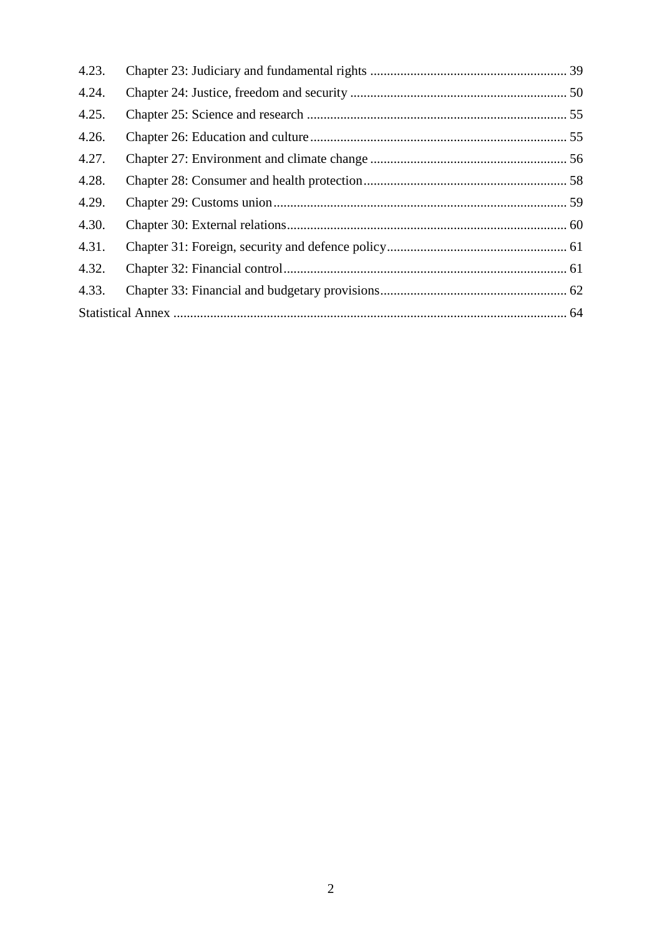| 4.23. |  |
|-------|--|
| 4.24. |  |
| 4.25. |  |
| 4.26. |  |
| 4.27. |  |
| 4.28. |  |
| 4.29. |  |
| 4.30. |  |
| 4.31. |  |
| 4.32. |  |
| 4.33. |  |
|       |  |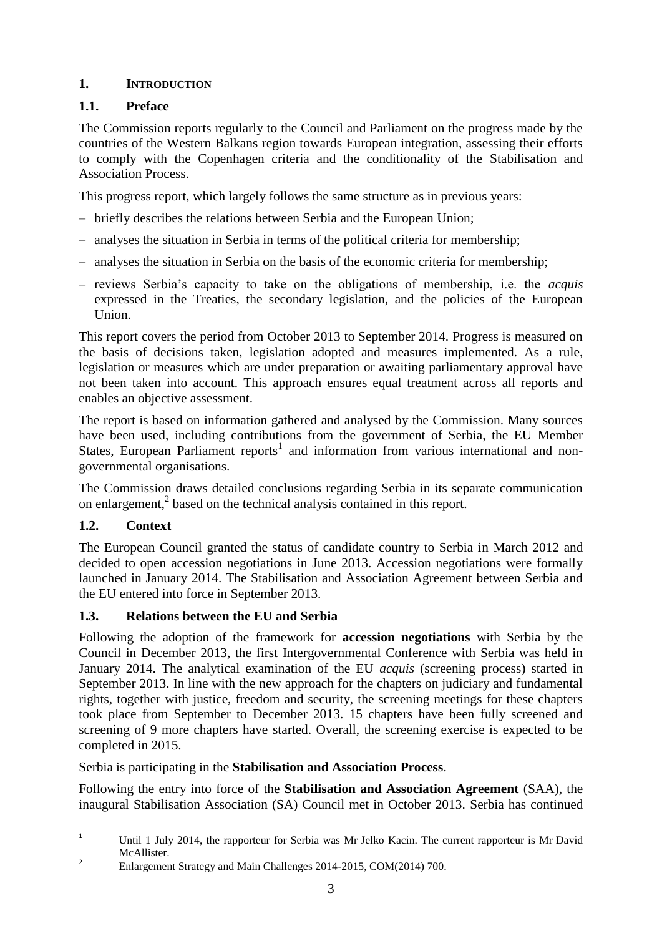### <span id="page-3-0"></span>**1. INTRODUCTION**

## <span id="page-3-1"></span>**1.1. Preface**

The Commission reports regularly to the Council and Parliament on the progress made by the countries of the Western Balkans region towards European integration, assessing their efforts to comply with the Copenhagen criteria and the conditionality of the Stabilisation and Association Process.

This progress report, which largely follows the same structure as in previous years:

- briefly describes the relations between Serbia and the European Union;
- analyses the situation in Serbia in terms of the political criteria for membership;
- analyses the situation in Serbia on the basis of the economic criteria for membership;
- reviews Serbia's capacity to take on the obligations of membership, i.e. the *acquis*  expressed in the Treaties, the secondary legislation, and the policies of the European Union.

This report covers the period from October 2013 to September 2014. Progress is measured on the basis of decisions taken, legislation adopted and measures implemented. As a rule, legislation or measures which are under preparation or awaiting parliamentary approval have not been taken into account. This approach ensures equal treatment across all reports and enables an objective assessment.

The report is based on information gathered and analysed by the Commission. Many sources have been used, including contributions from the government of Serbia, the EU Member States, European Parliament reports<sup>1</sup> and information from various international and nongovernmental organisations.

The Commission draws detailed conclusions regarding Serbia in its separate communication on enlargement, 2 based on the technical analysis contained in this report.

# <span id="page-3-2"></span>**1.2. Context**

The European Council granted the status of candidate country to Serbia in March 2012 and decided to open accession negotiations in June 2013. Accession negotiations were formally launched in January 2014. The Stabilisation and Association Agreement between Serbia and the EU entered into force in September 2013.

# <span id="page-3-3"></span>**1.3. Relations between the EU and Serbia**

Following the adoption of the framework for **accession negotiations** with Serbia by the Council in December 2013, the first Intergovernmental Conference with Serbia was held in January 2014. The analytical examination of the EU *acquis* (screening process) started in September 2013. In line with the new approach for the chapters on judiciary and fundamental rights, together with justice, freedom and security, the screening meetings for these chapters took place from September to December 2013. 15 chapters have been fully screened and screening of 9 more chapters have started. Overall, the screening exercise is expected to be completed in 2015.

Serbia is participating in the **Stabilisation and Association Process**.

Following the entry into force of the **Stabilisation and Association Agreement** (SAA), the inaugural Stabilisation Association (SA) Council met in October 2013. Serbia has continued

 $\overline{1}$ Until 1 July 2014, the rapporteur for Serbia was Mr Jelko Kacin. The current rapporteur is Mr David McAllister.

<sup>2</sup> Enlargement Strategy and Main Challenges 2014-2015, COM(2014) 700.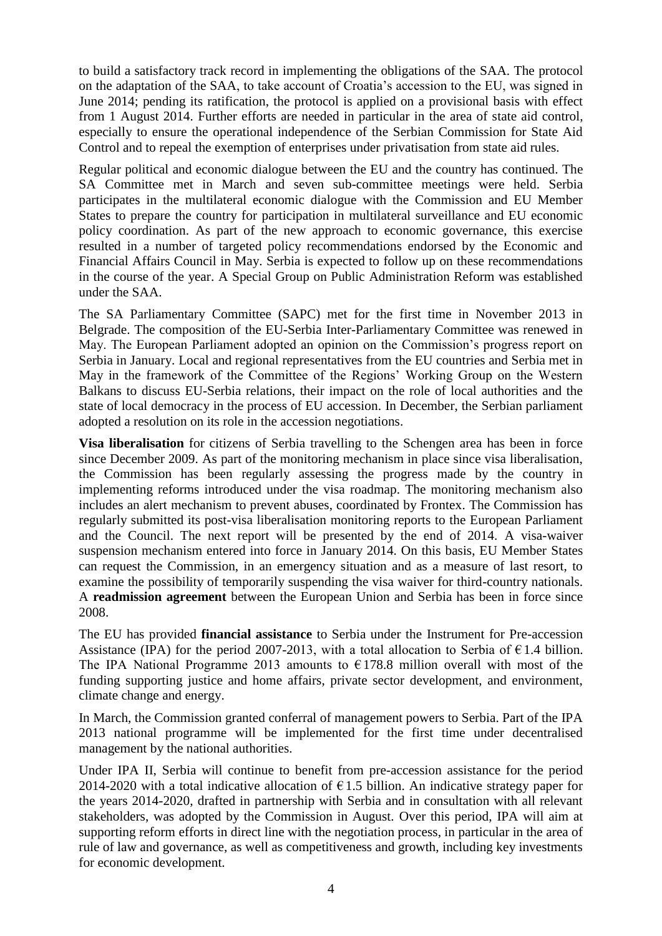to build a satisfactory track record in implementing the obligations of the SAA. The protocol on the adaptation of the SAA, to take account of Croatia's accession to the EU, was signed in June 2014; pending its ratification, the protocol is applied on a provisional basis with effect from 1 August 2014. Further efforts are needed in particular in the area of state aid control, especially to ensure the operational independence of the Serbian Commission for State Aid Control and to repeal the exemption of enterprises under privatisation from state aid rules.

Regular political and economic dialogue between the EU and the country has continued. The SA Committee met in March and seven sub-committee meetings were held. Serbia participates in the multilateral economic dialogue with the Commission and EU Member States to prepare the country for participation in multilateral surveillance and EU economic policy coordination. As part of the new approach to economic governance, this exercise resulted in a number of targeted policy recommendations endorsed by the Economic and Financial Affairs Council in May. Serbia is expected to follow up on these recommendations in the course of the year. A Special Group on Public Administration Reform was established under the SAA.

The SA Parliamentary Committee (SAPC) met for the first time in November 2013 in Belgrade. The composition of the EU-Serbia Inter-Parliamentary Committee was renewed in May. The European Parliament adopted an opinion on the Commission's progress report on Serbia in January. Local and regional representatives from the EU countries and Serbia met in May in the framework of the Committee of the Regions' Working Group on the Western Balkans to discuss EU-Serbia relations, their impact on the role of local authorities and the state of local democracy in the process of EU accession. In December, the Serbian parliament adopted a resolution on its role in the accession negotiations.

**Visa liberalisation** for citizens of Serbia travelling to the Schengen area has been in force since December 2009. As part of the monitoring mechanism in place since visa liberalisation, the Commission has been regularly assessing the progress made by the country in implementing reforms introduced under the visa roadmap. The monitoring mechanism also includes an alert mechanism to prevent abuses, coordinated by Frontex. The Commission has regularly submitted its post-visa liberalisation monitoring reports to the European Parliament and the Council. The next report will be presented by the end of 2014. A visa-waiver suspension mechanism entered into force in January 2014. On this basis, EU Member States can request the Commission, in an emergency situation and as a measure of last resort, to examine the possibility of temporarily suspending the visa waiver for third-country nationals. A **readmission agreement** between the European Union and Serbia has been in force since 2008.

The EU has provided **financial assistance** to Serbia under the Instrument for Pre-accession Assistance (IPA) for the period 2007-2013, with a total allocation to Serbia of  $\epsilon$ 1.4 billion. The IPA National Programme 2013 amounts to  $\epsilon$ 178.8 million overall with most of the funding supporting justice and home affairs, private sector development, and environment, climate change and energy.

In March, the Commission granted conferral of management powers to Serbia. Part of the IPA 2013 national programme will be implemented for the first time under decentralised management by the national authorities.

Under IPA II, Serbia will continue to benefit from pre-accession assistance for the period 2014-2020 with a total indicative allocation of  $\epsilon$ 1.5 billion. An indicative strategy paper for the years 2014-2020, drafted in partnership with Serbia and in consultation with all relevant stakeholders, was adopted by the Commission in August*.* Over this period, IPA will aim at supporting reform efforts in direct line with the negotiation process, in particular in the area of rule of law and governance, as well as competitiveness and growth, including key investments for economic development.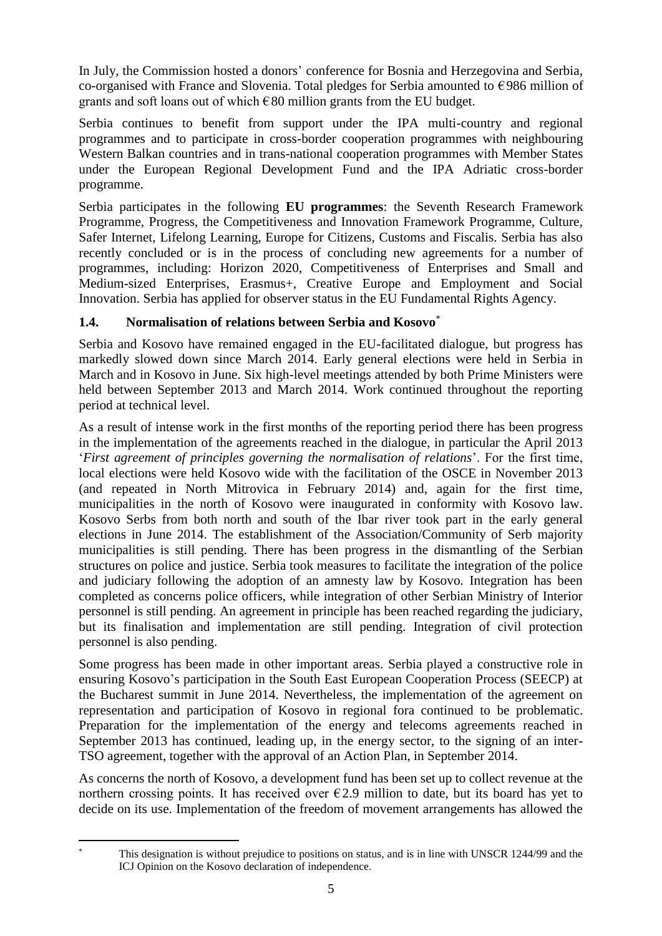In July, the Commission hosted a donors' conference for Bosnia and Herzegovina and Serbia, co-organised with France and Slovenia. Total pledges for Serbia amounted to €986 million of grants and soft loans out of which  $\epsilon$ 80 million grants from the EU budget.

Serbia continues to benefit from support under the IPA multi-country and regional programmes and to participate in cross-border cooperation programmes with neighbouring Western Balkan countries and in trans-national cooperation programmes with Member States under the European Regional Development Fund and the IPA Adriatic cross-border programme.

Serbia participates in the following **EU programmes**: the Seventh Research Framework Programme, Progress, the Competitiveness and Innovation Framework Programme, Culture, Safer Internet, Lifelong Learning, Europe for Citizens, Customs and Fiscalis. Serbia has also recently concluded or is in the process of concluding new agreements for a number of programmes, including: Horizon 2020, Competitiveness of Enterprises and Small and Medium-sized Enterprises, Erasmus+, Creative Europe and Employment and Social Innovation. Serbia has applied for observer status in the EU Fundamental Rights Agency.

### <span id="page-5-0"></span>**1.4. Normalisation of relations between Serbia and Kosovo**

Serbia and Kosovo have remained engaged in the EU-facilitated dialogue, but progress has markedly slowed down since March 2014. Early general elections were held in Serbia in March and in Kosovo in June. Six high-level meetings attended by both Prime Ministers were held between September 2013 and March 2014. Work continued throughout the reporting period at technical level.

As a result of intense work in the first months of the reporting period there has been progress in the implementation of the agreements reached in the dialogue, in particular the April 2013 '*First agreement of principles governing the normalisation of relations*'. For the first time, local elections were held Kosovo wide with the facilitation of the OSCE in November 2013 (and repeated in North Mitrovica in February 2014) and, again for the first time, municipalities in the north of Kosovo were inaugurated in conformity with Kosovo law. Kosovo Serbs from both north and south of the Ibar river took part in the early general elections in June 2014. The establishment of the Association/Community of Serb majority municipalities is still pending. There has been progress in the dismantling of the Serbian structures on police and justice. Serbia took measures to facilitate the integration of the police and judiciary following the adoption of an amnesty law by Kosovo. Integration has been completed as concerns police officers, while integration of other Serbian Ministry of Interior personnel is still pending. An agreement in principle has been reached regarding the judiciary, but its finalisation and implementation are still pending. Integration of civil protection personnel is also pending.

Some progress has been made in other important areas. Serbia played a constructive role in ensuring Kosovo's participation in the South East European Cooperation Process (SEECP) at the Bucharest summit in June 2014. Nevertheless, the implementation of the agreement on representation and participation of Kosovo in regional fora continued to be problematic. Preparation for the implementation of the energy and telecoms agreements reached in September 2013 has continued, leading up, in the energy sector, to the signing of an inter-TSO agreement, together with the approval of an Action Plan, in September 2014.

As concerns the north of Kosovo, a development fund has been set up to collect revenue at the northern crossing points. It has received over  $\epsilon$ 2.9 million to date, but its board has yet to decide on its use. Implementation of the freedom of movement arrangements has allowed the

 $\overline{\phantom{a}}$ 

This designation is without prejudice to positions on status, and is in line with UNSCR 1244/99 and the ICJ Opinion on the Kosovo declaration of independence.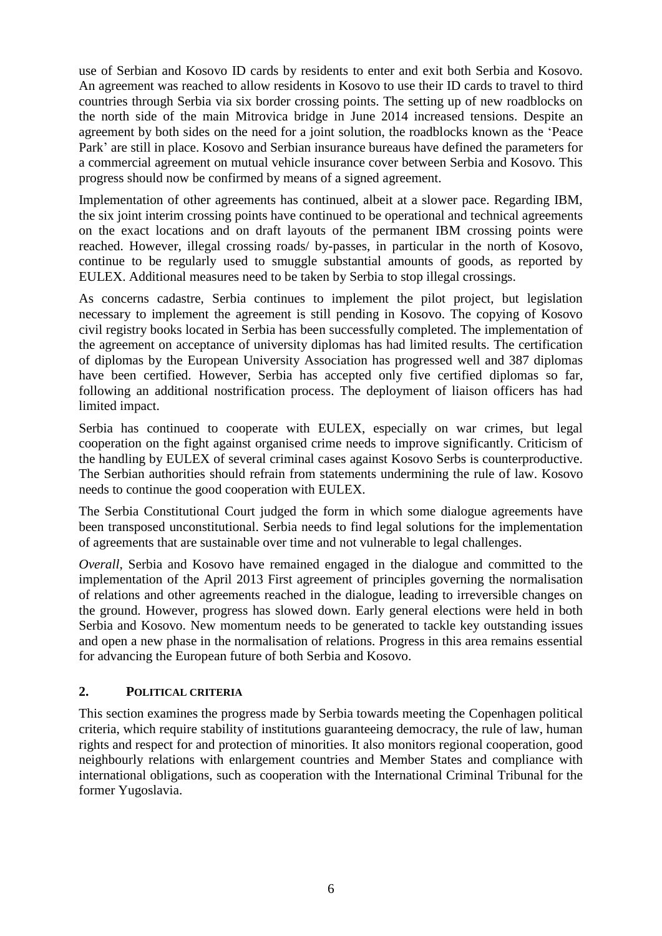use of Serbian and Kosovo ID cards by residents to enter and exit both Serbia and Kosovo. An agreement was reached to allow residents in Kosovo to use their ID cards to travel to third countries through Serbia via six border crossing points. The setting up of new roadblocks on the north side of the main Mitrovica bridge in June 2014 increased tensions. Despite an agreement by both sides on the need for a joint solution, the roadblocks known as the 'Peace Park' are still in place. Kosovo and Serbian insurance bureaus have defined the parameters for a commercial agreement on mutual vehicle insurance cover between Serbia and Kosovo. This progress should now be confirmed by means of a signed agreement.

Implementation of other agreements has continued, albeit at a slower pace. Regarding IBM, the six joint interim crossing points have continued to be operational and technical agreements on the exact locations and on draft layouts of the permanent IBM crossing points were reached. However, illegal crossing roads/ by-passes, in particular in the north of Kosovo, continue to be regularly used to smuggle substantial amounts of goods, as reported by EULEX. Additional measures need to be taken by Serbia to stop illegal crossings.

As concerns cadastre, Serbia continues to implement the pilot project, but legislation necessary to implement the agreement is still pending in Kosovo. The copying of Kosovo civil registry books located in Serbia has been successfully completed. The implementation of the agreement on acceptance of university diplomas has had limited results. The certification of diplomas by the European University Association has progressed well and 387 diplomas have been certified. However, Serbia has accepted only five certified diplomas so far, following an additional nostrification process. The deployment of liaison officers has had limited impact.

Serbia has continued to cooperate with EULEX, especially on war crimes, but legal cooperation on the fight against organised crime needs to improve significantly. Criticism of the handling by EULEX of several criminal cases against Kosovo Serbs is counterproductive. The Serbian authorities should refrain from statements undermining the rule of law. Kosovo needs to continue the good cooperation with EULEX.

The Serbia Constitutional Court judged the form in which some dialogue agreements have been transposed unconstitutional. Serbia needs to find legal solutions for the implementation of agreements that are sustainable over time and not vulnerable to legal challenges.

*Overall*, Serbia and Kosovo have remained engaged in the dialogue and committed to the implementation of the April 2013 First agreement of principles governing the normalisation of relations and other agreements reached in the dialogue, leading to irreversible changes on the ground. However, progress has slowed down. Early general elections were held in both Serbia and Kosovo. New momentum needs to be generated to tackle key outstanding issues and open a new phase in the normalisation of relations. Progress in this area remains essential for advancing the European future of both Serbia and Kosovo.

### <span id="page-6-0"></span>**2. POLITICAL CRITERIA**

This section examines the progress made by Serbia towards meeting the Copenhagen political criteria, which require stability of institutions guaranteeing democracy, the rule of law, human rights and respect for and protection of minorities. It also monitors regional cooperation, good neighbourly relations with enlargement countries and Member States and compliance with international obligations, such as cooperation with the International Criminal Tribunal for the former Yugoslavia.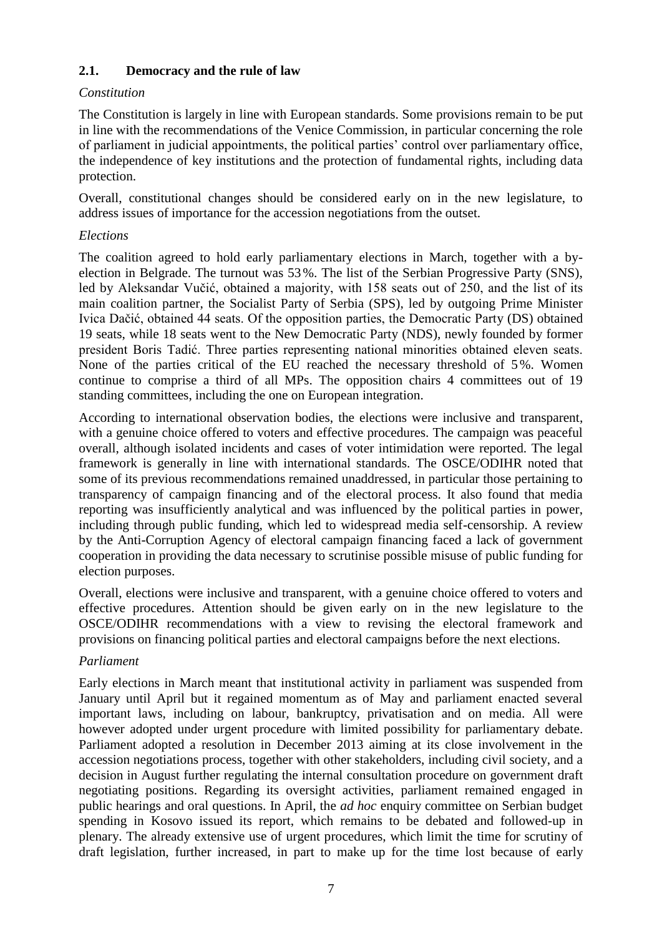### <span id="page-7-0"></span>**2.1. Democracy and the rule of law**

### *Constitution*

The Constitution is largely in line with European standards. Some provisions remain to be put in line with the recommendations of the Venice Commission, in particular concerning the role of parliament in judicial appointments, the political parties' control over parliamentary office, the independence of key institutions and the protection of fundamental rights, including data protection.

Overall, constitutional changes should be considered early on in the new legislature, to address issues of importance for the accession negotiations from the outset.

### *Elections*

The coalition agreed to hold early parliamentary elections in March, together with a byelection in Belgrade. The turnout was 53%. The list of the Serbian Progressive Party (SNS), led by Aleksandar Vučić, obtained a majority, with 158 seats out of 250, and the list of its main coalition partner, the Socialist Party of Serbia (SPS), led by outgoing Prime Minister Ivica Dačić, obtained 44 seats. Of the opposition parties, the Democratic Party (DS) obtained 19 seats, while 18 seats went to the New Democratic Party (NDS), newly founded by former president Boris Tadić. Three parties representing national minorities obtained eleven seats. None of the parties critical of the EU reached the necessary threshold of 5%. Women continue to comprise a third of all MPs. The opposition chairs 4 committees out of 19 standing committees, including the one on European integration.

According to international observation bodies, the elections were inclusive and transparent, with a genuine choice offered to voters and effective procedures. The campaign was peaceful overall, although isolated incidents and cases of voter intimidation were reported. The legal framework is generally in line with international standards. The OSCE/ODIHR noted that some of its previous recommendations remained unaddressed, in particular those pertaining to transparency of campaign financing and of the electoral process. It also found that media reporting was insufficiently analytical and was influenced by the political parties in power, including through public funding, which led to widespread media self-censorship. A review by the Anti-Corruption Agency of electoral campaign financing faced a lack of government cooperation in providing the data necessary to scrutinise possible misuse of public funding for election purposes.

Overall, elections were inclusive and transparent, with a genuine choice offered to voters and effective procedures. Attention should be given early on in the new legislature to the OSCE/ODIHR recommendations with a view to revising the electoral framework and provisions on financing political parties and electoral campaigns before the next elections.

### *Parliament*

Early elections in March meant that institutional activity in parliament was suspended from January until April but it regained momentum as of May and parliament enacted several important laws, including on labour, bankruptcy, privatisation and on media. All were however adopted under urgent procedure with limited possibility for parliamentary debate. Parliament adopted a resolution in December 2013 aiming at its close involvement in the accession negotiations process, together with other stakeholders, including civil society, and a decision in August further regulating the internal consultation procedure on government draft negotiating positions. Regarding its oversight activities, parliament remained engaged in public hearings and oral questions. In April, the *ad hoc* enquiry committee on Serbian budget spending in Kosovo issued its report, which remains to be debated and followed-up in plenary. The already extensive use of urgent procedures, which limit the time for scrutiny of draft legislation, further increased, in part to make up for the time lost because of early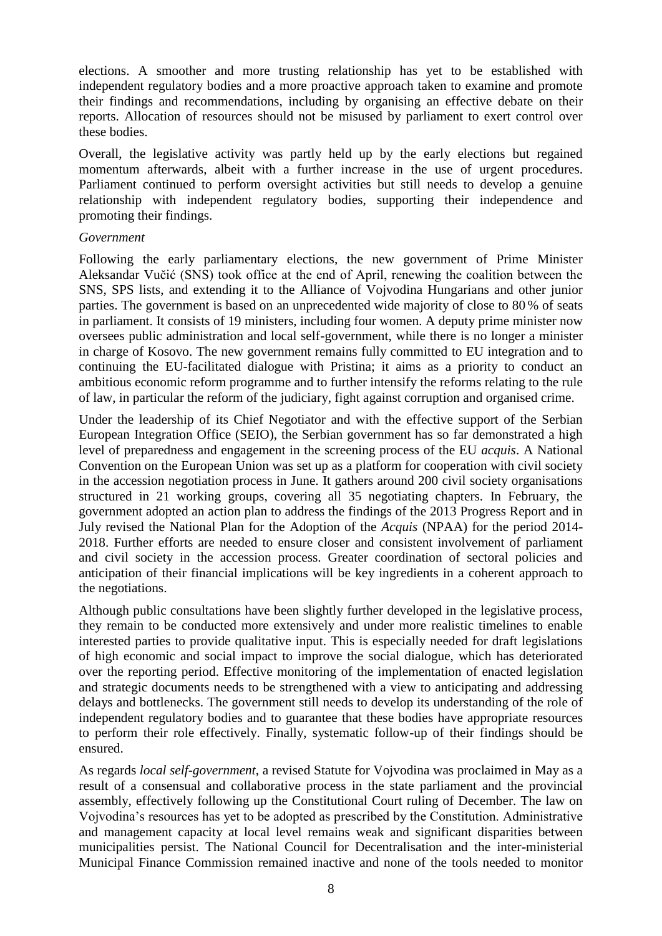elections. A smoother and more trusting relationship has yet to be established with independent regulatory bodies and a more proactive approach taken to examine and promote their findings and recommendations, including by organising an effective debate on their reports. Allocation of resources should not be misused by parliament to exert control over these bodies.

Overall, the legislative activity was partly held up by the early elections but regained momentum afterwards, albeit with a further increase in the use of urgent procedures. Parliament continued to perform oversight activities but still needs to develop a genuine relationship with independent regulatory bodies, supporting their independence and promoting their findings.

#### *Government*

Following the early parliamentary elections, the new government of Prime Minister Aleksandar Vučić (SNS) took office at the end of April, renewing the coalition between the SNS, SPS lists, and extending it to the Alliance of Vojvodina Hungarians and other junior parties. The government is based on an unprecedented wide majority of close to 80 % of seats in parliament. It consists of 19 ministers, including four women. A deputy prime minister now oversees public administration and local self-government, while there is no longer a minister in charge of Kosovo. The new government remains fully committed to EU integration and to continuing the EU-facilitated dialogue with Pristina; it aims as a priority to conduct an ambitious economic reform programme and to further intensify the reforms relating to the rule of law, in particular the reform of the judiciary, fight against corruption and organised crime.

Under the leadership of its Chief Negotiator and with the effective support of the Serbian European Integration Office (SEIO), the Serbian government has so far demonstrated a high level of preparedness and engagement in the screening process of the EU *acquis*. A National Convention on the European Union was set up as a platform for cooperation with civil society in the accession negotiation process in June. It gathers around 200 civil society organisations structured in 21 working groups, covering all 35 negotiating chapters. In February, the government adopted an action plan to address the findings of the 2013 Progress Report and in July revised the National Plan for the Adoption of the *Acquis* (NPAA) for the period 2014- 2018. Further efforts are needed to ensure closer and consistent involvement of parliament and civil society in the accession process. Greater coordination of sectoral policies and anticipation of their financial implications will be key ingredients in a coherent approach to the negotiations.

Although public consultations have been slightly further developed in the legislative process, they remain to be conducted more extensively and under more realistic timelines to enable interested parties to provide qualitative input. This is especially needed for draft legislations of high economic and social impact to improve the social dialogue, which has deteriorated over the reporting period. Effective monitoring of the implementation of enacted legislation and strategic documents needs to be strengthened with a view to anticipating and addressing delays and bottlenecks. The government still needs to develop its understanding of the role of independent regulatory bodies and to guarantee that these bodies have appropriate resources to perform their role effectively. Finally, systematic follow-up of their findings should be ensured.

As regards *local self-government*, a revised Statute for Vojvodina was proclaimed in May as a result of a consensual and collaborative process in the state parliament and the provincial assembly, effectively following up the Constitutional Court ruling of December. The law on Vojvodina's resources has yet to be adopted as prescribed by the Constitution. Administrative and management capacity at local level remains weak and significant disparities between municipalities persist. The National Council for Decentralisation and the inter-ministerial Municipal Finance Commission remained inactive and none of the tools needed to monitor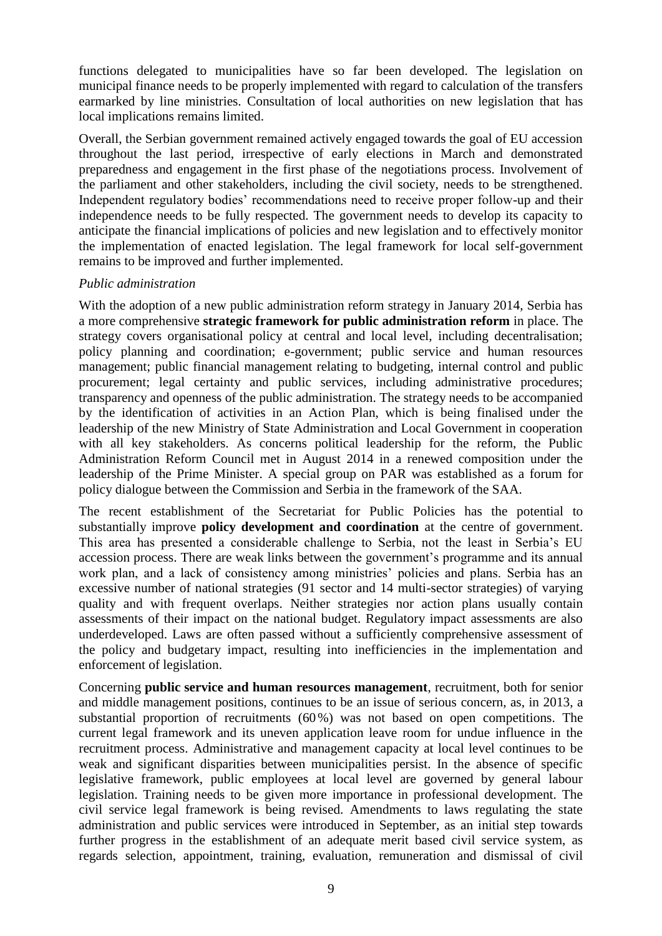functions delegated to municipalities have so far been developed. The legislation on municipal finance needs to be properly implemented with regard to calculation of the transfers earmarked by line ministries. Consultation of local authorities on new legislation that has local implications remains limited.

Overall, the Serbian government remained actively engaged towards the goal of EU accession throughout the last period, irrespective of early elections in March and demonstrated preparedness and engagement in the first phase of the negotiations process. Involvement of the parliament and other stakeholders, including the civil society, needs to be strengthened. Independent regulatory bodies' recommendations need to receive proper follow-up and their independence needs to be fully respected. The government needs to develop its capacity to anticipate the financial implications of policies and new legislation and to effectively monitor the implementation of enacted legislation. The legal framework for local self-government remains to be improved and further implemented.

#### *Public administration*

With the adoption of a new public administration reform strategy in January 2014, Serbia has a more comprehensive **strategic framework for public administration reform** in place. The strategy covers organisational policy at central and local level, including decentralisation; policy planning and coordination; e-government; public service and human resources management; public financial management relating to budgeting, internal control and public procurement; legal certainty and public services, including administrative procedures; transparency and openness of the public administration. The strategy needs to be accompanied by the identification of activities in an Action Plan, which is being finalised under the leadership of the new Ministry of State Administration and Local Government in cooperation with all key stakeholders. As concerns political leadership for the reform, the Public Administration Reform Council met in August 2014 in a renewed composition under the leadership of the Prime Minister. A special group on PAR was established as a forum for policy dialogue between the Commission and Serbia in the framework of the SAA.

The recent establishment of the Secretariat for Public Policies has the potential to substantially improve **policy development and coordination** at the centre of government. This area has presented a considerable challenge to Serbia, not the least in Serbia's EU accession process. There are weak links between the government's programme and its annual work plan, and a lack of consistency among ministries' policies and plans. Serbia has an excessive number of national strategies (91 sector and 14 multi-sector strategies) of varying quality and with frequent overlaps. Neither strategies nor action plans usually contain assessments of their impact on the national budget. Regulatory impact assessments are also underdeveloped. Laws are often passed without a sufficiently comprehensive assessment of the policy and budgetary impact, resulting into inefficiencies in the implementation and enforcement of legislation.

Concerning **public service and human resources management**, recruitment, both for senior and middle management positions, continues to be an issue of serious concern, as, in 2013, a substantial proportion of recruitments (60%) was not based on open competitions. The current legal framework and its uneven application leave room for undue influence in the recruitment process. Administrative and management capacity at local level continues to be weak and significant disparities between municipalities persist. In the absence of specific legislative framework, public employees at local level are governed by general labour legislation. Training needs to be given more importance in professional development. The civil service legal framework is being revised. Amendments to laws regulating the state administration and public services were introduced in September, as an initial step towards further progress in the establishment of an adequate merit based civil service system, as regards selection, appointment, training, evaluation, remuneration and dismissal of civil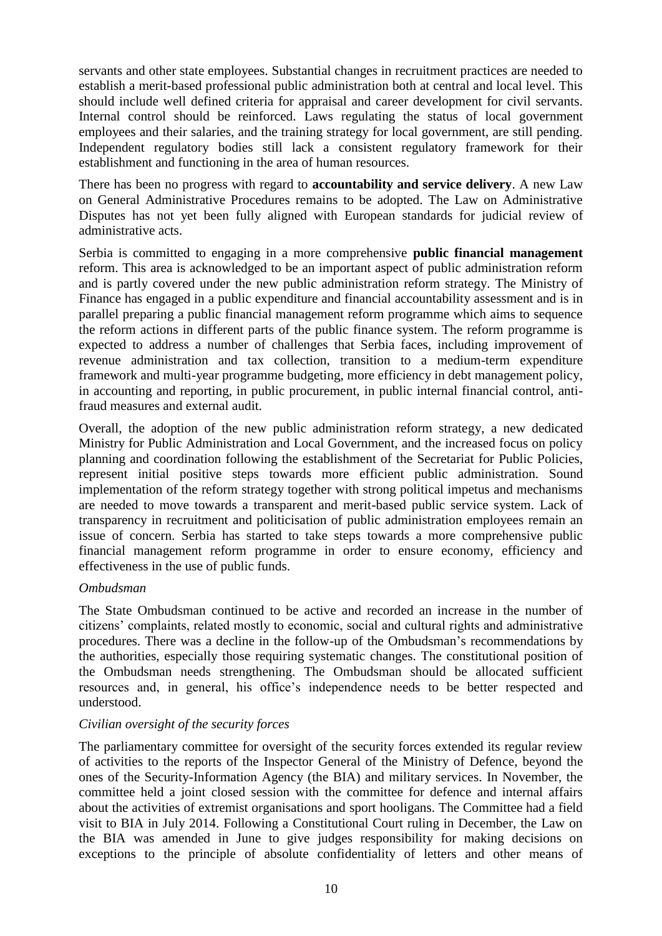servants and other state employees. Substantial changes in recruitment practices are needed to establish a merit-based professional public administration both at central and local level. This should include well defined criteria for appraisal and career development for civil servants. Internal control should be reinforced. Laws regulating the status of local government employees and their salaries, and the training strategy for local government, are still pending. Independent regulatory bodies still lack a consistent regulatory framework for their establishment and functioning in the area of human resources.

There has been no progress with regard to **accountability and service delivery**. A new Law on General Administrative Procedures remains to be adopted. The Law on Administrative Disputes has not yet been fully aligned with European standards for judicial review of administrative acts.

Serbia is committed to engaging in a more comprehensive **public financial management** reform. This area is acknowledged to be an important aspect of public administration reform and is partly covered under the new public administration reform strategy. The Ministry of Finance has engaged in a public expenditure and financial accountability assessment and is in parallel preparing a public financial management reform programme which aims to sequence the reform actions in different parts of the public finance system. The reform programme is expected to address a number of challenges that Serbia faces, including improvement of revenue administration and tax collection, transition to a medium-term expenditure framework and multi-year programme budgeting, more efficiency in debt management policy, in accounting and reporting, in public procurement, in public internal financial control, antifraud measures and external audit.

Overall, the adoption of the new public administration reform strategy, a new dedicated Ministry for Public Administration and Local Government, and the increased focus on policy planning and coordination following the establishment of the Secretariat for Public Policies, represent initial positive steps towards more efficient public administration. Sound implementation of the reform strategy together with strong political impetus and mechanisms are needed to move towards a transparent and merit-based public service system. Lack of transparency in recruitment and politicisation of public administration employees remain an issue of concern. Serbia has started to take steps towards a more comprehensive public financial management reform programme in order to ensure economy, efficiency and effectiveness in the use of public funds.

#### *Ombudsman*

The State Ombudsman continued to be active and recorded an increase in the number of citizens' complaints, related mostly to economic, social and cultural rights and administrative procedures. There was a decline in the follow-up of the Ombudsman's recommendations by the authorities, especially those requiring systematic changes. The constitutional position of the Ombudsman needs strengthening. The Ombudsman should be allocated sufficient resources and, in general, his office's independence needs to be better respected and understood.

### *Civilian oversight of the security forces*

The parliamentary committee for oversight of the security forces extended its regular review of activities to the reports of the Inspector General of the Ministry of Defence, beyond the ones of the Security-Information Agency (the BIA) and military services. In November, the committee held a joint closed session with the committee for defence and internal affairs about the activities of extremist organisations and sport hooligans. The Committee had a field visit to BIA in July 2014. Following a Constitutional Court ruling in December, the Law on the BIA was amended in June to give judges responsibility for making decisions on exceptions to the principle of absolute confidentiality of letters and other means of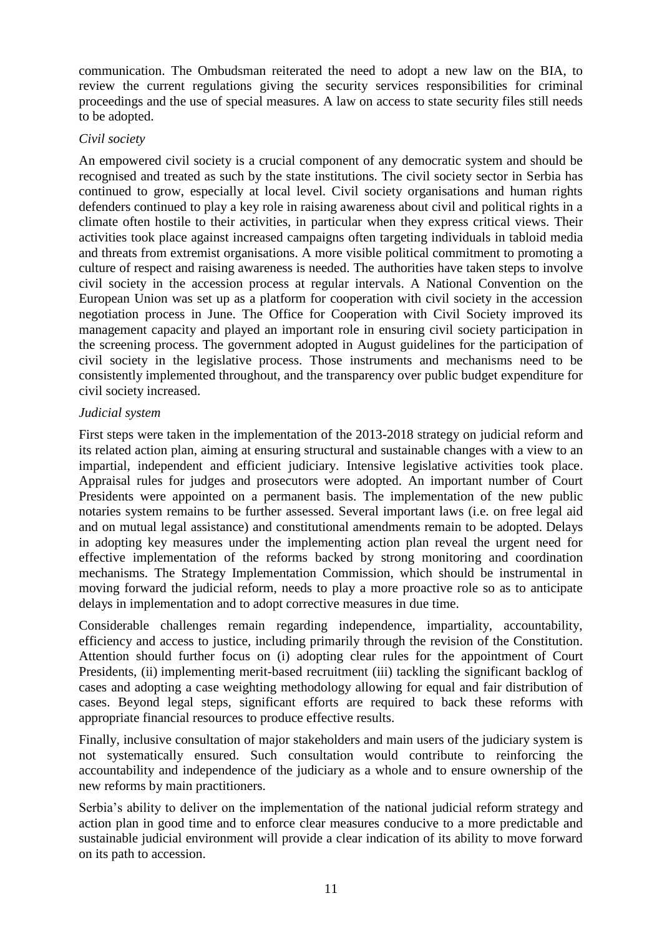communication. The Ombudsman reiterated the need to adopt a new law on the BIA, to review the current regulations giving the security services responsibilities for criminal proceedings and the use of special measures. A law on access to state security files still needs to be adopted.

#### *Civil society*

An empowered civil society is a crucial component of any democratic system and should be recognised and treated as such by the state institutions. The civil society sector in Serbia has continued to grow, especially at local level. Civil society organisations and human rights defenders continued to play a key role in raising awareness about civil and political rights in a climate often hostile to their activities, in particular when they express critical views. Their activities took place against increased campaigns often targeting individuals in tabloid media and threats from extremist organisations. A more visible political commitment to promoting a culture of respect and raising awareness is needed. The authorities have taken steps to involve civil society in the accession process at regular intervals. A National Convention on the European Union was set up as a platform for cooperation with civil society in the accession negotiation process in June. The Office for Cooperation with Civil Society improved its management capacity and played an important role in ensuring civil society participation in the screening process. The government adopted in August guidelines for the participation of civil society in the legislative process. Those instruments and mechanisms need to be consistently implemented throughout, and the transparency over public budget expenditure for civil society increased.

#### *Judicial system*

First steps were taken in the implementation of the 2013-2018 strategy on judicial reform and its related action plan, aiming at ensuring structural and sustainable changes with a view to an impartial, independent and efficient judiciary. Intensive legislative activities took place. Appraisal rules for judges and prosecutors were adopted. An important number of Court Presidents were appointed on a permanent basis. The implementation of the new public notaries system remains to be further assessed. Several important laws (i.e. on free legal aid and on mutual legal assistance) and constitutional amendments remain to be adopted. Delays in adopting key measures under the implementing action plan reveal the urgent need for effective implementation of the reforms backed by strong monitoring and coordination mechanisms. The Strategy Implementation Commission, which should be instrumental in moving forward the judicial reform, needs to play a more proactive role so as to anticipate delays in implementation and to adopt corrective measures in due time.

Considerable challenges remain regarding independence, impartiality, accountability, efficiency and access to justice, including primarily through the revision of the Constitution. Attention should further focus on (i) adopting clear rules for the appointment of Court Presidents, (ii) implementing merit-based recruitment (iii) tackling the significant backlog of cases and adopting a case weighting methodology allowing for equal and fair distribution of cases. Beyond legal steps, significant efforts are required to back these reforms with appropriate financial resources to produce effective results.

Finally, inclusive consultation of major stakeholders and main users of the judiciary system is not systematically ensured. Such consultation would contribute to reinforcing the accountability and independence of the judiciary as a whole and to ensure ownership of the new reforms by main practitioners.

Serbia's ability to deliver on the implementation of the national judicial reform strategy and action plan in good time and to enforce clear measures conducive to a more predictable and sustainable judicial environment will provide a clear indication of its ability to move forward on its path to accession.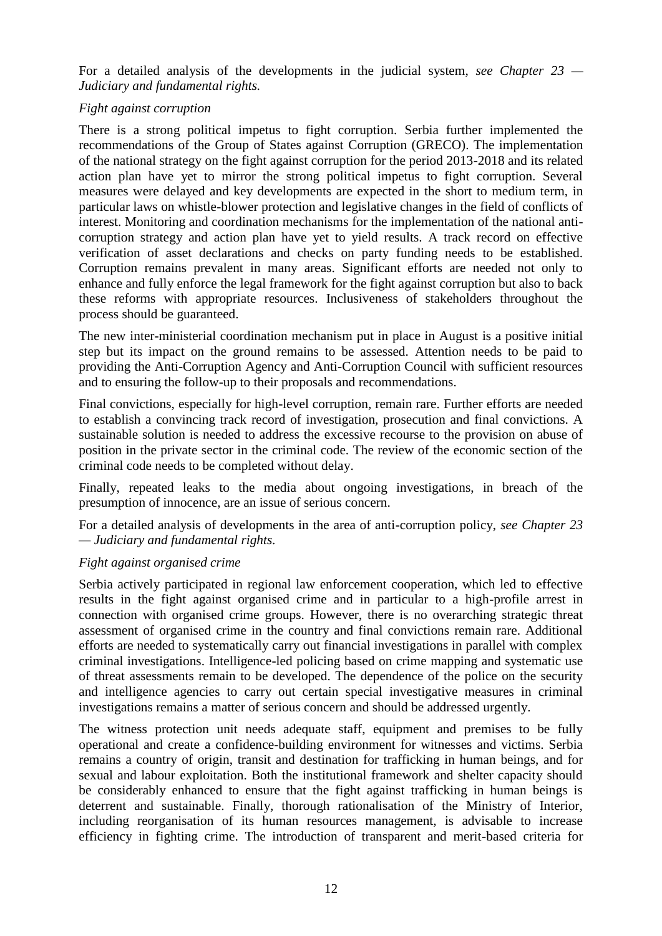For a detailed analysis of the developments in the judicial system, *see Chapter 23 — Judiciary and fundamental rights.*

### *Fight against corruption*

There is a strong political impetus to fight corruption. Serbia further implemented the recommendations of the Group of States against Corruption (GRECO). The implementation of the national strategy on the fight against corruption for the period 2013-2018 and its related action plan have yet to mirror the strong political impetus to fight corruption. Several measures were delayed and key developments are expected in the short to medium term, in particular laws on whistle-blower protection and legislative changes in the field of conflicts of interest. Monitoring and coordination mechanisms for the implementation of the national anticorruption strategy and action plan have yet to yield results. A track record on effective verification of asset declarations and checks on party funding needs to be established. Corruption remains prevalent in many areas. Significant efforts are needed not only to enhance and fully enforce the legal framework for the fight against corruption but also to back these reforms with appropriate resources. Inclusiveness of stakeholders throughout the process should be guaranteed.

The new inter-ministerial coordination mechanism put in place in August is a positive initial step but its impact on the ground remains to be assessed. Attention needs to be paid to providing the Anti-Corruption Agency and Anti-Corruption Council with sufficient resources and to ensuring the follow-up to their proposals and recommendations.

Final convictions, especially for high-level corruption, remain rare. Further efforts are needed to establish a convincing track record of investigation, prosecution and final convictions. A sustainable solution is needed to address the excessive recourse to the provision on abuse of position in the private sector in the criminal code. The review of the economic section of the criminal code needs to be completed without delay.

Finally, repeated leaks to the media about ongoing investigations, in breach of the presumption of innocence, are an issue of serious concern.

For a detailed analysis of developments in the area of anti-corruption policy, *see Chapter 23 — Judiciary and fundamental rights.*

### *Fight against organised crime*

Serbia actively participated in regional law enforcement cooperation, which led to effective results in the fight against organised crime and in particular to a high-profile arrest in connection with organised crime groups. However, there is no overarching strategic threat assessment of organised crime in the country and final convictions remain rare. Additional efforts are needed to systematically carry out financial investigations in parallel with complex criminal investigations. Intelligence-led policing based on crime mapping and systematic use of threat assessments remain to be developed. The dependence of the police on the security and intelligence agencies to carry out certain special investigative measures in criminal investigations remains a matter of serious concern and should be addressed urgently.

The witness protection unit needs adequate staff, equipment and premises to be fully operational and create a confidence-building environment for witnesses and victims. Serbia remains a country of origin, transit and destination for trafficking in human beings, and for sexual and labour exploitation. Both the institutional framework and shelter capacity should be considerably enhanced to ensure that the fight against trafficking in human beings is deterrent and sustainable. Finally, thorough rationalisation of the Ministry of Interior, including reorganisation of its human resources management, is advisable to increase efficiency in fighting crime. The introduction of transparent and merit-based criteria for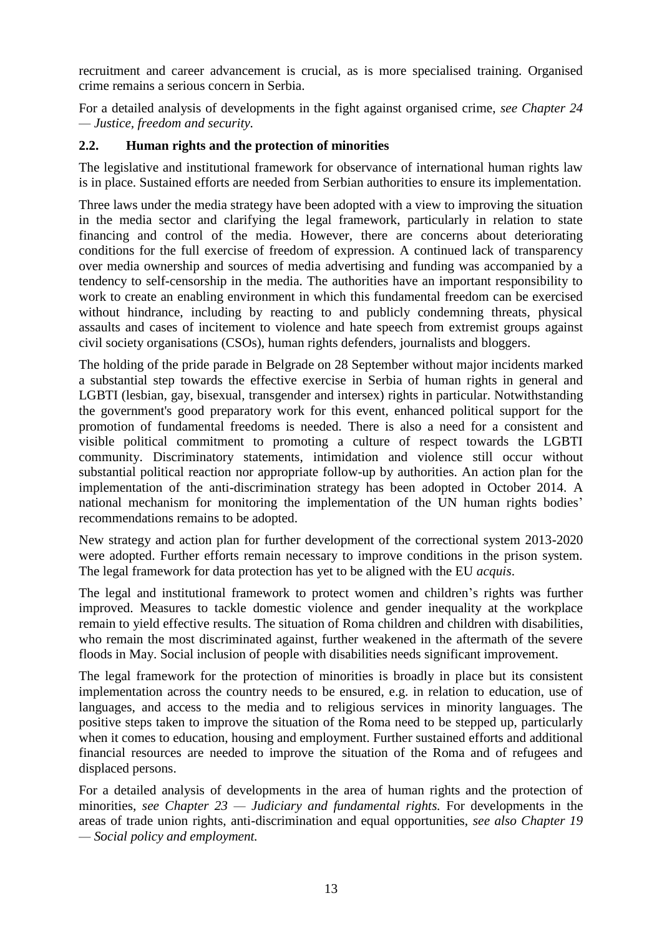recruitment and career advancement is crucial, as is more specialised training. Organised crime remains a serious concern in Serbia.

For a detailed analysis of developments in the fight against organised crime, *see Chapter 24 — Justice, freedom and security.*

### <span id="page-13-0"></span>**2.2. Human rights and the protection of minorities**

The legislative and institutional framework for observance of international human rights law is in place. Sustained efforts are needed from Serbian authorities to ensure its implementation.

Three laws under the media strategy have been adopted with a view to improving the situation in the media sector and clarifying the legal framework, particularly in relation to state financing and control of the media. However, there are concerns about deteriorating conditions for the full exercise of freedom of expression. A continued lack of transparency over media ownership and sources of media advertising and funding was accompanied by a tendency to self-censorship in the media. The authorities have an important responsibility to work to create an enabling environment in which this fundamental freedom can be exercised without hindrance, including by reacting to and publicly condemning threats, physical assaults and cases of incitement to violence and hate speech from extremist groups against civil society organisations (CSOs), human rights defenders, journalists and bloggers.

The holding of the pride parade in Belgrade on 28 September without major incidents marked a substantial step towards the effective exercise in Serbia of human rights in general and LGBTI (lesbian, gay, bisexual, transgender and intersex) rights in particular. Notwithstanding the government's good preparatory work for this event, enhanced political support for the promotion of fundamental freedoms is needed. There is also a need for a consistent and visible political commitment to promoting a culture of respect towards the LGBTI community. Discriminatory statements, intimidation and violence still occur without substantial political reaction nor appropriate follow-up by authorities. An action plan for the implementation of the anti-discrimination strategy has been adopted in October 2014. A national mechanism for monitoring the implementation of the UN human rights bodies' recommendations remains to be adopted.

New strategy and action plan for further development of the correctional system 2013-2020 were adopted. Further efforts remain necessary to improve conditions in the prison system. The legal framework for data protection has yet to be aligned with the EU *acquis*.

The legal and institutional framework to protect women and children's rights was further improved. Measures to tackle domestic violence and gender inequality at the workplace remain to yield effective results. The situation of Roma children and children with disabilities, who remain the most discriminated against, further weakened in the aftermath of the severe floods in May. Social inclusion of people with disabilities needs significant improvement.

The legal framework for the protection of minorities is broadly in place but its consistent implementation across the country needs to be ensured, e.g. in relation to education, use of languages, and access to the media and to religious services in minority languages. The positive steps taken to improve the situation of the Roma need to be stepped up, particularly when it comes to education, housing and employment. Further sustained efforts and additional financial resources are needed to improve the situation of the Roma and of refugees and displaced persons.

For a detailed analysis of developments in the area of human rights and the protection of minorities, *see Chapter 23 — Judiciary and fundamental rights.* For developments in the areas of trade union rights, anti-discrimination and equal opportunities, *see also Chapter 19 — Social policy and employment.*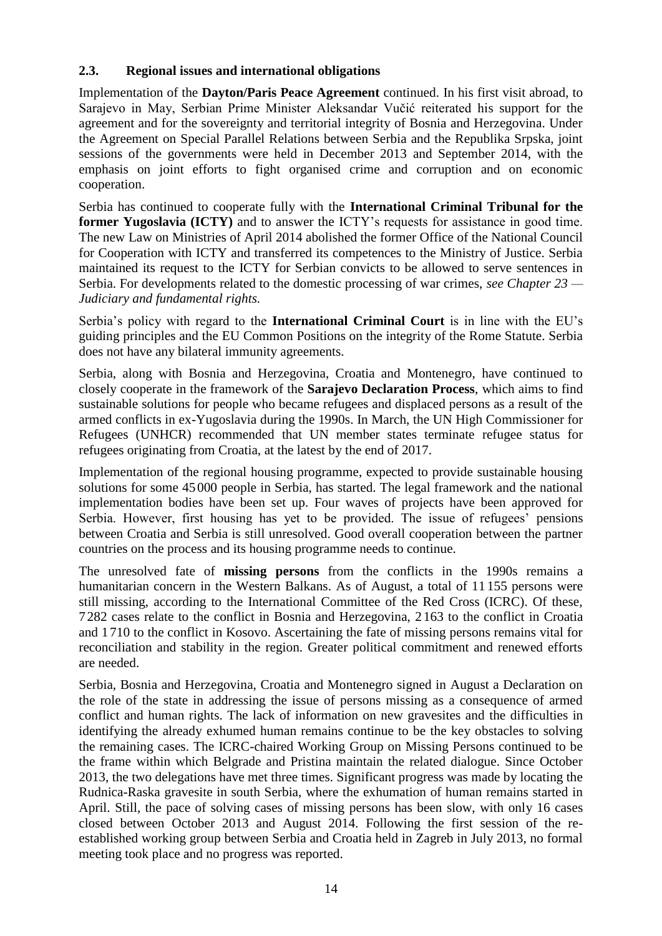### <span id="page-14-0"></span>**2.3. Regional issues and international obligations**

Implementation of the **Dayton/Paris Peace Agreement** continued. In his first visit abroad, to Sarajevo in May, Serbian Prime Minister Aleksandar Vučić reiterated his support for the agreement and for the sovereignty and territorial integrity of Bosnia and Herzegovina. Under the Agreement on Special Parallel Relations between Serbia and the Republika Srpska, joint sessions of the governments were held in December 2013 and September 2014, with the emphasis on joint efforts to fight organised crime and corruption and on economic cooperation.

Serbia has continued to cooperate fully with the **International Criminal Tribunal for the former Yugoslavia (ICTY)** and to answer the ICTY's requests for assistance in good time. The new Law on Ministries of April 2014 abolished the former Office of the National Council for Cooperation with ICTY and transferred its competences to the Ministry of Justice. Serbia maintained its request to the ICTY for Serbian convicts to be allowed to serve sentences in Serbia. For developments related to the domestic processing of war crimes, *see Chapter 23 — Judiciary and fundamental rights.*

Serbia's policy with regard to the **International Criminal Court** is in line with the EU's guiding principles and the EU Common Positions on the integrity of the Rome Statute. Serbia does not have any bilateral immunity agreements.

Serbia, along with Bosnia and Herzegovina, Croatia and Montenegro, have continued to closely cooperate in the framework of the **Sarajevo Declaration Process**, which aims to find sustainable solutions for people who became refugees and displaced persons as a result of the armed conflicts in ex-Yugoslavia during the 1990s. In March, the UN High Commissioner for Refugees (UNHCR) recommended that UN member states terminate refugee status for refugees originating from Croatia, at the latest by the end of 2017.

Implementation of the regional housing programme, expected to provide sustainable housing solutions for some 45000 people in Serbia, has started. The legal framework and the national implementation bodies have been set up. Four waves of projects have been approved for Serbia. However, first housing has yet to be provided. The issue of refugees' pensions between Croatia and Serbia is still unresolved. Good overall cooperation between the partner countries on the process and its housing programme needs to continue.

The unresolved fate of **missing persons** from the conflicts in the 1990s remains a humanitarian concern in the Western Balkans. As of August, a total of 11 155 persons were still missing, according to the International Committee of the Red Cross (ICRC). Of these, 7282 cases relate to the conflict in Bosnia and Herzegovina, 2 163 to the conflict in Croatia and 1710 to the conflict in Kosovo. Ascertaining the fate of missing persons remains vital for reconciliation and stability in the region. Greater political commitment and renewed efforts are needed.

Serbia, Bosnia and Herzegovina, Croatia and Montenegro signed in August a Declaration on the role of the state in addressing the issue of persons missing as a consequence of armed conflict and human rights. The lack of information on new gravesites and the difficulties in identifying the already exhumed human remains continue to be the key obstacles to solving the remaining cases. The ICRC-chaired Working Group on Missing Persons continued to be the frame within which Belgrade and Pristina maintain the related dialogue. Since October 2013, the two delegations have met three times. Significant progress was made by locating the Rudnica-Raska gravesite in south Serbia, where the exhumation of human remains started in April. Still, the pace of solving cases of missing persons has been slow, with only 16 cases closed between October 2013 and August 2014. Following the first session of the reestablished working group between Serbia and Croatia held in Zagreb in July 2013, no formal meeting took place and no progress was reported.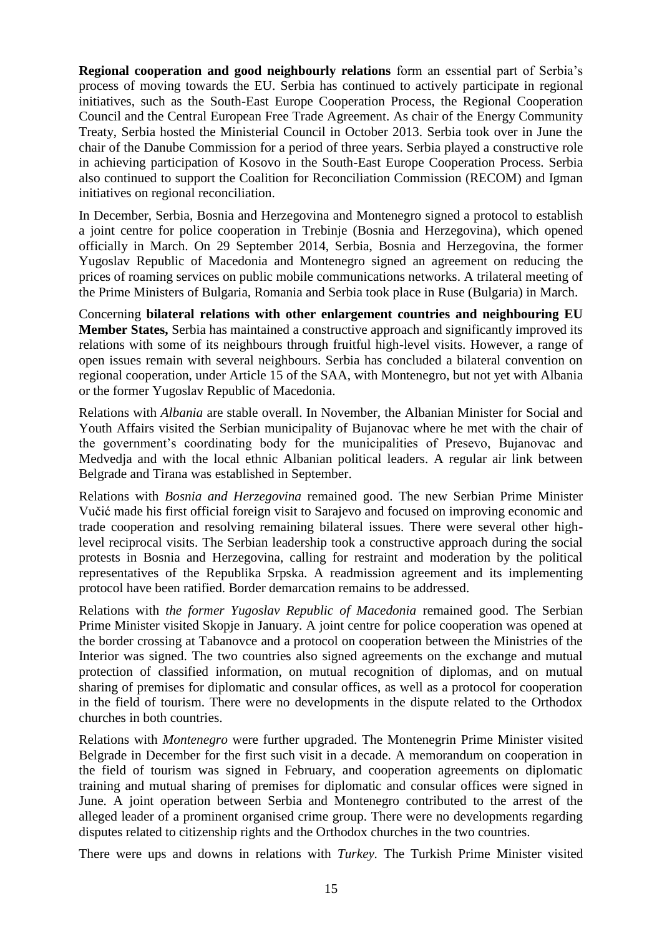**Regional cooperation and good neighbourly relations** form an essential part of Serbia's process of moving towards the EU. Serbia has continued to actively participate in regional initiatives, such as the South-East Europe Cooperation Process, the Regional Cooperation Council and the Central European Free Trade Agreement. As chair of the Energy Community Treaty, Serbia hosted the Ministerial Council in October 2013. Serbia took over in June the chair of the Danube Commission for a period of three years. Serbia played a constructive role in achieving participation of Kosovo in the South-East Europe Cooperation Process. Serbia also continued to support the Coalition for Reconciliation Commission (RECOM) and Igman initiatives on regional reconciliation.

In December, Serbia, Bosnia and Herzegovina and Montenegro signed a protocol to establish a joint centre for police cooperation in Trebinje (Bosnia and Herzegovina), which opened officially in March. On 29 September 2014, Serbia, Bosnia and Herzegovina, the former Yugoslav Republic of Macedonia and Montenegro signed an agreement on reducing the prices of roaming services on public mobile communications networks. A trilateral meeting of the Prime Ministers of Bulgaria, Romania and Serbia took place in Ruse (Bulgaria) in March.

Concerning **bilateral relations with other enlargement countries and neighbouring EU Member States,** Serbia has maintained a constructive approach and significantly improved its relations with some of its neighbours through fruitful high-level visits. However, a range of open issues remain with several neighbours. Serbia has concluded a bilateral convention on regional cooperation, under Article 15 of the SAA, with Montenegro, but not yet with Albania or the former Yugoslav Republic of Macedonia.

Relations with *Albania* are stable overall. In November, the Albanian Minister for Social and Youth Affairs visited the Serbian municipality of Bujanovac where he met with the chair of the government's coordinating body for the municipalities of Presevo, Bujanovac and Medvedja and with the local ethnic Albanian political leaders. A regular air link between Belgrade and Tirana was established in September.

Relations with *Bosnia and Herzegovina* remained good. The new Serbian Prime Minister Vučić made his first official foreign visit to Sarajevo and focused on improving economic and trade cooperation and resolving remaining bilateral issues. There were several other highlevel reciprocal visits. The Serbian leadership took a constructive approach during the social protests in Bosnia and Herzegovina, calling for restraint and moderation by the political representatives of the Republika Srpska. A readmission agreement and its implementing protocol have been ratified. Border demarcation remains to be addressed.

Relations with *the former Yugoslav Republic of Macedonia* remained good. The Serbian Prime Minister visited Skopje in January. A joint centre for police cooperation was opened at the border crossing at Tabanovce and a protocol on cooperation between the Ministries of the Interior was signed. The two countries also signed agreements on the exchange and mutual protection of classified information, on mutual recognition of diplomas, and on mutual sharing of premises for diplomatic and consular offices, as well as a protocol for cooperation in the field of tourism. There were no developments in the dispute related to the Orthodox churches in both countries.

Relations with *Montenegro* were further upgraded. The Montenegrin Prime Minister visited Belgrade in December for the first such visit in a decade. A memorandum on cooperation in the field of tourism was signed in February, and cooperation agreements on diplomatic training and mutual sharing of premises for diplomatic and consular offices were signed in June. A joint operation between Serbia and Montenegro contributed to the arrest of the alleged leader of a prominent organised crime group. There were no developments regarding disputes related to citizenship rights and the Orthodox churches in the two countries.

There were ups and downs in relations with *Turkey.* The Turkish Prime Minister visited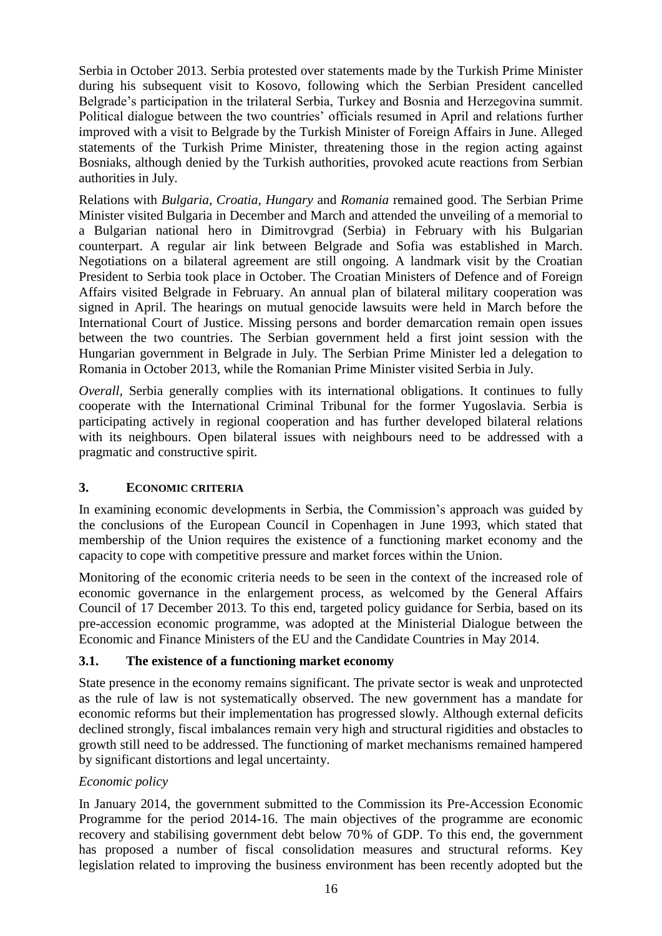Serbia in October 2013. Serbia protested over statements made by the Turkish Prime Minister during his subsequent visit to Kosovo, following which the Serbian President cancelled Belgrade's participation in the trilateral Serbia, Turkey and Bosnia and Herzegovina summit. Political dialogue between the two countries' officials resumed in April and relations further improved with a visit to Belgrade by the Turkish Minister of Foreign Affairs in June. Alleged statements of the Turkish Prime Minister, threatening those in the region acting against Bosniaks, although denied by the Turkish authorities, provoked acute reactions from Serbian authorities in July.

Relations with *Bulgaria, Croatia, Hungary* and *Romania* remained good. The Serbian Prime Minister visited Bulgaria in December and March and attended the unveiling of a memorial to a Bulgarian national hero in Dimitrovgrad (Serbia) in February with his Bulgarian counterpart. A regular air link between Belgrade and Sofia was established in March. Negotiations on a bilateral agreement are still ongoing. A landmark visit by the Croatian President to Serbia took place in October. The Croatian Ministers of Defence and of Foreign Affairs visited Belgrade in February. An annual plan of bilateral military cooperation was signed in April. The hearings on mutual genocide lawsuits were held in March before the International Court of Justice. Missing persons and border demarcation remain open issues between the two countries. The Serbian government held a first joint session with the Hungarian government in Belgrade in July. The Serbian Prime Minister led a delegation to Romania in October 2013, while the Romanian Prime Minister visited Serbia in July.

*Overall*, Serbia generally complies with its international obligations. It continues to fully cooperate with the International Criminal Tribunal for the former Yugoslavia. Serbia is participating actively in regional cooperation and has further developed bilateral relations with its neighbours. Open bilateral issues with neighbours need to be addressed with a pragmatic and constructive spirit.

### <span id="page-16-0"></span>**3. ECONOMIC CRITERIA**

In examining economic developments in Serbia, the Commission's approach was guided by the conclusions of the European Council in Copenhagen in June 1993, which stated that membership of the Union requires the existence of a functioning market economy and the capacity to cope with competitive pressure and market forces within the Union.

Monitoring of the economic criteria needs to be seen in the context of the increased role of economic governance in the enlargement process, as welcomed by the General Affairs Council of 17 December 2013. To this end, targeted policy guidance for Serbia, based on its pre-accession economic programme, was adopted at the Ministerial Dialogue between the Economic and Finance Ministers of the EU and the Candidate Countries in May 2014.

### <span id="page-16-1"></span>**3.1. The existence of a functioning market economy**

State presence in the economy remains significant. The private sector is weak and unprotected as the rule of law is not systematically observed. The new government has a mandate for economic reforms but their implementation has progressed slowly. Although external deficits declined strongly, fiscal imbalances remain very high and structural rigidities and obstacles to growth still need to be addressed. The functioning of market mechanisms remained hampered by significant distortions and legal uncertainty.

### *Economic policy*

In January 2014, the government submitted to the Commission its Pre-Accession Economic Programme for the period 2014-16. The main objectives of the programme are economic recovery and stabilising government debt below 70% of GDP. To this end, the government has proposed a number of fiscal consolidation measures and structural reforms. Key legislation related to improving the business environment has been recently adopted but the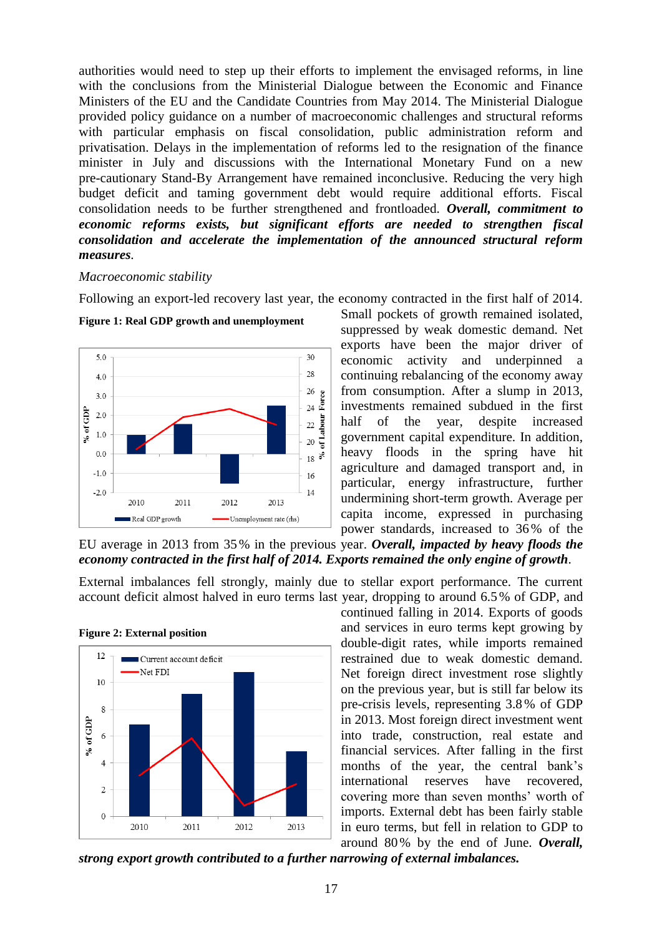authorities would need to step up their efforts to implement the envisaged reforms, in line with the conclusions from the Ministerial Dialogue between the Economic and Finance Ministers of the EU and the Candidate Countries from May 2014. The Ministerial Dialogue provided policy guidance on a number of macroeconomic challenges and structural reforms with particular emphasis on fiscal consolidation, public administration reform and privatisation. Delays in the implementation of reforms led to the resignation of the finance minister in July and discussions with the International Monetary Fund on a new pre-cautionary Stand-By Arrangement have remained inconclusive. Reducing the very high budget deficit and taming government debt would require additional efforts. Fiscal consolidation needs to be further strengthened and frontloaded. *Overall, commitment to economic reforms exists, but significant efforts are needed to strengthen fiscal consolidation and accelerate the implementation of the announced structural reform measures.*

#### *Macroeconomic stability*

Following an export-led recovery last year, the economy contracted in the first half of 2014.



**Figure 1: Real GDP growth and unemployment**

Small pockets of growth remained isolated, suppressed by weak domestic demand. Net exports have been the major driver of economic activity and underpinned a continuing rebalancing of the economy away from consumption. After a slump in 2013, investments remained subdued in the first half of the year, despite increased government capital expenditure. In addition, heavy floods in the spring have hit agriculture and damaged transport and, in particular, energy infrastructure, further undermining short-term growth. Average per capita income, expressed in purchasing power standards, increased to 36% of the

EU average in 2013 from 35% in the previous year. *Overall, impacted by heavy floods the economy contracted in the first half of 2014. Exports remained the only engine of growth.*

External imbalances fell strongly, mainly due to stellar export performance. The current account deficit almost halved in euro terms last year, dropping to around 6.5% of GDP, and



#### **Figure 2: External position**

continued falling in 2014. Exports of goods and services in euro terms kept growing by double-digit rates, while imports remained restrained due to weak domestic demand. Net foreign direct investment rose slightly on the previous year, but is still far below its pre-crisis levels, representing 3.8 % of GDP in 2013. Most foreign direct investment went into trade, construction, real estate and financial services. After falling in the first months of the year, the central bank's international reserves have recovered, covering more than seven months' worth of imports. External debt has been fairly stable in euro terms, but fell in relation to GDP to around 80% by the end of June. *Overall,* 

*strong export growth contributed to a further narrowing of external imbalances.*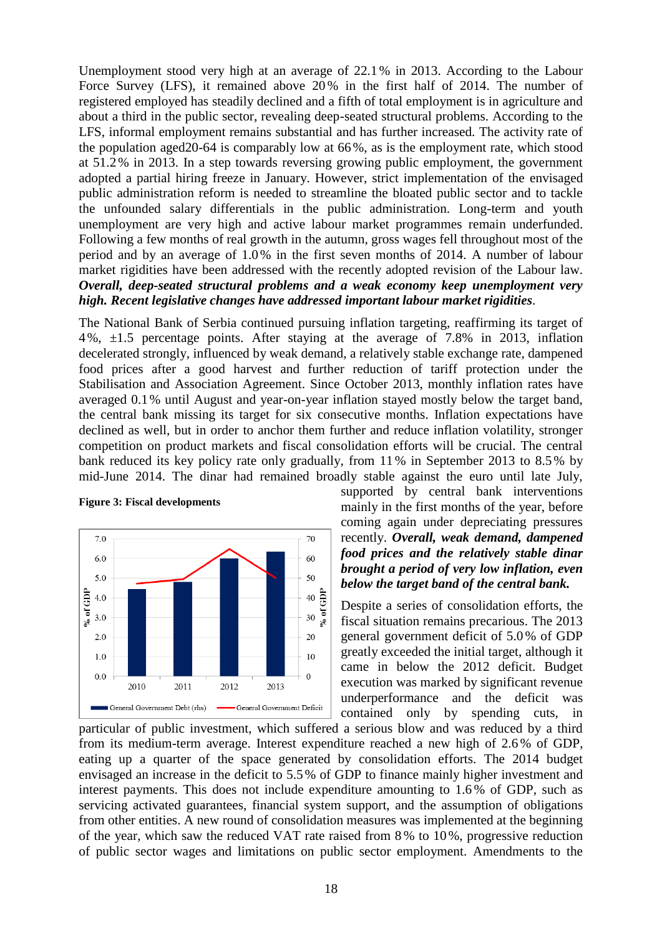Unemployment stood very high at an average of 22.1 % in 2013. According to the Labour Force Survey (LFS), it remained above 20% in the first half of 2014. The number of registered employed has steadily declined and a fifth of total employment is in agriculture and about a third in the public sector, revealing deep-seated structural problems. According to the LFS, informal employment remains substantial and has further increased. The activity rate of the population aged20-64 is comparably low at 66%, as is the employment rate, which stood at 51.2% in 2013. In a step towards reversing growing public employment, the government adopted a partial hiring freeze in January. However, strict implementation of the envisaged public administration reform is needed to streamline the bloated public sector and to tackle the unfounded salary differentials in the public administration. Long-term and youth unemployment are very high and active labour market programmes remain underfunded. Following a few months of real growth in the autumn, gross wages fell throughout most of the period and by an average of 1.0% in the first seven months of 2014. A number of labour market rigidities have been addressed with the recently adopted revision of the Labour law. *Overall, deep-seated structural problems and a weak economy keep unemployment very high. Recent legislative changes have addressed important labour market rigidities.*

The National Bank of Serbia continued pursuing inflation targeting, reaffirming its target of 4%, ±1.5 percentage points. After staying at the average of 7.8% in 2013, inflation decelerated strongly, influenced by weak demand, a relatively stable exchange rate, dampened food prices after a good harvest and further reduction of tariff protection under the Stabilisation and Association Agreement. Since October 2013, monthly inflation rates have averaged 0.1% until August and year-on-year inflation stayed mostly below the target band, the central bank missing its target for six consecutive months. Inflation expectations have declined as well, but in order to anchor them further and reduce inflation volatility, stronger competition on product markets and fiscal consolidation efforts will be crucial. The central bank reduced its key policy rate only gradually, from 11 % in September 2013 to 8.5% by mid-June 2014. The dinar had remained broadly stable against the euro until late July,



#### **Figure 3: Fiscal developments**

supported by central bank interventions mainly in the first months of the year, before coming again under depreciating pressures recently. *Overall, weak demand, dampened food prices and the relatively stable dinar brought a period of very low inflation, even below the target band of the central bank.*

Despite a series of consolidation efforts, the fiscal situation remains precarious. The 2013 general government deficit of 5.0 % of GDP greatly exceeded the initial target, although it came in below the 2012 deficit. Budget execution was marked by significant revenue underperformance and the deficit was contained only by spending cuts, in

particular of public investment, which suffered a serious blow and was reduced by a third from its medium-term average. Interest expenditure reached a new high of 2.6 % of GDP, eating up a quarter of the space generated by consolidation efforts. The 2014 budget envisaged an increase in the deficit to 5.5% of GDP to finance mainly higher investment and interest payments. This does not include expenditure amounting to 1.6 % of GDP, such as servicing activated guarantees, financial system support, and the assumption of obligations from other entities. A new round of consolidation measures was implemented at the beginning of the year, which saw the reduced VAT rate raised from 8 % to 10%, progressive reduction of public sector wages and limitations on public sector employment. Amendments to the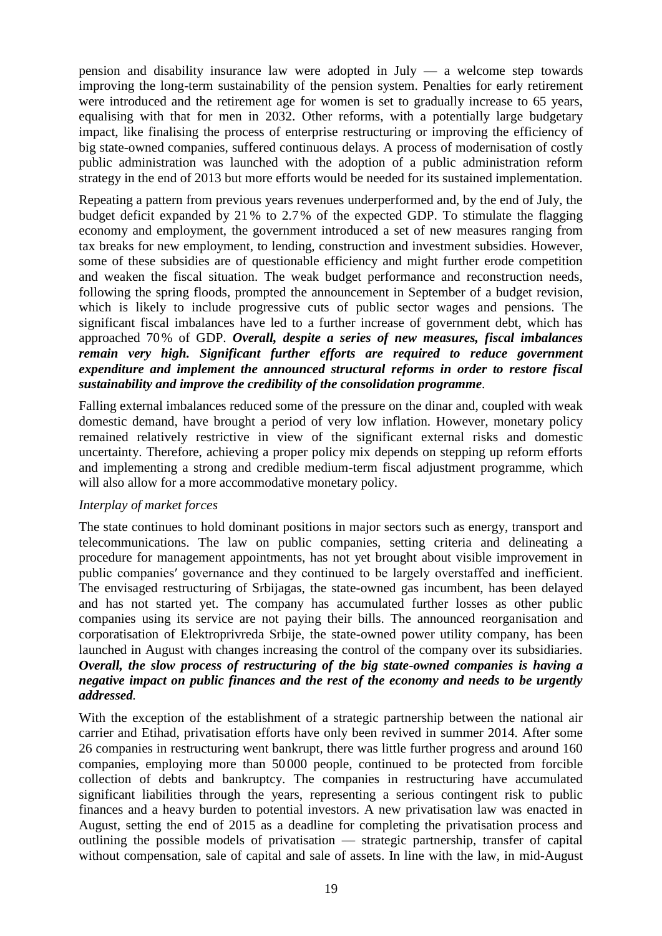pension and disability insurance law were adopted in July — a welcome step towards improving the long-term sustainability of the pension system. Penalties for early retirement were introduced and the retirement age for women is set to gradually increase to 65 years, equalising with that for men in 2032. Other reforms, with a potentially large budgetary impact, like finalising the process of enterprise restructuring or improving the efficiency of big state-owned companies, suffered continuous delays. A process of modernisation of costly public administration was launched with the adoption of a public administration reform strategy in the end of 2013 but more efforts would be needed for its sustained implementation.

Repeating a pattern from previous years revenues underperformed and, by the end of July, the budget deficit expanded by 21 % to 2.7% of the expected GDP. To stimulate the flagging economy and employment, the government introduced a set of new measures ranging from tax breaks for new employment, to lending, construction and investment subsidies. However, some of these subsidies are of questionable efficiency and might further erode competition and weaken the fiscal situation. The weak budget performance and reconstruction needs, following the spring floods, prompted the announcement in September of a budget revision, which is likely to include progressive cuts of public sector wages and pensions. The significant fiscal imbalances have led to a further increase of government debt, which has approached 70% of GDP. *Overall, despite a series of new measures, fiscal imbalances remain very high. Significant further efforts are required to reduce government expenditure and implement the announced structural reforms in order to restore fiscal sustainability and improve the credibility of the consolidation programme.*

Falling external imbalances reduced some of the pressure on the dinar and, coupled with weak domestic demand, have brought a period of very low inflation. However, monetary policy remained relatively restrictive in view of the significant external risks and domestic uncertainty. Therefore, achieving a proper policy mix depends on stepping up reform efforts and implementing a strong and credible medium-term fiscal adjustment programme, which will also allow for a more accommodative monetary policy.

#### *Interplay of market forces*

The state continues to hold dominant positions in major sectors such as energy, transport and telecommunications. The law on public companies, setting criteria and delineating a procedure for management appointments, has not yet brought about visible improvement in public companies′ governance and they continued to be largely overstaffed and inefficient. The envisaged restructuring of Srbijagas, the state-owned gas incumbent, has been delayed and has not started yet. The company has accumulated further losses as other public companies using its service are not paying their bills. The announced reorganisation and corporatisation of Elektroprivreda Srbije, the state-owned power utility company, has been launched in August with changes increasing the control of the company over its subsidiaries. *Overall, the slow process of restructuring of the big state-owned companies is having a negative impact on public finances and the rest of the economy and needs to be urgently addressed.*

With the exception of the establishment of a strategic partnership between the national air carrier and Etihad, privatisation efforts have only been revived in summer 2014. After some 26 companies in restructuring went bankrupt, there was little further progress and around 160 companies, employing more than 50 000 people, continued to be protected from forcible collection of debts and bankruptcy. The companies in restructuring have accumulated significant liabilities through the years, representing a serious contingent risk to public finances and a heavy burden to potential investors. A new privatisation law was enacted in August, setting the end of 2015 as a deadline for completing the privatisation process and outlining the possible models of privatisation — strategic partnership, transfer of capital without compensation, sale of capital and sale of assets. In line with the law, in mid-August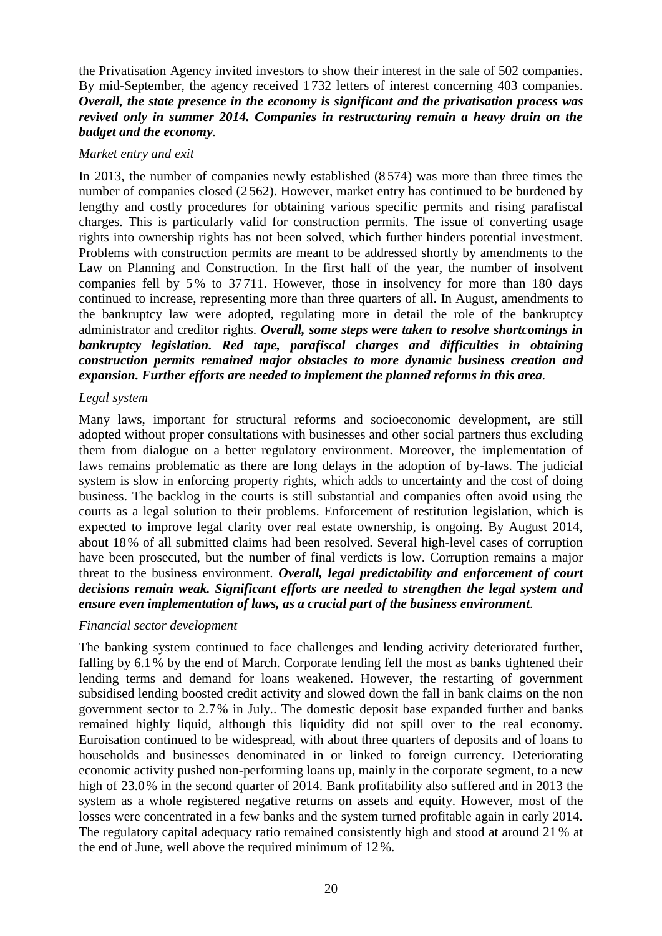the Privatisation Agency invited investors to show their interest in the sale of 502 companies. By mid-September, the agency received 1 732 letters of interest concerning 403 companies. *Overall, the state presence in the economy is significant and the privatisation process was revived only in summer 2014. Companies in restructuring remain a heavy drain on the budget and the economy.*

#### *Market entry and exit*

In 2013, the number of companies newly established (8574) was more than three times the number of companies closed (2 562). However, market entry has continued to be burdened by lengthy and costly procedures for obtaining various specific permits and rising parafiscal charges. This is particularly valid for construction permits. The issue of converting usage rights into ownership rights has not been solved, which further hinders potential investment. Problems with construction permits are meant to be addressed shortly by amendments to the Law on Planning and Construction. In the first half of the year, the number of insolvent companies fell by 5% to 37711. However, those in insolvency for more than 180 days continued to increase, representing more than three quarters of all. In August, amendments to the bankruptcy law were adopted, regulating more in detail the role of the bankruptcy administrator and creditor rights. *Overall, some steps were taken to resolve shortcomings in bankruptcy legislation. Red tape, parafiscal charges and difficulties in obtaining construction permits remained major obstacles to more dynamic business creation and expansion. Further efforts are needed to implement the planned reforms in this area.*

#### *Legal system*

Many laws, important for structural reforms and socioeconomic development, are still adopted without proper consultations with businesses and other social partners thus excluding them from dialogue on a better regulatory environment. Moreover, the implementation of laws remains problematic as there are long delays in the adoption of by-laws. The judicial system is slow in enforcing property rights, which adds to uncertainty and the cost of doing business. The backlog in the courts is still substantial and companies often avoid using the courts as a legal solution to their problems. Enforcement of restitution legislation, which is expected to improve legal clarity over real estate ownership, is ongoing. By August 2014, about 18% of all submitted claims had been resolved. Several high-level cases of corruption have been prosecuted, but the number of final verdicts is low. Corruption remains a major threat to the business environment. *Overall, legal predictability and enforcement of court decisions remain weak. Significant efforts are needed to strengthen the legal system and ensure even implementation of laws, as a crucial part of the business environment.*

#### *Financial sector development*

The banking system continued to face challenges and lending activity deteriorated further, falling by 6.1% by the end of March. Corporate lending fell the most as banks tightened their lending terms and demand for loans weakened. However, the restarting of government subsidised lending boosted credit activity and slowed down the fall in bank claims on the non government sector to 2.7% in July.. The domestic deposit base expanded further and banks remained highly liquid, although this liquidity did not spill over to the real economy. Euroisation continued to be widespread, with about three quarters of deposits and of loans to households and businesses denominated in or linked to foreign currency. Deteriorating economic activity pushed non-performing loans up, mainly in the corporate segment, to a new high of 23.0% in the second quarter of 2014. Bank profitability also suffered and in 2013 the system as a whole registered negative returns on assets and equity. However, most of the losses were concentrated in a few banks and the system turned profitable again in early 2014. The regulatory capital adequacy ratio remained consistently high and stood at around 21 % at the end of June, well above the required minimum of 12%.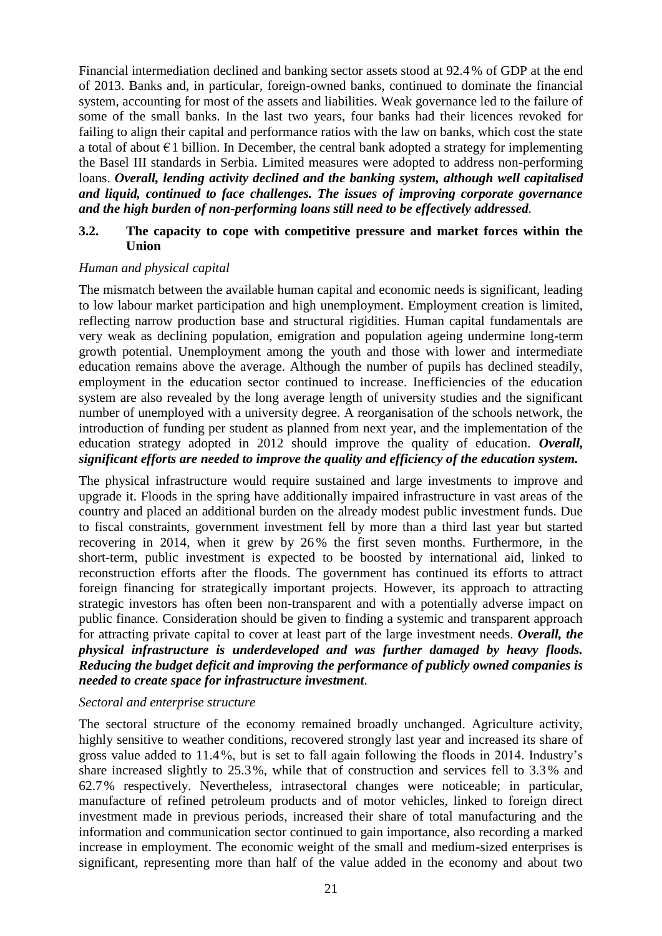Financial intermediation declined and banking sector assets stood at 92.4 % of GDP at the end of 2013. Banks and, in particular, foreign-owned banks, continued to dominate the financial system, accounting for most of the assets and liabilities. Weak governance led to the failure of some of the small banks. In the last two years, four banks had their licences revoked for failing to align their capital and performance ratios with the law on banks, which cost the state a total of about  $\epsilon$ 1 billion. In December, the central bank adopted a strategy for implementing the Basel III standards in Serbia. Limited measures were adopted to address non-performing loans. *Overall, lending activity declined and the banking system, although well capitalised and liquid, continued to face challenges. The issues of improving corporate governance and the high burden of non-performing loans still need to be effectively addressed.*

#### <span id="page-21-0"></span>**3.2. The capacity to cope with competitive pressure and market forces within the Union**

#### *Human and physical capital*

The mismatch between the available human capital and economic needs is significant, leading to low labour market participation and high unemployment. Employment creation is limited, reflecting narrow production base and structural rigidities. Human capital fundamentals are very weak as declining population, emigration and population ageing undermine long-term growth potential. Unemployment among the youth and those with lower and intermediate education remains above the average. Although the number of pupils has declined steadily, employment in the education sector continued to increase. Inefficiencies of the education system are also revealed by the long average length of university studies and the significant number of unemployed with a university degree. A reorganisation of the schools network, the introduction of funding per student as planned from next year, and the implementation of the education strategy adopted in 2012 should improve the quality of education. *Overall, significant efforts are needed to improve the quality and efficiency of the education system.*

The physical infrastructure would require sustained and large investments to improve and upgrade it. Floods in the spring have additionally impaired infrastructure in vast areas of the country and placed an additional burden on the already modest public investment funds. Due to fiscal constraints, government investment fell by more than a third last year but started recovering in 2014, when it grew by 26 % the first seven months. Furthermore, in the short-term, public investment is expected to be boosted by international aid, linked to reconstruction efforts after the floods. The government has continued its efforts to attract foreign financing for strategically important projects. However, its approach to attracting strategic investors has often been non-transparent and with a potentially adverse impact on public finance. Consideration should be given to finding a systemic and transparent approach for attracting private capital to cover at least part of the large investment needs. *Overall, the physical infrastructure is underdeveloped and was further damaged by heavy floods. Reducing the budget deficit and improving the performance of publicly owned companies is needed to create space for infrastructure investment.*

#### *Sectoral and enterprise structure*

The sectoral structure of the economy remained broadly unchanged. Agriculture activity, highly sensitive to weather conditions, recovered strongly last year and increased its share of gross value added to 11.4%, but is set to fall again following the floods in 2014. Industry's share increased slightly to 25.3%, while that of construction and services fell to 3.3% and 62.7% respectively. Nevertheless, intrasectoral changes were noticeable; in particular, manufacture of refined petroleum products and of motor vehicles, linked to foreign direct investment made in previous periods, increased their share of total manufacturing and the information and communication sector continued to gain importance, also recording a marked increase in employment. The economic weight of the small and medium-sized enterprises is significant, representing more than half of the value added in the economy and about two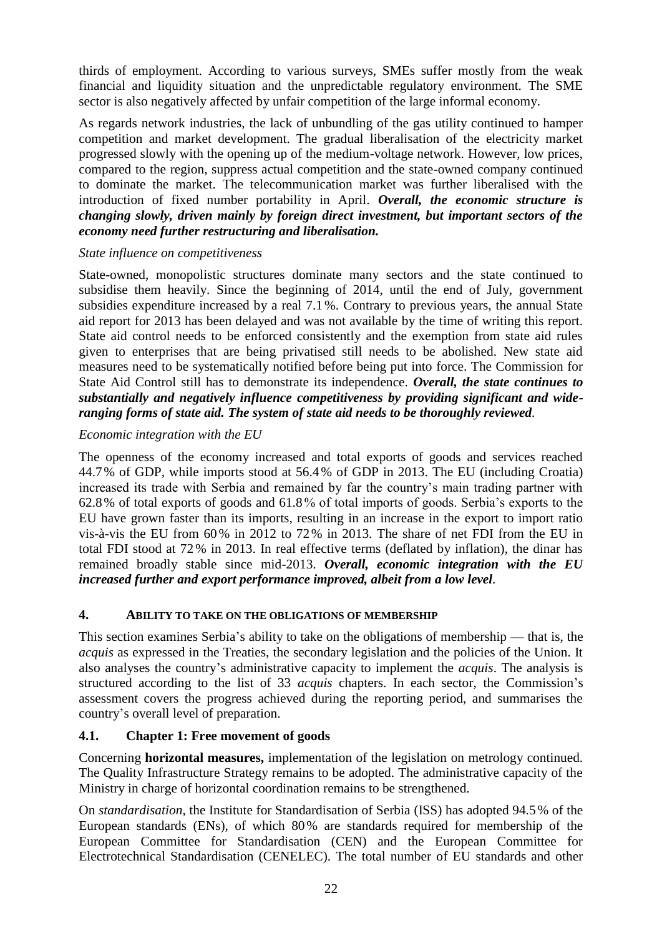thirds of employment. According to various surveys, SMEs suffer mostly from the weak financial and liquidity situation and the unpredictable regulatory environment. The SME sector is also negatively affected by unfair competition of the large informal economy.

As regards network industries, the lack of unbundling of the gas utility continued to hamper competition and market development. The gradual liberalisation of the electricity market progressed slowly with the opening up of the medium-voltage network. However, low prices, compared to the region, suppress actual competition and the state-owned company continued to dominate the market. The telecommunication market was further liberalised with the introduction of fixed number portability in April. *Overall, the economic structure is changing slowly, driven mainly by foreign direct investment, but important sectors of the economy need further restructuring and liberalisation.*

#### *State influence on competitiveness*

State-owned, monopolistic structures dominate many sectors and the state continued to subsidise them heavily. Since the beginning of 2014, until the end of July, government subsidies expenditure increased by a real 7.1%. Contrary to previous years, the annual State aid report for 2013 has been delayed and was not available by the time of writing this report. State aid control needs to be enforced consistently and the exemption from state aid rules given to enterprises that are being privatised still needs to be abolished. New state aid measures need to be systematically notified before being put into force. The Commission for State Aid Control still has to demonstrate its independence. *Overall, the state continues to substantially and negatively influence competitiveness by providing significant and wideranging forms of state aid. The system of state aid needs to be thoroughly reviewed.*

### *Economic integration with the EU*

The openness of the economy increased and total exports of goods and services reached 44.7% of GDP, while imports stood at 56.4% of GDP in 2013. The EU (including Croatia) increased its trade with Serbia and remained by far the country's main trading partner with 62.8% of total exports of goods and 61.8% of total imports of goods. Serbia's exports to the EU have grown faster than its imports, resulting in an increase in the export to import ratio vis-à-vis the EU from 60% in 2012 to 72% in 2013. The share of net FDI from the EU in total FDI stood at 72% in 2013. In real effective terms (deflated by inflation), the dinar has remained broadly stable since mid-2013. *Overall, economic integration with the EU increased further and export performance improved, albeit from a low level.*

### <span id="page-22-0"></span>**4. ABILITY TO TAKE ON THE OBLIGATIONS OF MEMBERSHIP**

This section examines Serbia's ability to take on the obligations of membership — that is, the *acquis* as expressed in the Treaties, the secondary legislation and the policies of the Union. It also analyses the country's administrative capacity to implement the *acquis*. The analysis is structured according to the list of 33 *acquis* chapters. In each sector, the Commission's assessment covers the progress achieved during the reporting period, and summarises the country's overall level of preparation.

### <span id="page-22-1"></span>**4.1. Chapter 1: Free movement of goods**

Concerning **horizontal measures,** implementation of the legislation on metrology continued. The Quality Infrastructure Strategy remains to be adopted. The administrative capacity of the Ministry in charge of horizontal coordination remains to be strengthened.

On *standardisation*, the Institute for Standardisation of Serbia (ISS) has adopted 94.5% of the European standards (ENs), of which 80% are standards required for membership of the European Committee for Standardisation (CEN) and the European Committee for Electrotechnical Standardisation (CENELEC). The total number of EU standards and other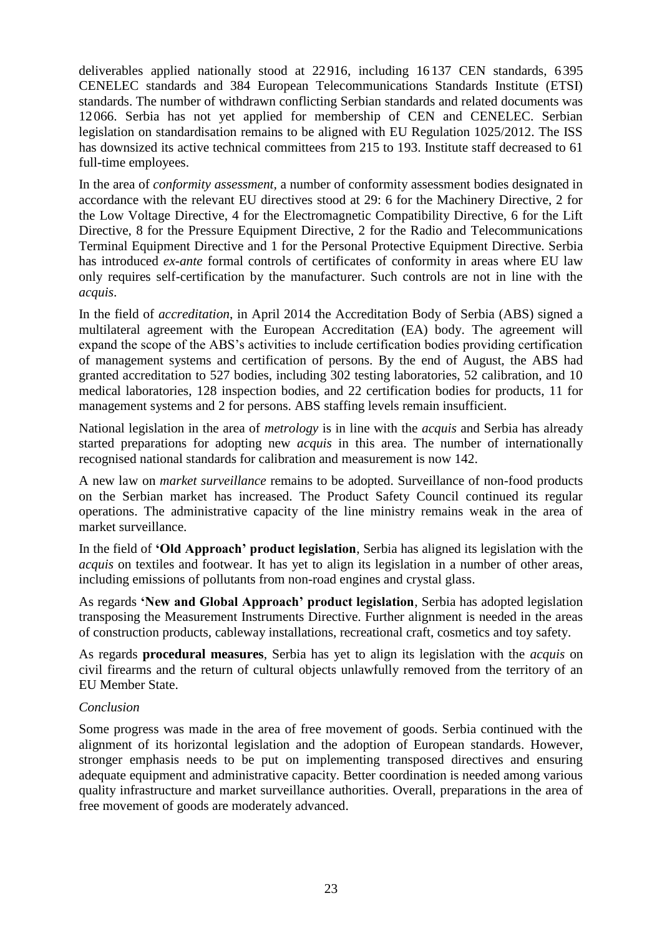deliverables applied nationally stood at 22916, including 16137 CEN standards, 6395 CENELEC standards and 384 European Telecommunications Standards Institute (ETSI) standards. The number of withdrawn conflicting Serbian standards and related documents was 12066. Serbia has not yet applied for membership of CEN and CENELEC. Serbian legislation on standardisation remains to be aligned with EU Regulation 1025/2012. The ISS has downsized its active technical committees from 215 to 193. Institute staff decreased to 61 full-time employees.

In the area of *conformity assessment,* a number of conformity assessment bodies designated in accordance with the relevant EU directives stood at 29: 6 for the Machinery Directive, 2 for the Low Voltage Directive, 4 for the Electromagnetic Compatibility Directive, 6 for the Lift Directive, 8 for the Pressure Equipment Directive, 2 for the Radio and Telecommunications Terminal Equipment Directive and 1 for the Personal Protective Equipment Directive. Serbia has introduced *ex-ante* formal controls of certificates of conformity in areas where EU law only requires self-certification by the manufacturer. Such controls are not in line with the *acquis*.

In the field of *accreditation*, in April 2014 the Accreditation Body of Serbia (ABS) signed a multilateral agreement with the European Accreditation (EA) body. The agreement will expand the scope of the ABS's activities to include certification bodies providing certification of management systems and certification of persons. By the end of August, the ABS had granted accreditation to 527 bodies, including 302 testing laboratories, 52 calibration, and 10 medical laboratories, 128 inspection bodies, and 22 certification bodies for products, 11 for management systems and 2 for persons. ABS staffing levels remain insufficient.

National legislation in the area of *metrology* is in line with the *acquis* and Serbia has already started preparations for adopting new *acquis* in this area. The number of internationally recognised national standards for calibration and measurement is now 142.

A new law on *market surveillance* remains to be adopted. Surveillance of non-food products on the Serbian market has increased. The Product Safety Council continued its regular operations. The administrative capacity of the line ministry remains weak in the area of market surveillance.

In the field of **'Old Approach' product legislation**, Serbia has aligned its legislation with the *acquis* on textiles and footwear. It has yet to align its legislation in a number of other areas, including emissions of pollutants from non-road engines and crystal glass.

As regards **'New and Global Approach' product legislation**, Serbia has adopted legislation transposing the Measurement Instruments Directive. Further alignment is needed in the areas of construction products, cableway installations, recreational craft, cosmetics and toy safety.

As regards **procedural measures**, Serbia has yet to align its legislation with the *acquis* on civil firearms and the return of cultural objects unlawfully removed from the territory of an EU Member State.

### *Conclusion*

Some progress was made in the area of free movement of goods. Serbia continued with the alignment of its horizontal legislation and the adoption of European standards. However, stronger emphasis needs to be put on implementing transposed directives and ensuring adequate equipment and administrative capacity. Better coordination is needed among various quality infrastructure and market surveillance authorities. Overall, preparations in the area of free movement of goods are moderately advanced.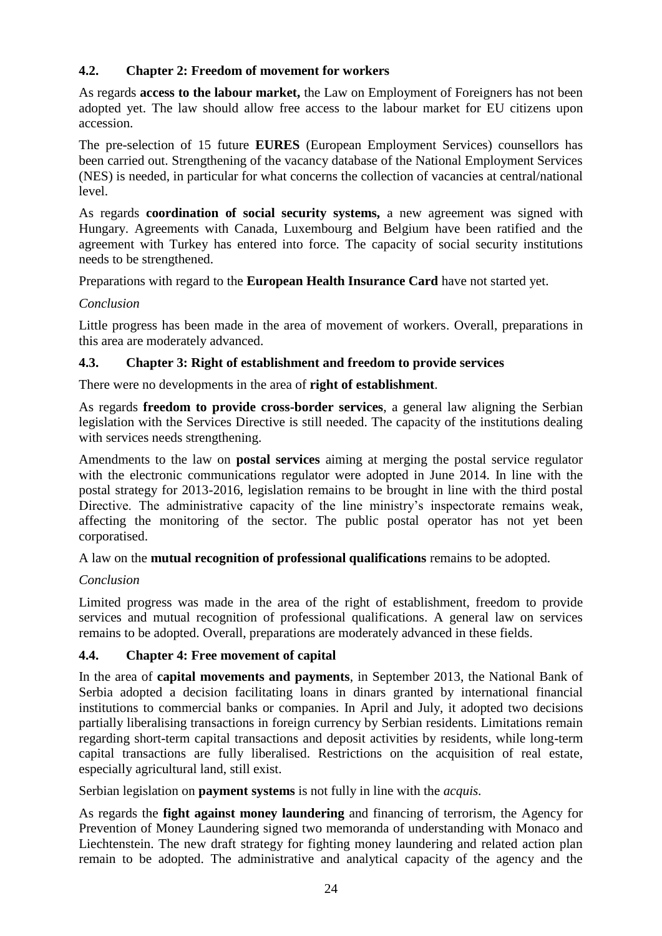### <span id="page-24-0"></span>**4.2. Chapter 2: Freedom of movement for workers**

As regards **access to the labour market,** the Law on Employment of Foreigners has not been adopted yet. The law should allow free access to the labour market for EU citizens upon accession.

The pre-selection of 15 future **EURES** (European Employment Services) counsellors has been carried out. Strengthening of the vacancy database of the National Employment Services (NES) is needed, in particular for what concerns the collection of vacancies at central/national level.

As regards **coordination of social security systems,** a new agreement was signed with Hungary. Agreements with Canada, Luxembourg and Belgium have been ratified and the agreement with Turkey has entered into force. The capacity of social security institutions needs to be strengthened.

Preparations with regard to the **European Health Insurance Card** have not started yet.

### *Conclusion*

Little progress has been made in the area of movement of workers. Overall, preparations in this area are moderately advanced.

### <span id="page-24-1"></span>**4.3. Chapter 3: Right of establishment and freedom to provide services**

There were no developments in the area of **right of establishment**.

As regards **freedom to provide cross-border services**, a general law aligning the Serbian legislation with the Services Directive is still needed. The capacity of the institutions dealing with services needs strengthening.

Amendments to the law on **postal services** aiming at merging the postal service regulator with the electronic communications regulator were adopted in June 2014. In line with the postal strategy for 2013-2016, legislation remains to be brought in line with the third postal Directive. The administrative capacity of the line ministry's inspectorate remains weak, affecting the monitoring of the sector. The public postal operator has not yet been corporatised.

A law on the **mutual recognition of professional qualifications** remains to be adopted.

### *Conclusion*

Limited progress was made in the area of the right of establishment, freedom to provide services and mutual recognition of professional qualifications. A general law on services remains to be adopted. Overall, preparations are moderately advanced in these fields.

### <span id="page-24-2"></span>**4.4. Chapter 4: Free movement of capital**

In the area of **capital movements and payments**, in September 2013, the National Bank of Serbia adopted a decision facilitating loans in dinars granted by international financial institutions to commercial banks or companies. In April and July, it adopted two decisions partially liberalising transactions in foreign currency by Serbian residents. Limitations remain regarding short-term capital transactions and deposit activities by residents, while long-term capital transactions are fully liberalised. Restrictions on the acquisition of real estate, especially agricultural land, still exist.

Serbian legislation on **payment systems** is not fully in line with the *acquis.*

As regards the **fight against money laundering** and financing of terrorism, the Agency for Prevention of Money Laundering signed two memoranda of understanding with Monaco and Liechtenstein. The new draft strategy for fighting money laundering and related action plan remain to be adopted. The administrative and analytical capacity of the agency and the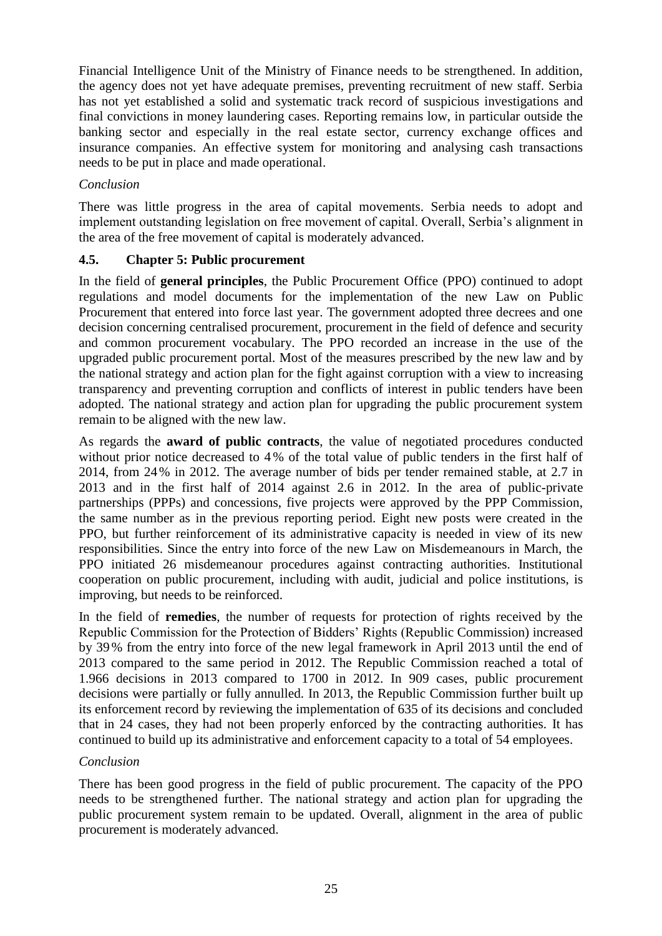Financial Intelligence Unit of the Ministry of Finance needs to be strengthened. In addition, the agency does not yet have adequate premises, preventing recruitment of new staff. Serbia has not yet established a solid and systematic track record of suspicious investigations and final convictions in money laundering cases. Reporting remains low, in particular outside the banking sector and especially in the real estate sector, currency exchange offices and insurance companies. An effective system for monitoring and analysing cash transactions needs to be put in place and made operational.

### *Conclusion*

There was little progress in the area of capital movements. Serbia needs to adopt and implement outstanding legislation on free movement of capital. Overall, Serbia's alignment in the area of the free movement of capital is moderately advanced.

### <span id="page-25-0"></span>**4.5. Chapter 5: Public procurement**

In the field of **general principles**, the Public Procurement Office (PPO) continued to adopt regulations and model documents for the implementation of the new Law on Public Procurement that entered into force last year. The government adopted three decrees and one decision concerning centralised procurement, procurement in the field of defence and security and common procurement vocabulary. The PPO recorded an increase in the use of the upgraded public procurement portal. Most of the measures prescribed by the new law and by the national strategy and action plan for the fight against corruption with a view to increasing transparency and preventing corruption and conflicts of interest in public tenders have been adopted. The national strategy and action plan for upgrading the public procurement system remain to be aligned with the new law.

As regards the **award of public contracts**, the value of negotiated procedures conducted without prior notice decreased to 4% of the total value of public tenders in the first half of 2014, from 24% in 2012. The average number of bids per tender remained stable, at 2.7 in 2013 and in the first half of 2014 against 2.6 in 2012. In the area of public-private partnerships (PPPs) and concessions, five projects were approved by the PPP Commission, the same number as in the previous reporting period. Eight new posts were created in the PPO, but further reinforcement of its administrative capacity is needed in view of its new responsibilities. Since the entry into force of the new Law on Misdemeanours in March, the PPO initiated 26 misdemeanour procedures against contracting authorities. Institutional cooperation on public procurement, including with audit, judicial and police institutions, is improving, but needs to be reinforced.

In the field of **remedies**, the number of requests for protection of rights received by the Republic Commission for the Protection of Bidders' Rights (Republic Commission) increased by 39% from the entry into force of the new legal framework in April 2013 until the end of 2013 compared to the same period in 2012. The Republic Commission reached a total of 1.966 decisions in 2013 compared to 1700 in 2012. In 909 cases, public procurement decisions were partially or fully annulled. In 2013, the Republic Commission further built up its enforcement record by reviewing the implementation of 635 of its decisions and concluded that in 24 cases, they had not been properly enforced by the contracting authorities. It has continued to build up its administrative and enforcement capacity to a total of 54 employees.

### *Conclusion*

There has been good progress in the field of public procurement. The capacity of the PPO needs to be strengthened further. The national strategy and action plan for upgrading the public procurement system remain to be updated. Overall, alignment in the area of public procurement is moderately advanced.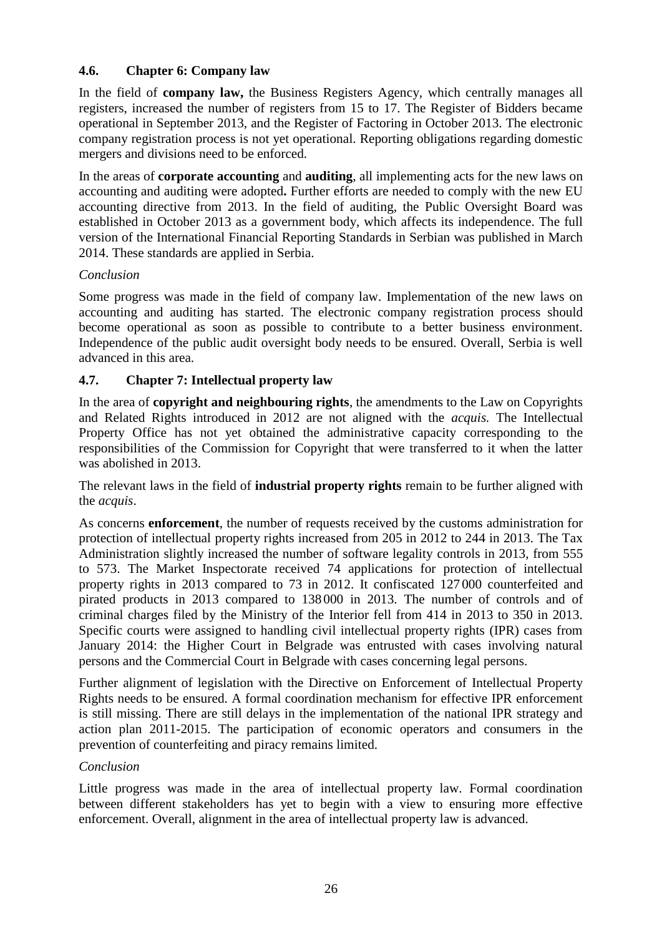### <span id="page-26-0"></span>**4.6. Chapter 6: Company law**

In the field of **company law,** the Business Registers Agency, which centrally manages all registers, increased the number of registers from 15 to 17. The Register of Bidders became operational in September 2013, and the Register of Factoring in October 2013. The electronic company registration process is not yet operational. Reporting obligations regarding domestic mergers and divisions need to be enforced.

In the areas of **corporate accounting** and **auditing**, all implementing acts for the new laws on accounting and auditing were adopted**.** Further efforts are needed to comply with the new EU accounting directive from 2013. In the field of auditing, the Public Oversight Board was established in October 2013 as a government body, which affects its independence. The full version of the International Financial Reporting Standards in Serbian was published in March 2014. These standards are applied in Serbia.

### *Conclusion*

Some progress was made in the field of company law. Implementation of the new laws on accounting and auditing has started. The electronic company registration process should become operational as soon as possible to contribute to a better business environment. Independence of the public audit oversight body needs to be ensured. Overall, Serbia is well advanced in this area.

### <span id="page-26-1"></span>**4.7. Chapter 7: Intellectual property law**

In the area of **copyright and neighbouring rights**, the amendments to the Law on Copyrights and Related Rights introduced in 2012 are not aligned with the *acquis.* The Intellectual Property Office has not yet obtained the administrative capacity corresponding to the responsibilities of the Commission for Copyright that were transferred to it when the latter was abolished in 2013.

The relevant laws in the field of **industrial property rights** remain to be further aligned with the *acquis*.

As concerns **enforcement**, the number of requests received by the customs administration for protection of intellectual property rights increased from 205 in 2012 to 244 in 2013. The Tax Administration slightly increased the number of software legality controls in 2013, from 555 to 573. The Market Inspectorate received 74 applications for protection of intellectual property rights in 2013 compared to 73 in 2012. It confiscated 127 000 counterfeited and pirated products in 2013 compared to 138 000 in 2013. The number of controls and of criminal charges filed by the Ministry of the Interior fell from 414 in 2013 to 350 in 2013. Specific courts were assigned to handling civil intellectual property rights (IPR) cases from January 2014: the Higher Court in Belgrade was entrusted with cases involving natural persons and the Commercial Court in Belgrade with cases concerning legal persons.

Further alignment of legislation with the Directive on Enforcement of Intellectual Property Rights needs to be ensured. A formal coordination mechanism for effective IPR enforcement is still missing. There are still delays in the implementation of the national IPR strategy and action plan 2011-2015. The participation of economic operators and consumers in the prevention of counterfeiting and piracy remains limited.

### *Conclusion*

Little progress was made in the area of intellectual property law. Formal coordination between different stakeholders has yet to begin with a view to ensuring more effective enforcement. Overall, alignment in the area of intellectual property law is advanced.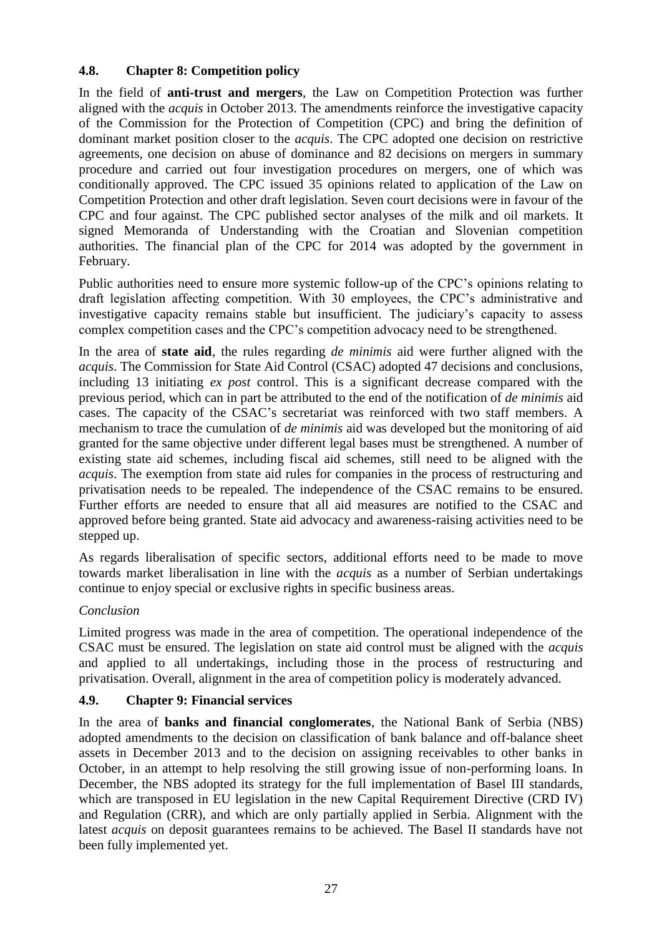### <span id="page-27-0"></span>**4.8. Chapter 8: Competition policy**

In the field of **anti-trust and mergers**, the Law on Competition Protection was further aligned with the *acquis* in October 2013. The amendments reinforce the investigative capacity of the Commission for the Protection of Competition (CPC) and bring the definition of dominant market position closer to the *acquis*. The CPC adopted one decision on restrictive agreements, one decision on abuse of dominance and 82 decisions on mergers in summary procedure and carried out four investigation procedures on mergers, one of which was conditionally approved. The CPC issued 35 opinions related to application of the Law on Competition Protection and other draft legislation. Seven court decisions were in favour of the CPC and four against. The CPC published sector analyses of the milk and oil markets. It signed Memoranda of Understanding with the Croatian and Slovenian competition authorities. The financial plan of the CPC for 2014 was adopted by the government in February.

Public authorities need to ensure more systemic follow-up of the CPC's opinions relating to draft legislation affecting competition. With 30 employees, the CPC's administrative and investigative capacity remains stable but insufficient. The judiciary's capacity to assess complex competition cases and the CPC's competition advocacy need to be strengthened.

In the area of **state aid**, the rules regarding *de minimis* aid were further aligned with the *acquis*. The Commission for State Aid Control (CSAC) adopted 47 decisions and conclusions, including 13 initiating *ex post* control. This is a significant decrease compared with the previous period, which can in part be attributed to the end of the notification of *de minimis* aid cases. The capacity of the CSAC's secretariat was reinforced with two staff members. A mechanism to trace the cumulation of *de minimis* aid was developed but the monitoring of aid granted for the same objective under different legal bases must be strengthened. A number of existing state aid schemes, including fiscal aid schemes, still need to be aligned with the *acquis*. The exemption from state aid rules for companies in the process of restructuring and privatisation needs to be repealed. The independence of the CSAC remains to be ensured. Further efforts are needed to ensure that all aid measures are notified to the CSAC and approved before being granted. State aid advocacy and awareness-raising activities need to be stepped up.

As regards liberalisation of specific sectors, additional efforts need to be made to move towards market liberalisation in line with the *acquis* as a number of Serbian undertakings continue to enjoy special or exclusive rights in specific business areas.

### *Conclusion*

Limited progress was made in the area of competition. The operational independence of the CSAC must be ensured. The legislation on state aid control must be aligned with the *acquis* and applied to all undertakings, including those in the process of restructuring and privatisation. Overall, alignment in the area of competition policy is moderately advanced.

### <span id="page-27-1"></span>**4.9. Chapter 9: Financial services**

In the area of **banks and financial conglomerates**, the National Bank of Serbia (NBS) adopted amendments to the decision on classification of bank balance and off-balance sheet assets in December 2013 and to the decision on assigning receivables to other banks in October, in an attempt to help resolving the still growing issue of non-performing loans. In December, the NBS adopted its strategy for the full implementation of Basel III standards, which are transposed in EU legislation in the new Capital Requirement Directive (CRD IV) and Regulation (CRR), and which are only partially applied in Serbia. Alignment with the latest *acquis* on deposit guarantees remains to be achieved. The Basel II standards have not been fully implemented yet.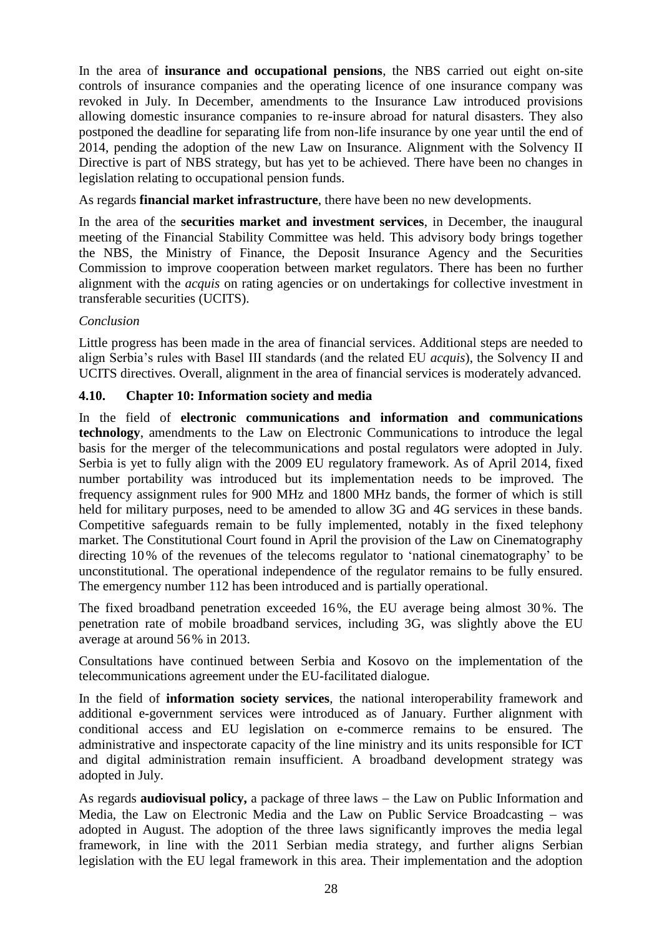In the area of **insurance and occupational pensions**, the NBS carried out eight on-site controls of insurance companies and the operating licence of one insurance company was revoked in July. In December, amendments to the Insurance Law introduced provisions allowing domestic insurance companies to re-insure abroad for natural disasters. They also postponed the deadline for separating life from non-life insurance by one year until the end of 2014, pending the adoption of the new Law on Insurance. Alignment with the Solvency II Directive is part of NBS strategy, but has yet to be achieved. There have been no changes in legislation relating to occupational pension funds.

As regards **financial market infrastructure**, there have been no new developments.

In the area of the **securities market and investment services**, in December, the inaugural meeting of the Financial Stability Committee was held. This advisory body brings together the NBS, the Ministry of Finance, the Deposit Insurance Agency and the Securities Commission to improve cooperation between market regulators. There has been no further alignment with the *acquis* on rating agencies or on undertakings for collective investment in transferable securities (UCITS).

### *Conclusion*

Little progress has been made in the area of financial services. Additional steps are needed to align Serbia's rules with Basel III standards (and the related EU *acquis*), the Solvency II and UCITS directives. Overall, alignment in the area of financial services is moderately advanced.

### <span id="page-28-0"></span>**4.10. Chapter 10: Information society and media**

In the field of **electronic communications and information and communications technology**, amendments to the Law on Electronic Communications to introduce the legal basis for the merger of the telecommunications and postal regulators were adopted in July. Serbia is yet to fully align with the 2009 EU regulatory framework. As of April 2014, fixed number portability was introduced but its implementation needs to be improved. The frequency assignment rules for 900 MHz and 1800 MHz bands, the former of which is still held for military purposes, need to be amended to allow 3G and 4G services in these bands. Competitive safeguards remain to be fully implemented, notably in the fixed telephony market. The Constitutional Court found in April the provision of the Law on Cinematography directing 10% of the revenues of the telecoms regulator to 'national cinematography' to be unconstitutional. The operational independence of the regulator remains to be fully ensured. The emergency number 112 has been introduced and is partially operational.

The fixed broadband penetration exceeded 16%, the EU average being almost 30%. The penetration rate of mobile broadband services, including 3G, was slightly above the EU average at around 56% in 2013.

Consultations have continued between Serbia and Kosovo on the implementation of the telecommunications agreement under the EU-facilitated dialogue.

In the field of **information society services**, the national interoperability framework and additional e-government services were introduced as of January. Further alignment with conditional access and EU legislation on e-commerce remains to be ensured. The administrative and inspectorate capacity of the line ministry and its units responsible for ICT and digital administration remain insufficient. A broadband development strategy was adopted in July.

As regards **audiovisual policy**, a package of three laws – the Law on Public Information and Media, the Law on Electronic Media and the Law on Public Service Broadcasting  $-$  was adopted in August. The adoption of the three laws significantly improves the media legal framework, in line with the 2011 Serbian media strategy, and further aligns Serbian legislation with the EU legal framework in this area. Their implementation and the adoption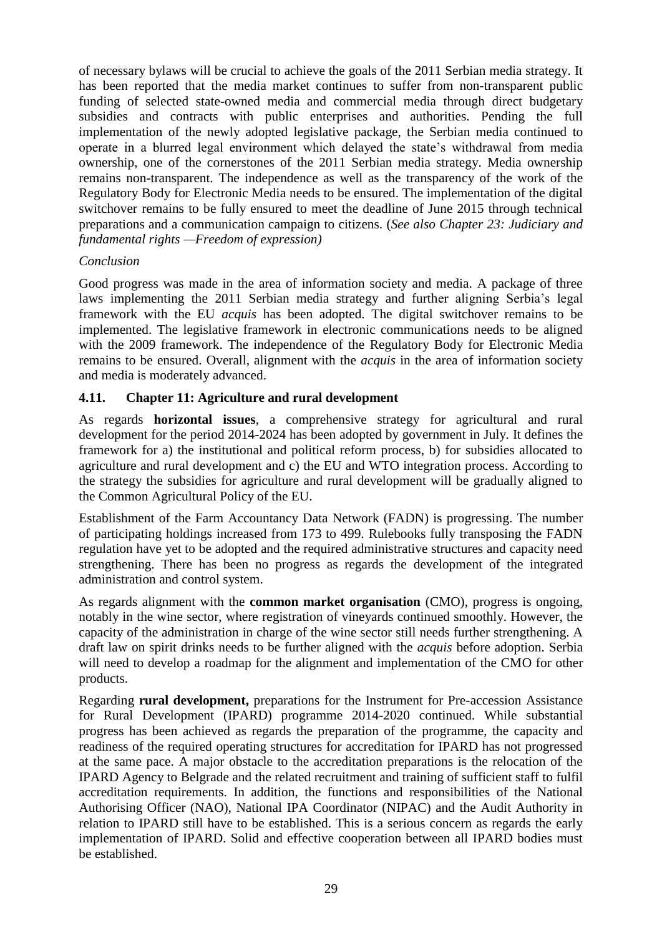of necessary bylaws will be crucial to achieve the goals of the 2011 Serbian media strategy. It has been reported that the media market continues to suffer from non-transparent public funding of selected state-owned media and commercial media through direct budgetary subsidies and contracts with public enterprises and authorities. Pending the full implementation of the newly adopted legislative package, the Serbian media continued to operate in a blurred legal environment which delayed the state's withdrawal from media ownership, one of the cornerstones of the 2011 Serbian media strategy. Media ownership remains non-transparent. The independence as well as the transparency of the work of the Regulatory Body for Electronic Media needs to be ensured. The implementation of the digital switchover remains to be fully ensured to meet the deadline of June 2015 through technical preparations and a communication campaign to citizens. (*See also Chapter 23: Judiciary and fundamental rights —Freedom of expression)*

### *Conclusion*

Good progress was made in the area of information society and media. A package of three laws implementing the 2011 Serbian media strategy and further aligning Serbia's legal framework with the EU *acquis* has been adopted. The digital switchover remains to be implemented. The legislative framework in electronic communications needs to be aligned with the 2009 framework. The independence of the Regulatory Body for Electronic Media remains to be ensured. Overall, alignment with the *acquis* in the area of information society and media is moderately advanced.

### <span id="page-29-0"></span>**4.11. Chapter 11: Agriculture and rural development**

As regards **horizontal issues**, a comprehensive strategy for agricultural and rural development for the period 2014-2024 has been adopted by government in July. It defines the framework for a) the institutional and political reform process, b) for subsidies allocated to agriculture and rural development and c) the EU and WTO integration process. According to the strategy the subsidies for agriculture and rural development will be gradually aligned to the Common Agricultural Policy of the EU.

Establishment of the Farm Accountancy Data Network (FADN) is progressing. The number of participating holdings increased from 173 to 499. Rulebooks fully transposing the FADN regulation have yet to be adopted and the required administrative structures and capacity need strengthening. There has been no progress as regards the development of the integrated administration and control system.

As regards alignment with the **common market organisation** (CMO), progress is ongoing, notably in the wine sector, where registration of vineyards continued smoothly. However, the capacity of the administration in charge of the wine sector still needs further strengthening. A draft law on spirit drinks needs to be further aligned with the *acquis* before adoption. Serbia will need to develop a roadmap for the alignment and implementation of the CMO for other products.

Regarding **rural development,** preparations for the Instrument for Pre-accession Assistance for Rural Development (IPARD) programme 2014-2020 continued. While substantial progress has been achieved as regards the preparation of the programme, the capacity and readiness of the required operating structures for accreditation for IPARD has not progressed at the same pace. A major obstacle to the accreditation preparations is the relocation of the IPARD Agency to Belgrade and the related recruitment and training of sufficient staff to fulfil accreditation requirements. In addition, the functions and responsibilities of the National Authorising Officer (NAO), National IPA Coordinator (NIPAC) and the Audit Authority in relation to IPARD still have to be established. This is a serious concern as regards the early implementation of IPARD. Solid and effective cooperation between all IPARD bodies must be established.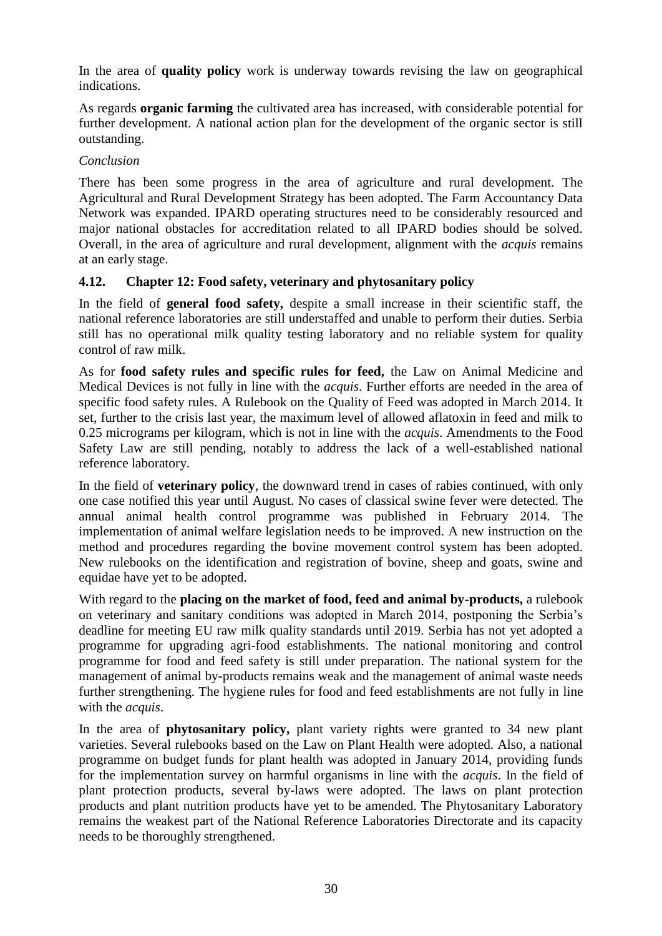In the area of **quality policy** work is underway towards revising the law on geographical indications.

As regards **organic farming** the cultivated area has increased, with considerable potential for further development. A national action plan for the development of the organic sector is still outstanding.

#### *Conclusion*

There has been some progress in the area of agriculture and rural development. The Agricultural and Rural Development Strategy has been adopted. The Farm Accountancy Data Network was expanded. IPARD operating structures need to be considerably resourced and major national obstacles for accreditation related to all IPARD bodies should be solved. Overall, in the area of agriculture and rural development, alignment with the *acquis* remains at an early stage.

### <span id="page-30-0"></span>**4.12. Chapter 12: Food safety, veterinary and phytosanitary policy**

In the field of **general food safety,** despite a small increase in their scientific staff, the national reference laboratories are still understaffed and unable to perform their duties. Serbia still has no operational milk quality testing laboratory and no reliable system for quality control of raw milk.

As for **food safety rules and specific rules for feed,** the Law on Animal Medicine and Medical Devices is not fully in line with the *acquis*. Further efforts are needed in the area of specific food safety rules. A Rulebook on the Quality of Feed was adopted in March 2014. It set, further to the crisis last year, the maximum level of allowed aflatoxin in feed and milk to 0.25 micrograms per kilogram, which is not in line with the *acquis*. Amendments to the Food Safety Law are still pending, notably to address the lack of a well-established national reference laboratory.

In the field of **veterinary policy**, the downward trend in cases of rabies continued, with only one case notified this year until August. No cases of classical swine fever were detected. The annual animal health control programme was published in February 2014. The implementation of animal welfare legislation needs to be improved. A new instruction on the method and procedures regarding the bovine movement control system has been adopted. New rulebooks on the identification and registration of bovine, sheep and goats, swine and equidae have yet to be adopted.

With regard to the **placing on the market of food, feed and animal by-products,** a rulebook on veterinary and sanitary conditions was adopted in March 2014, postponing the Serbia's deadline for meeting EU raw milk quality standards until 2019. Serbia has not yet adopted a programme for upgrading agri-food establishments. The national monitoring and control programme for food and feed safety is still under preparation. The national system for the management of animal by-products remains weak and the management of animal waste needs further strengthening. The hygiene rules for food and feed establishments are not fully in line with the *acquis*.

In the area of **phytosanitary policy,** plant variety rights were granted to 34 new plant varieties. Several rulebooks based on the Law on Plant Health were adopted. Also, a national programme on budget funds for plant health was adopted in January 2014, providing funds for the implementation survey on harmful organisms in line with the *acquis*. In the field of plant protection products, several by-laws were adopted. The laws on plant protection products and plant nutrition products have yet to be amended. The Phytosanitary Laboratory remains the weakest part of the National Reference Laboratories Directorate and its capacity needs to be thoroughly strengthened.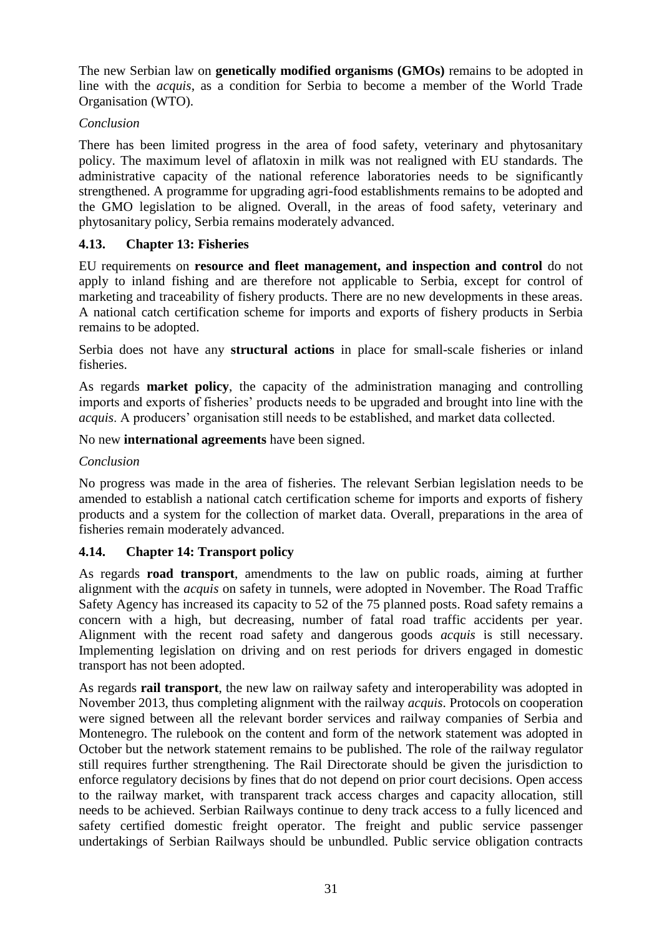The new Serbian law on **genetically modified organisms (GMOs)** remains to be adopted in line with the *acquis*, as a condition for Serbia to become a member of the World Trade Organisation (WTO).

### *Conclusion*

There has been limited progress in the area of food safety, veterinary and phytosanitary policy. The maximum level of aflatoxin in milk was not realigned with EU standards. The administrative capacity of the national reference laboratories needs to be significantly strengthened. A programme for upgrading agri-food establishments remains to be adopted and the GMO legislation to be aligned. Overall, in the areas of food safety, veterinary and phytosanitary policy, Serbia remains moderately advanced.

### <span id="page-31-0"></span>**4.13. Chapter 13: Fisheries**

EU requirements on **resource and fleet management, and inspection and control** do not apply to inland fishing and are therefore not applicable to Serbia, except for control of marketing and traceability of fishery products. There are no new developments in these areas. A national catch certification scheme for imports and exports of fishery products in Serbia remains to be adopted.

Serbia does not have any **structural actions** in place for small-scale fisheries or inland fisheries.

As regards **market policy**, the capacity of the administration managing and controlling imports and exports of fisheries' products needs to be upgraded and brought into line with the *acquis*. A producers' organisation still needs to be established, and market data collected.

No new **international agreements** have been signed.

#### *Conclusion*

No progress was made in the area of fisheries. The relevant Serbian legislation needs to be amended to establish a national catch certification scheme for imports and exports of fishery products and a system for the collection of market data. Overall*,* preparations in the area of fisheries remain moderately advanced.

### <span id="page-31-1"></span>**4.14. Chapter 14: Transport policy**

As regards **road transport**, amendments to the law on public roads, aiming at further alignment with the *acquis* on safety in tunnels, were adopted in November. The Road Traffic Safety Agency has increased its capacity to 52 of the 75 planned posts. Road safety remains a concern with a high, but decreasing, number of fatal road traffic accidents per year. Alignment with the recent road safety and dangerous goods *acquis* is still necessary. Implementing legislation on driving and on rest periods for drivers engaged in domestic transport has not been adopted.

As regards **rail transport**, the new law on railway safety and interoperability was adopted in November 2013, thus completing alignment with the railway *acquis*. Protocols on cooperation were signed between all the relevant border services and railway companies of Serbia and Montenegro. The rulebook on the content and form of the network statement was adopted in October but the network statement remains to be published. The role of the railway regulator still requires further strengthening. The Rail Directorate should be given the jurisdiction to enforce regulatory decisions by fines that do not depend on prior court decisions. Open access to the railway market, with transparent track access charges and capacity allocation, still needs to be achieved. Serbian Railways continue to deny track access to a fully licenced and safety certified domestic freight operator. The freight and public service passenger undertakings of Serbian Railways should be unbundled. Public service obligation contracts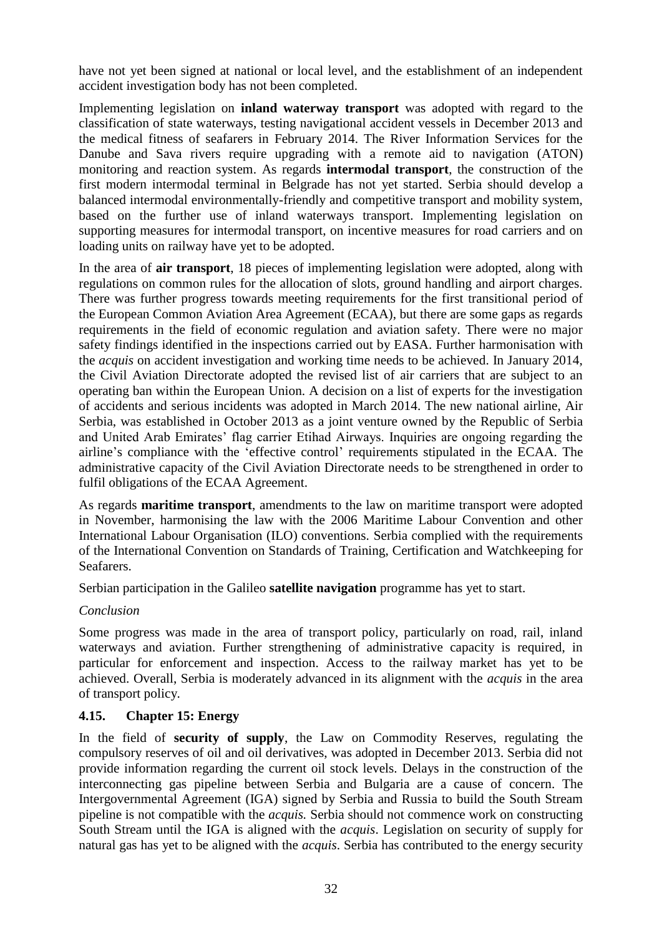have not yet been signed at national or local level, and the establishment of an independent accident investigation body has not been completed.

Implementing legislation on **inland waterway transport** was adopted with regard to the classification of state waterways, testing navigational accident vessels in December 2013 and the medical fitness of seafarers in February 2014. The River Information Services for the Danube and Sava rivers require upgrading with a remote aid to navigation (ATON) monitoring and reaction system. As regards **intermodal transport**, the construction of the first modern intermodal terminal in Belgrade has not yet started. Serbia should develop a balanced intermodal environmentally-friendly and competitive transport and mobility system, based on the further use of inland waterways transport. Implementing legislation on supporting measures for intermodal transport, on incentive measures for road carriers and on loading units on railway have yet to be adopted.

In the area of **air transport**, 18 pieces of implementing legislation were adopted, along with regulations on common rules for the allocation of slots, ground handling and airport charges. There was further progress towards meeting requirements for the first transitional period of the European Common Aviation Area Agreement (ECAA), but there are some gaps as regards requirements in the field of economic regulation and aviation safety. There were no major safety findings identified in the inspections carried out by EASA. Further harmonisation with the *acquis* on accident investigation and working time needs to be achieved. In January 2014, the Civil Aviation Directorate adopted the revised list of air carriers that are subject to an operating ban within the European Union. A decision on a list of experts for the investigation of accidents and serious incidents was adopted in March 2014. The new national airline, Air Serbia, was established in October 2013 as a joint venture owned by the Republic of Serbia and United Arab Emirates' flag carrier Etihad Airways. Inquiries are ongoing regarding the airline's compliance with the 'effective control' requirements stipulated in the ECAA. The administrative capacity of the Civil Aviation Directorate needs to be strengthened in order to fulfil obligations of the ECAA Agreement.

As regards **maritime transport**, amendments to the law on maritime transport were adopted in November, harmonising the law with the 2006 Maritime Labour Convention and other International Labour Organisation (ILO) conventions. Serbia complied with the requirements of the International Convention on Standards of Training, Certification and Watchkeeping for Seafarers.

Serbian participation in the Galileo **satellite navigation** programme has yet to start.

### *Conclusion*

Some progress was made in the area of transport policy, particularly on road, rail, inland waterways and aviation. Further strengthening of administrative capacity is required, in particular for enforcement and inspection. Access to the railway market has yet to be achieved. Overall, Serbia is moderately advanced in its alignment with the *acquis* in the area of transport policy*.*

### <span id="page-32-0"></span>**4.15. Chapter 15: Energy**

In the field of **security of supply**, the Law on Commodity Reserves, regulating the compulsory reserves of oil and oil derivatives, was adopted in December 2013. Serbia did not provide information regarding the current oil stock levels. Delays in the construction of the interconnecting gas pipeline between Serbia and Bulgaria are a cause of concern. The Intergovernmental Agreement (IGA) signed by Serbia and Russia to build the South Stream pipeline is not compatible with the *acquis.* Serbia should not commence work on constructing South Stream until the IGA is aligned with the *acquis*. Legislation on security of supply for natural gas has yet to be aligned with the *acquis*. Serbia has contributed to the energy security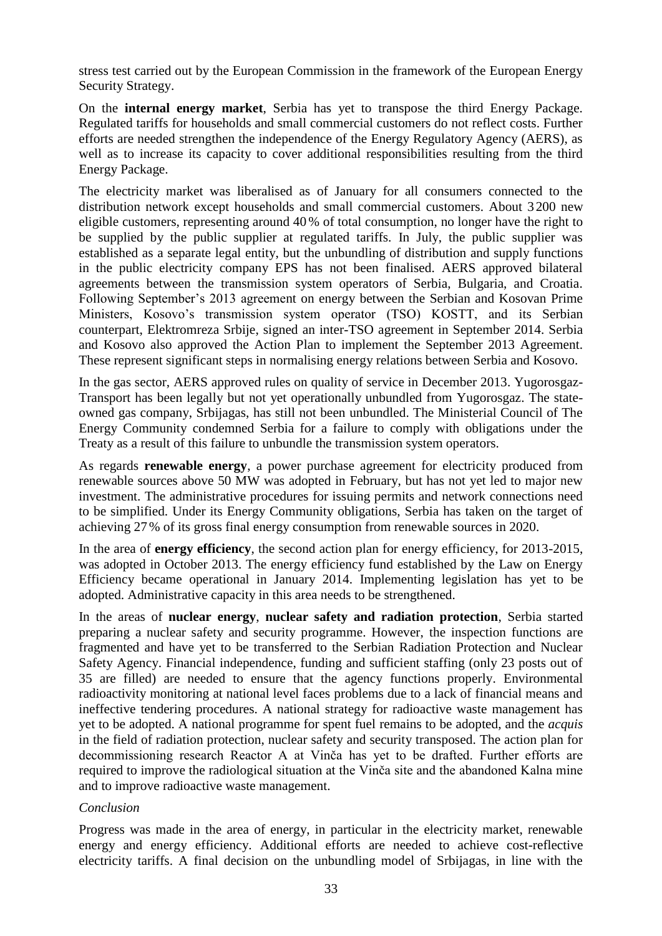stress test carried out by the European Commission in the framework of the European Energy Security Strategy.

On the **internal energy market**, Serbia has yet to transpose the third Energy Package. Regulated tariffs for households and small commercial customers do not reflect costs. Further efforts are needed strengthen the independence of the Energy Regulatory Agency (AERS), as well as to increase its capacity to cover additional responsibilities resulting from the third Energy Package.

The electricity market was liberalised as of January for all consumers connected to the distribution network except households and small commercial customers. About 3 200 new eligible customers, representing around 40 % of total consumption, no longer have the right to be supplied by the public supplier at regulated tariffs. In July, the public supplier was established as a separate legal entity, but the unbundling of distribution and supply functions in the public electricity company EPS has not been finalised. AERS approved bilateral agreements between the transmission system operators of Serbia, Bulgaria, and Croatia. Following September's 2013 agreement on energy between the Serbian and Kosovan Prime Ministers, Kosovo's transmission system operator (TSO) KOSTT, and its Serbian counterpart, Elektromreza Srbije, signed an inter-TSO agreement in September 2014. Serbia and Kosovo also approved the Action Plan to implement the September 2013 Agreement. These represent significant steps in normalising energy relations between Serbia and Kosovo.

In the gas sector, AERS approved rules on quality of service in December 2013. Yugorosgaz-Transport has been legally but not yet operationally unbundled from Yugorosgaz. The stateowned gas company, Srbijagas, has still not been unbundled. The Ministerial Council of The Energy Community condemned Serbia for a failure to comply with obligations under the Treaty as a result of this failure to unbundle the transmission system operators.

As regards **renewable energy**, a power purchase agreement for electricity produced from renewable sources above 50 MW was adopted in February, but has not yet led to major new investment. The administrative procedures for issuing permits and network connections need to be simplified. Under its Energy Community obligations, Serbia has taken on the target of achieving 27% of its gross final energy consumption from renewable sources in 2020.

In the area of **energy efficiency**, the second action plan for energy efficiency, for 2013-2015, was adopted in October 2013. The energy efficiency fund established by the Law on Energy Efficiency became operational in January 2014. Implementing legislation has yet to be adopted. Administrative capacity in this area needs to be strengthened.

In the areas of **nuclear energy**, **nuclear safety and radiation protection**, Serbia started preparing a nuclear safety and security programme. However, the inspection functions are fragmented and have yet to be transferred to the Serbian Radiation Protection and Nuclear Safety Agency. Financial independence, funding and sufficient staffing (only 23 posts out of 35 are filled) are needed to ensure that the agency functions properly. Environmental radioactivity monitoring at national level faces problems due to a lack of financial means and ineffective tendering procedures. A national strategy for radioactive waste management has yet to be adopted. A national programme for spent fuel remains to be adopted, and the *acquis*  in the field of radiation protection, nuclear safety and security transposed. The action plan for decommissioning research Reactor A at Vinča has yet to be drafted. Further efforts are required to improve the radiological situation at the Vinča site and the abandoned Kalna mine and to improve radioactive waste management.

#### *Conclusion*

Progress was made in the area of energy, in particular in the electricity market, renewable energy and energy efficiency. Additional efforts are needed to achieve cost-reflective electricity tariffs. A final decision on the unbundling model of Srbijagas, in line with the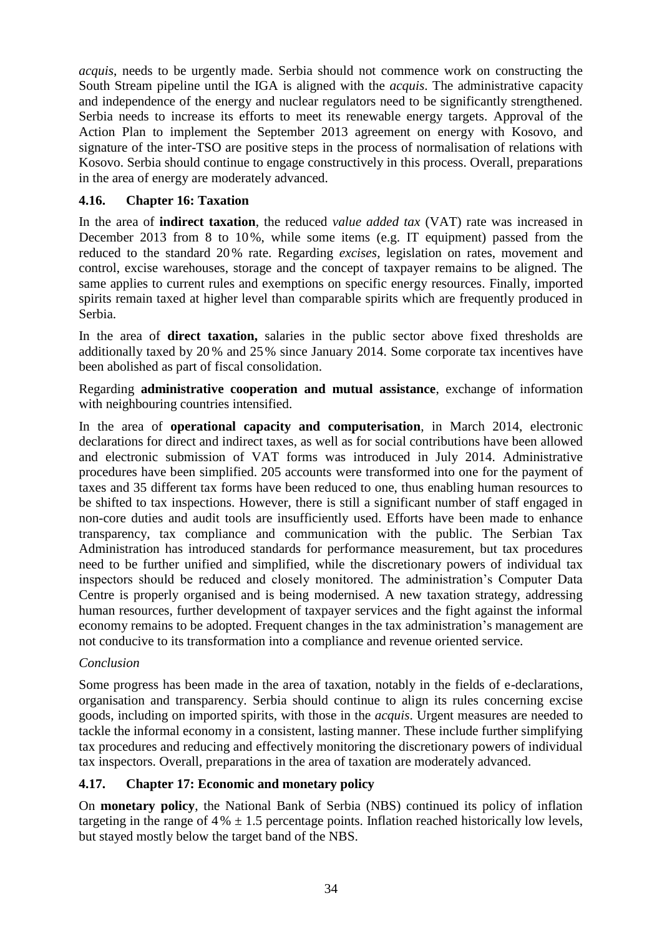*acquis*, needs to be urgently made. Serbia should not commence work on constructing the South Stream pipeline until the IGA is aligned with the *acquis*. The administrative capacity and independence of the energy and nuclear regulators need to be significantly strengthened. Serbia needs to increase its efforts to meet its renewable energy targets. Approval of the Action Plan to implement the September 2013 agreement on energy with Kosovo, and signature of the inter-TSO are positive steps in the process of normalisation of relations with Kosovo. Serbia should continue to engage constructively in this process. Overall, preparations in the area of energy are moderately advanced.

### <span id="page-34-0"></span>**4.16. Chapter 16: Taxation**

In the area of **indirect taxation**, the reduced *value added tax* (VAT) rate was increased in December 2013 from 8 to 10%, while some items (e.g. IT equipment) passed from the reduced to the standard 20% rate. Regarding *excises*, legislation on rates, movement and control, excise warehouses, storage and the concept of taxpayer remains to be aligned. The same applies to current rules and exemptions on specific energy resources. Finally, imported spirits remain taxed at higher level than comparable spirits which are frequently produced in Serbia.

In the area of **direct taxation,** salaries in the public sector above fixed thresholds are additionally taxed by 20 % and 25% since January 2014. Some corporate tax incentives have been abolished as part of fiscal consolidation.

Regarding **administrative cooperation and mutual assistance**, exchange of information with neighbouring countries intensified.

In the area of **operational capacity and computerisation**, in March 2014, electronic declarations for direct and indirect taxes, as well as for social contributions have been allowed and electronic submission of VAT forms was introduced in July 2014. Administrative procedures have been simplified. 205 accounts were transformed into one for the payment of taxes and 35 different tax forms have been reduced to one, thus enabling human resources to be shifted to tax inspections. However, there is still a significant number of staff engaged in non-core duties and audit tools are insufficiently used. Efforts have been made to enhance transparency, tax compliance and communication with the public. The Serbian Tax Administration has introduced standards for performance measurement, but tax procedures need to be further unified and simplified, while the discretionary powers of individual tax inspectors should be reduced and closely monitored. The administration's Computer Data Centre is properly organised and is being modernised. A new taxation strategy, addressing human resources, further development of taxpayer services and the fight against the informal economy remains to be adopted. Frequent changes in the tax administration's management are not conducive to its transformation into a compliance and revenue oriented service.

### *Conclusion*

Some progress has been made in the area of taxation, notably in the fields of e-declarations, organisation and transparency. Serbia should continue to align its rules concerning excise goods, including on imported spirits, with those in the *acquis*. Urgent measures are needed to tackle the informal economy in a consistent, lasting manner. These include further simplifying tax procedures and reducing and effectively monitoring the discretionary powers of individual tax inspectors. Overall, preparations in the area of taxation are moderately advanced.

### <span id="page-34-1"></span>**4.17. Chapter 17: Economic and monetary policy**

On **monetary policy**, the National Bank of Serbia (NBS) continued its policy of inflation targeting in the range of  $4\% \pm 1.5$  percentage points. Inflation reached historically low levels, but stayed mostly below the target band of the NBS.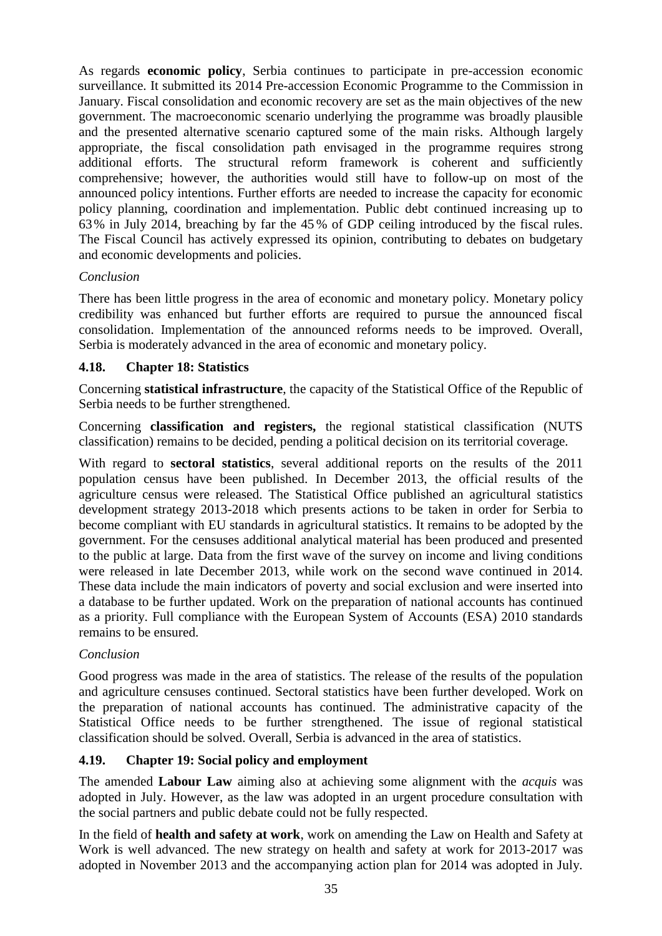As regards **economic policy**, Serbia continues to participate in pre-accession economic surveillance. It submitted its 2014 Pre-accession Economic Programme to the Commission in January. Fiscal consolidation and economic recovery are set as the main objectives of the new government. The macroeconomic scenario underlying the programme was broadly plausible and the presented alternative scenario captured some of the main risks. Although largely appropriate, the fiscal consolidation path envisaged in the programme requires strong additional efforts. The structural reform framework is coherent and sufficiently comprehensive; however, the authorities would still have to follow-up on most of the announced policy intentions. Further efforts are needed to increase the capacity for economic policy planning, coordination and implementation. Public debt continued increasing up to 63% in July 2014, breaching by far the 45 % of GDP ceiling introduced by the fiscal rules. The Fiscal Council has actively expressed its opinion, contributing to debates on budgetary and economic developments and policies.

### *Conclusion*

There has been little progress in the area of economic and monetary policy. Monetary policy credibility was enhanced but further efforts are required to pursue the announced fiscal consolidation. Implementation of the announced reforms needs to be improved. Overall, Serbia is moderately advanced in the area of economic and monetary policy.

#### <span id="page-35-0"></span>**4.18. Chapter 18: Statistics**

Concerning **statistical infrastructure**, the capacity of the Statistical Office of the Republic of Serbia needs to be further strengthened.

Concerning **classification and registers,** the regional statistical classification (NUTS classification) remains to be decided, pending a political decision on its territorial coverage.

With regard to **sectoral statistics**, several additional reports on the results of the 2011 population census have been published. In December 2013, the official results of the agriculture census were released. The Statistical Office published an agricultural statistics development strategy 2013-2018 which presents actions to be taken in order for Serbia to become compliant with EU standards in agricultural statistics. It remains to be adopted by the government. For the censuses additional analytical material has been produced and presented to the public at large. Data from the first wave of the survey on income and living conditions were released in late December 2013, while work on the second wave continued in 2014. These data include the main indicators of poverty and social exclusion and were inserted into a database to be further updated. Work on the preparation of national accounts has continued as a priority. Full compliance with the European System of Accounts (ESA) 2010 standards remains to be ensured.

#### *Conclusion*

Good progress was made in the area of statistics. The release of the results of the population and agriculture censuses continued. Sectoral statistics have been further developed. Work on the preparation of national accounts has continued. The administrative capacity of the Statistical Office needs to be further strengthened. The issue of regional statistical classification should be solved. Overall, Serbia is advanced in the area of statistics.

### <span id="page-35-1"></span>**4.19. Chapter 19: Social policy and employment**

The amended **Labour Law** aiming also at achieving some alignment with the *acquis* was adopted in July. However, as the law was adopted in an urgent procedure consultation with the social partners and public debate could not be fully respected.

In the field of **health and safety at work**, work on amending the Law on Health and Safety at Work is well advanced. The new strategy on health and safety at work for 2013-2017 was adopted in November 2013 and the accompanying action plan for 2014 was adopted in July.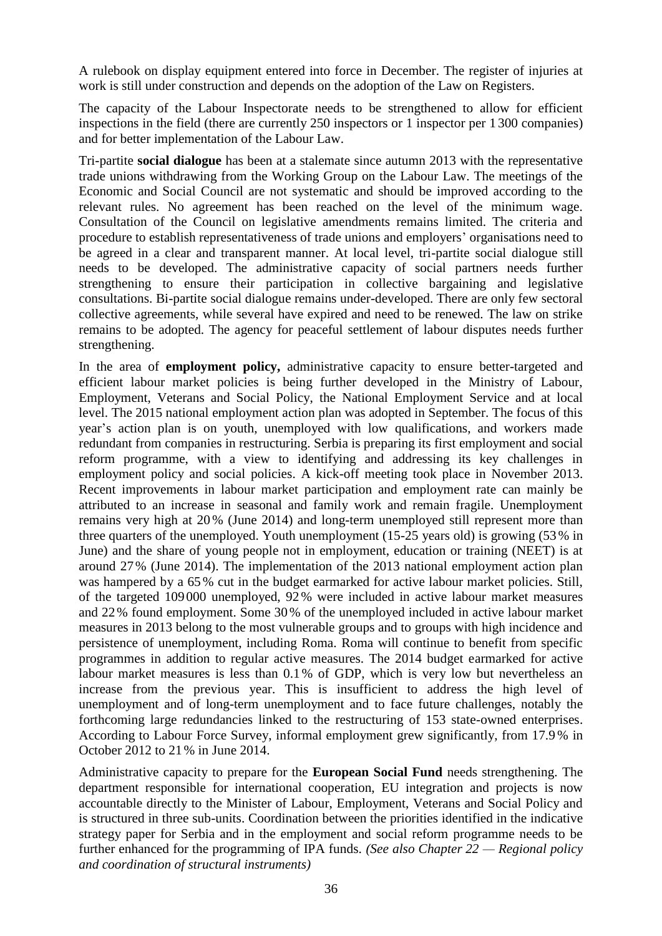A rulebook on display equipment entered into force in December. The register of injuries at work is still under construction and depends on the adoption of the Law on Registers.

The capacity of the Labour Inspectorate needs to be strengthened to allow for efficient inspections in the field (there are currently 250 inspectors or 1 inspector per 1 300 companies) and for better implementation of the Labour Law.

Tri-partite **social dialogue** has been at a stalemate since autumn 2013 with the representative trade unions withdrawing from the Working Group on the Labour Law. The meetings of the Economic and Social Council are not systematic and should be improved according to the relevant rules. No agreement has been reached on the level of the minimum wage. Consultation of the Council on legislative amendments remains limited. The criteria and procedure to establish representativeness of trade unions and employers' organisations need to be agreed in a clear and transparent manner. At local level, tri-partite social dialogue still needs to be developed. The administrative capacity of social partners needs further strengthening to ensure their participation in collective bargaining and legislative consultations. Bi-partite social dialogue remains under-developed. There are only few sectoral collective agreements, while several have expired and need to be renewed. The law on strike remains to be adopted. The agency for peaceful settlement of labour disputes needs further strengthening.

In the area of **employment policy,** administrative capacity to ensure better-targeted and efficient labour market policies is being further developed in the Ministry of Labour, Employment, Veterans and Social Policy, the National Employment Service and at local level. The 2015 national employment action plan was adopted in September. The focus of this year's action plan is on youth, unemployed with low qualifications, and workers made redundant from companies in restructuring. Serbia is preparing its first employment and social reform programme, with a view to identifying and addressing its key challenges in employment policy and social policies. A kick-off meeting took place in November 2013. Recent improvements in labour market participation and employment rate can mainly be attributed to an increase in seasonal and family work and remain fragile. Unemployment remains very high at 20% (June 2014) and long-term unemployed still represent more than three quarters of the unemployed. Youth unemployment (15-25 years old) is growing (53% in June) and the share of young people not in employment, education or training (NEET) is at around 27% (June 2014). The implementation of the 2013 national employment action plan was hampered by a 65% cut in the budget earmarked for active labour market policies. Still, of the targeted 109000 unemployed, 92% were included in active labour market measures and 22% found employment. Some 30% of the unemployed included in active labour market measures in 2013 belong to the most vulnerable groups and to groups with high incidence and persistence of unemployment, including Roma. Roma will continue to benefit from specific programmes in addition to regular active measures. The 2014 budget earmarked for active labour market measures is less than 0.1% of GDP, which is very low but nevertheless an increase from the previous year. This is insufficient to address the high level of unemployment and of long-term unemployment and to face future challenges, notably the forthcoming large redundancies linked to the restructuring of 153 state-owned enterprises. According to Labour Force Survey, informal employment grew significantly, from 17.9 % in October 2012 to 21% in June 2014.

Administrative capacity to prepare for the **European Social Fund** needs strengthening. The department responsible for international cooperation, EU integration and projects is now accountable directly to the Minister of Labour, Employment, Veterans and Social Policy and is structured in three sub-units. Coordination between the priorities identified in the indicative strategy paper for Serbia and in the employment and social reform programme needs to be further enhanced for the programming of IPA funds. *(See also Chapter 22 — Regional policy and coordination of structural instruments)*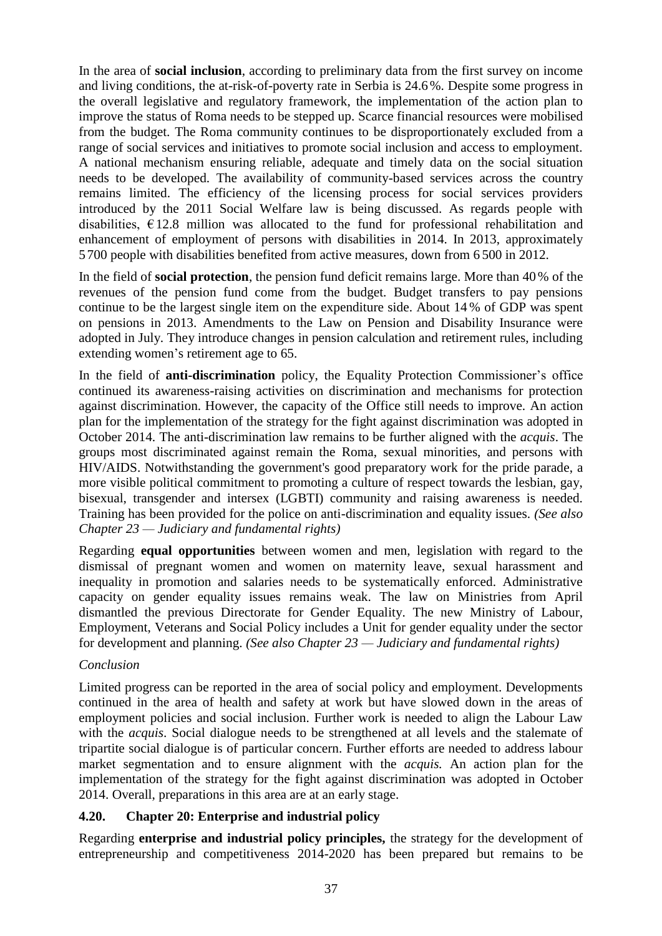In the area of **social inclusion**, according to preliminary data from the first survey on income and living conditions, the at-risk-of-poverty rate in Serbia is 24.6%. Despite some progress in the overall legislative and regulatory framework, the implementation of the action plan to improve the status of Roma needs to be stepped up. Scarce financial resources were mobilised from the budget. The Roma community continues to be disproportionately excluded from a range of social services and initiatives to promote social inclusion and access to employment. A national mechanism ensuring reliable, adequate and timely data on the social situation needs to be developed. The availability of community-based services across the country remains limited. The efficiency of the licensing process for social services providers introduced by the 2011 Social Welfare law is being discussed. As regards people with disabilities.  $E12.8$  million was allocated to the fund for professional rehabilitation and enhancement of employment of persons with disabilities in 2014. In 2013, approximately 5700 people with disabilities benefited from active measures, down from 6 500 in 2012.

In the field of **social protection**, the pension fund deficit remains large. More than 40% of the revenues of the pension fund come from the budget. Budget transfers to pay pensions continue to be the largest single item on the expenditure side. About 14 % of GDP was spent on pensions in 2013. Amendments to the Law on Pension and Disability Insurance were adopted in July. They introduce changes in pension calculation and retirement rules, including extending women's retirement age to 65.

In the field of **anti-discrimination** policy, the Equality Protection Commissioner's office continued its awareness-raising activities on discrimination and mechanisms for protection against discrimination. However, the capacity of the Office still needs to improve. An action plan for the implementation of the strategy for the fight against discrimination was adopted in October 2014. The anti-discrimination law remains to be further aligned with the *acquis*. The groups most discriminated against remain the Roma, sexual minorities, and persons with HIV/AIDS. Notwithstanding the government's good preparatory work for the pride parade, a more visible political commitment to promoting a culture of respect towards the lesbian, gay, bisexual, transgender and intersex (LGBTI) community and raising awareness is needed. Training has been provided for the police on anti-discrimination and equality issues. *(See also Chapter 23 — Judiciary and fundamental rights)*

Regarding **equal opportunities** between women and men, legislation with regard to the dismissal of pregnant women and women on maternity leave, sexual harassment and inequality in promotion and salaries needs to be systematically enforced. Administrative capacity on gender equality issues remains weak. The law on Ministries from April dismantled the previous Directorate for Gender Equality. The new Ministry of Labour, Employment, Veterans and Social Policy includes a Unit for gender equality under the sector for development and planning. *(See also Chapter 23 — Judiciary and fundamental rights)*

### *Conclusion*

Limited progress can be reported in the area of social policy and employment. Developments continued in the area of health and safety at work but have slowed down in the areas of employment policies and social inclusion. Further work is needed to align the Labour Law with the *acquis*. Social dialogue needs to be strengthened at all levels and the stalemate of tripartite social dialogue is of particular concern. Further efforts are needed to address labour market segmentation and to ensure alignment with the *acquis.* An action plan for the implementation of the strategy for the fight against discrimination was adopted in October 2014. Overall, preparations in this area are at an early stage.

### <span id="page-37-0"></span>**4.20. Chapter 20: Enterprise and industrial policy**

Regarding **enterprise and industrial policy principles,** the strategy for the development of entrepreneurship and competitiveness 2014-2020 has been prepared but remains to be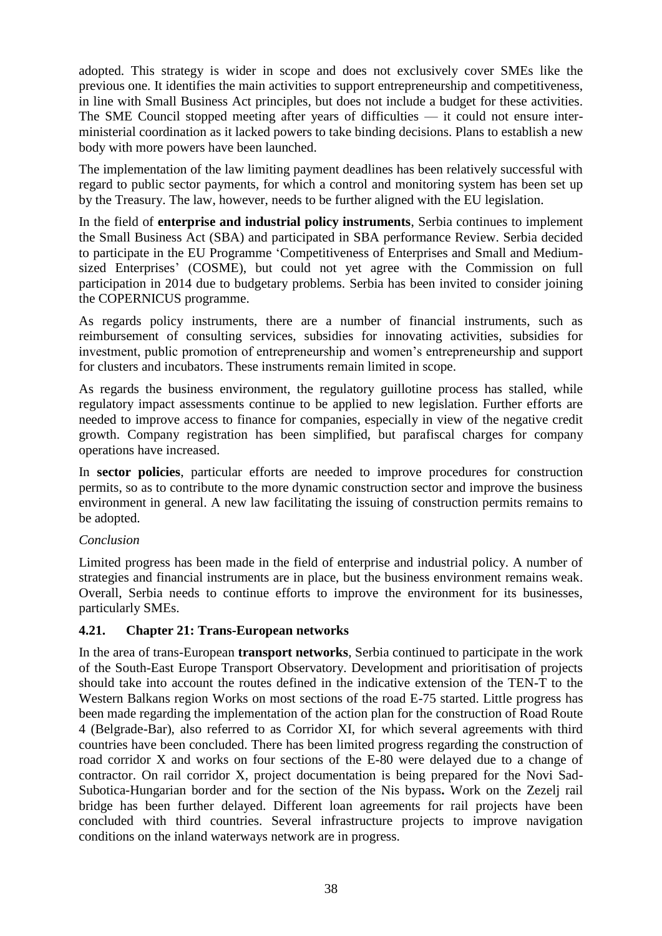adopted. This strategy is wider in scope and does not exclusively cover SMEs like the previous one. It identifies the main activities to support entrepreneurship and competitiveness, in line with Small Business Act principles, but does not include a budget for these activities. The SME Council stopped meeting after years of difficulties — it could not ensure interministerial coordination as it lacked powers to take binding decisions. Plans to establish a new body with more powers have been launched.

The implementation of the law limiting payment deadlines has been relatively successful with regard to public sector payments, for which a control and monitoring system has been set up by the Treasury. The law, however, needs to be further aligned with the EU legislation.

In the field of **enterprise and industrial policy instruments**, Serbia continues to implement the Small Business Act (SBA) and participated in SBA performance Review. Serbia decided to participate in the EU Programme 'Competitiveness of Enterprises and Small and Mediumsized Enterprises' (COSME), but could not yet agree with the Commission on full participation in 2014 due to budgetary problems. Serbia has been invited to consider joining the COPERNICUS programme.

As regards policy instruments, there are a number of financial instruments, such as reimbursement of consulting services, subsidies for innovating activities, subsidies for investment, public promotion of entrepreneurship and women's entrepreneurship and support for clusters and incubators. These instruments remain limited in scope.

As regards the business environment, the regulatory guillotine process has stalled, while regulatory impact assessments continue to be applied to new legislation. Further efforts are needed to improve access to finance for companies, especially in view of the negative credit growth. Company registration has been simplified, but parafiscal charges for company operations have increased.

In **sector policies**, particular efforts are needed to improve procedures for construction permits, so as to contribute to the more dynamic construction sector and improve the business environment in general. A new law facilitating the issuing of construction permits remains to be adopted.

### *Conclusion*

Limited progress has been made in the field of enterprise and industrial policy. A number of strategies and financial instruments are in place, but the business environment remains weak. Overall, Serbia needs to continue efforts to improve the environment for its businesses, particularly SMEs.

### <span id="page-38-0"></span>**4.21. Chapter 21: Trans-European networks**

In the area of trans-European **transport networks**, Serbia continued to participate in the work of the South-East Europe Transport Observatory. Development and prioritisation of projects should take into account the routes defined in the indicative extension of the TEN-T to the Western Balkans region Works on most sections of the road E-75 started. Little progress has been made regarding the implementation of the action plan for the construction of Road Route 4 (Belgrade-Bar), also referred to as Corridor XI, for which several agreements with third countries have been concluded. There has been limited progress regarding the construction of road corridor X and works on four sections of the E-80 were delayed due to a change of contractor. On rail corridor X, project documentation is being prepared for the Novi Sad-Subotica-Hungarian border and for the section of the Nis bypass**.** Work on the Zezelj rail bridge has been further delayed. Different loan agreements for rail projects have been concluded with third countries. Several infrastructure projects to improve navigation conditions on the inland waterways network are in progress.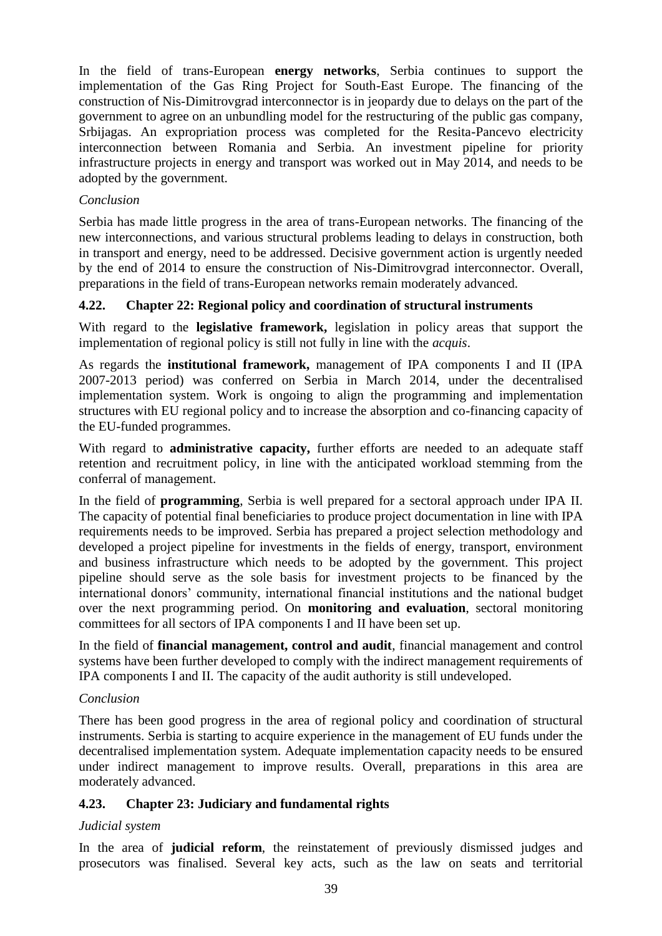In the field of trans-European **energy networks**, Serbia continues to support the implementation of the Gas Ring Project for South-East Europe. The financing of the construction of Nis-Dimitrovgrad interconnector is in jeopardy due to delays on the part of the government to agree on an unbundling model for the restructuring of the public gas company, Srbijagas. An expropriation process was completed for the Resita-Pancevo electricity interconnection between Romania and Serbia. An investment pipeline for priority infrastructure projects in energy and transport was worked out in May 2014, and needs to be adopted by the government.

### *Conclusion*

Serbia has made little progress in the area of trans-European networks. The financing of the new interconnections, and various structural problems leading to delays in construction, both in transport and energy, need to be addressed. Decisive government action is urgently needed by the end of 2014 to ensure the construction of Nis-Dimitrovgrad interconnector. Overall, preparations in the field of trans-European networks remain moderately advanced.

### <span id="page-39-0"></span>**4.22. Chapter 22: Regional policy and coordination of structural instruments**

With regard to the **legislative framework,** legislation in policy areas that support the implementation of regional policy is still not fully in line with the *acquis*.

As regards the **institutional framework,** management of IPA components I and II (IPA 2007-2013 period) was conferred on Serbia in March 2014, under the decentralised implementation system. Work is ongoing to align the programming and implementation structures with EU regional policy and to increase the absorption and co-financing capacity of the EU-funded programmes.

With regard to **administrative capacity**, further efforts are needed to an adequate staff retention and recruitment policy, in line with the anticipated workload stemming from the conferral of management.

In the field of **programming**, Serbia is well prepared for a sectoral approach under IPA II. The capacity of potential final beneficiaries to produce project documentation in line with IPA requirements needs to be improved. Serbia has prepared a project selection methodology and developed a project pipeline for investments in the fields of energy, transport, environment and business infrastructure which needs to be adopted by the government. This project pipeline should serve as the sole basis for investment projects to be financed by the international donors' community, international financial institutions and the national budget over the next programming period. On **monitoring and evaluation**, sectoral monitoring committees for all sectors of IPA components I and II have been set up.

In the field of **financial management, control and audit**, financial management and control systems have been further developed to comply with the indirect management requirements of IPA components I and II. The capacity of the audit authority is still undeveloped.

### *Conclusion*

There has been good progress in the area of regional policy and coordination of structural instruments. Serbia is starting to acquire experience in the management of EU funds under the decentralised implementation system. Adequate implementation capacity needs to be ensured under indirect management to improve results. Overall, preparations in this area are moderately advanced.

### <span id="page-39-1"></span>**4.23. Chapter 23: Judiciary and fundamental rights**

### *Judicial system*

In the area of **judicial reform**, the reinstatement of previously dismissed judges and prosecutors was finalised. Several key acts, such as the law on seats and territorial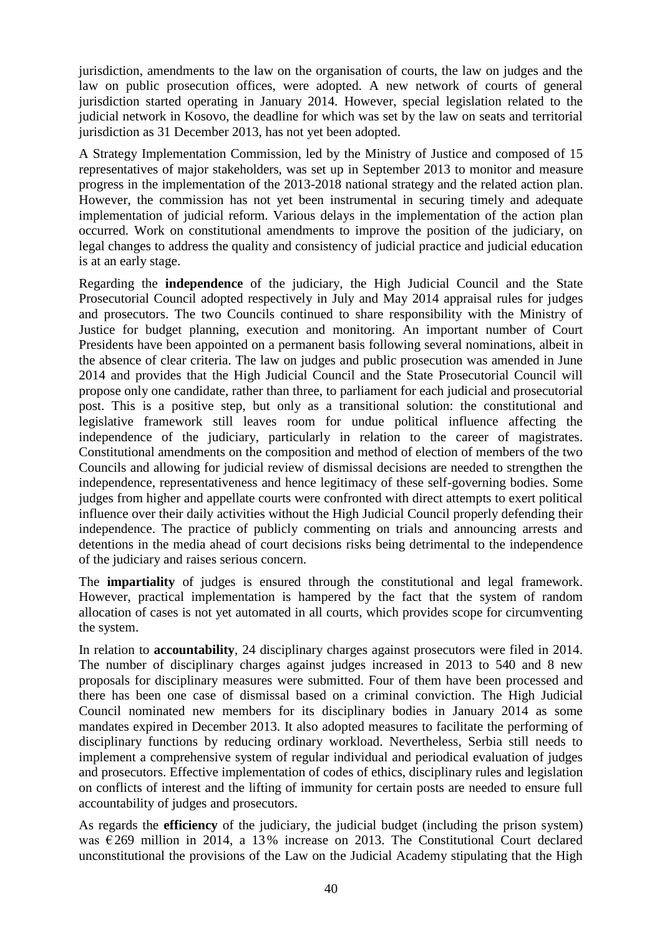jurisdiction, amendments to the law on the organisation of courts, the law on judges and the law on public prosecution offices, were adopted. A new network of courts of general jurisdiction started operating in January 2014. However, special legislation related to the judicial network in Kosovo, the deadline for which was set by the law on seats and territorial jurisdiction as 31 December 2013, has not yet been adopted.

A Strategy Implementation Commission, led by the Ministry of Justice and composed of 15 representatives of major stakeholders, was set up in September 2013 to monitor and measure progress in the implementation of the 2013-2018 national strategy and the related action plan. However, the commission has not yet been instrumental in securing timely and adequate implementation of judicial reform. Various delays in the implementation of the action plan occurred. Work on constitutional amendments to improve the position of the judiciary, on legal changes to address the quality and consistency of judicial practice and judicial education is at an early stage.

Regarding the **independence** of the judiciary, the High Judicial Council and the State Prosecutorial Council adopted respectively in July and May 2014 appraisal rules for judges and prosecutors. The two Councils continued to share responsibility with the Ministry of Justice for budget planning, execution and monitoring. An important number of Court Presidents have been appointed on a permanent basis following several nominations, albeit in the absence of clear criteria. The law on judges and public prosecution was amended in June 2014 and provides that the High Judicial Council and the State Prosecutorial Council will propose only one candidate, rather than three, to parliament for each judicial and prosecutorial post. This is a positive step, but only as a transitional solution: the constitutional and legislative framework still leaves room for undue political influence affecting the independence of the judiciary, particularly in relation to the career of magistrates. Constitutional amendments on the composition and method of election of members of the two Councils and allowing for judicial review of dismissal decisions are needed to strengthen the independence, representativeness and hence legitimacy of these self-governing bodies. Some judges from higher and appellate courts were confronted with direct attempts to exert political influence over their daily activities without the High Judicial Council properly defending their independence. The practice of publicly commenting on trials and announcing arrests and detentions in the media ahead of court decisions risks being detrimental to the independence of the judiciary and raises serious concern.

The **impartiality** of judges is ensured through the constitutional and legal framework. However, practical implementation is hampered by the fact that the system of random allocation of cases is not yet automated in all courts, which provides scope for circumventing the system.

In relation to **accountability**, 24 disciplinary charges against prosecutors were filed in 2014. The number of disciplinary charges against judges increased in 2013 to 540 and 8 new proposals for disciplinary measures were submitted. Four of them have been processed and there has been one case of dismissal based on a criminal conviction. The High Judicial Council nominated new members for its disciplinary bodies in January 2014 as some mandates expired in December 2013. It also adopted measures to facilitate the performing of disciplinary functions by reducing ordinary workload. Nevertheless, Serbia still needs to implement a comprehensive system of regular individual and periodical evaluation of judges and prosecutors. Effective implementation of codes of ethics, disciplinary rules and legislation on conflicts of interest and the lifting of immunity for certain posts are needed to ensure full accountability of judges and prosecutors.

As regards the **efficiency** of the judiciary, the judicial budget (including the prison system) was  $\epsilon$ 269 million in 2014, a 13% increase on 2013. The Constitutional Court declared unconstitutional the provisions of the Law on the Judicial Academy stipulating that the High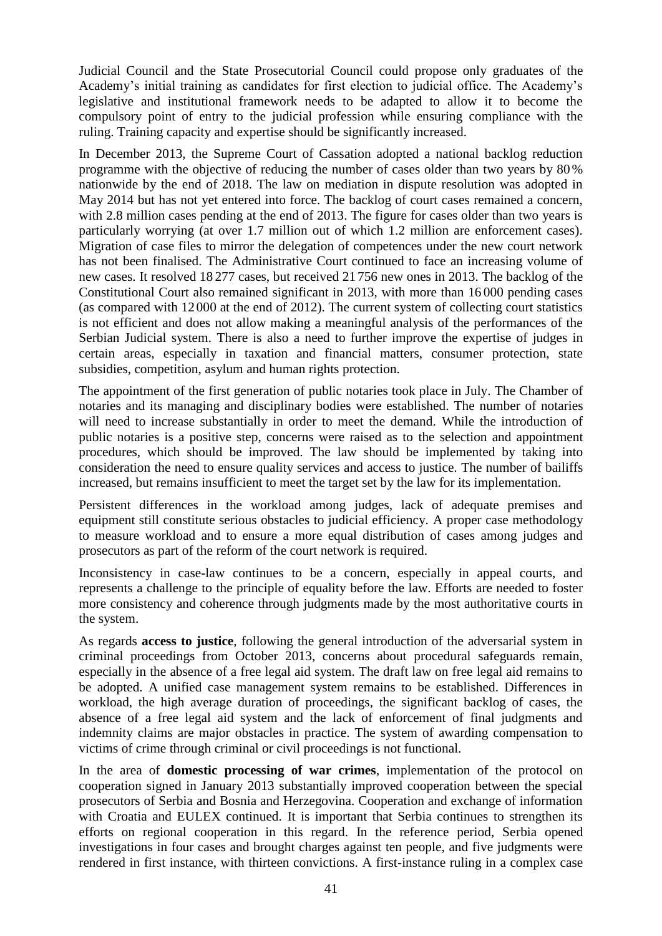Judicial Council and the State Prosecutorial Council could propose only graduates of the Academy's initial training as candidates for first election to judicial office. The Academy's legislative and institutional framework needs to be adapted to allow it to become the compulsory point of entry to the judicial profession while ensuring compliance with the ruling. Training capacity and expertise should be significantly increased.

In December 2013, the Supreme Court of Cassation adopted a national backlog reduction programme with the objective of reducing the number of cases older than two years by 80 % nationwide by the end of 2018. The law on mediation in dispute resolution was adopted in May 2014 but has not yet entered into force. The backlog of court cases remained a concern, with 2.8 million cases pending at the end of 2013. The figure for cases older than two years is particularly worrying (at over 1.7 million out of which 1.2 million are enforcement cases). Migration of case files to mirror the delegation of competences under the new court network has not been finalised. The Administrative Court continued to face an increasing volume of new cases. It resolved 18 277 cases, but received 21 756 new ones in 2013. The backlog of the Constitutional Court also remained significant in 2013, with more than 16 000 pending cases (as compared with 12000 at the end of 2012). The current system of collecting court statistics is not efficient and does not allow making a meaningful analysis of the performances of the Serbian Judicial system. There is also a need to further improve the expertise of judges in certain areas, especially in taxation and financial matters, consumer protection, state subsidies, competition, asylum and human rights protection.

The appointment of the first generation of public notaries took place in July. The Chamber of notaries and its managing and disciplinary bodies were established. The number of notaries will need to increase substantially in order to meet the demand. While the introduction of public notaries is a positive step, concerns were raised as to the selection and appointment procedures, which should be improved. The law should be implemented by taking into consideration the need to ensure quality services and access to justice. The number of bailiffs increased, but remains insufficient to meet the target set by the law for its implementation.

Persistent differences in the workload among judges, lack of adequate premises and equipment still constitute serious obstacles to judicial efficiency. A proper case methodology to measure workload and to ensure a more equal distribution of cases among judges and prosecutors as part of the reform of the court network is required.

Inconsistency in case-law continues to be a concern, especially in appeal courts, and represents a challenge to the principle of equality before the law. Efforts are needed to foster more consistency and coherence through judgments made by the most authoritative courts in the system.

As regards **access to justice**, following the general introduction of the adversarial system in criminal proceedings from October 2013, concerns about procedural safeguards remain, especially in the absence of a free legal aid system. The draft law on free legal aid remains to be adopted. A unified case management system remains to be established. Differences in workload, the high average duration of proceedings, the significant backlog of cases, the absence of a free legal aid system and the lack of enforcement of final judgments and indemnity claims are major obstacles in practice. The system of awarding compensation to victims of crime through criminal or civil proceedings is not functional.

In the area of **domestic processing of war crimes**, implementation of the protocol on cooperation signed in January 2013 substantially improved cooperation between the special prosecutors of Serbia and Bosnia and Herzegovina. Cooperation and exchange of information with Croatia and EULEX continued. It is important that Serbia continues to strengthen its efforts on regional cooperation in this regard. In the reference period, Serbia opened investigations in four cases and brought charges against ten people, and five judgments were rendered in first instance, with thirteen convictions. A first-instance ruling in a complex case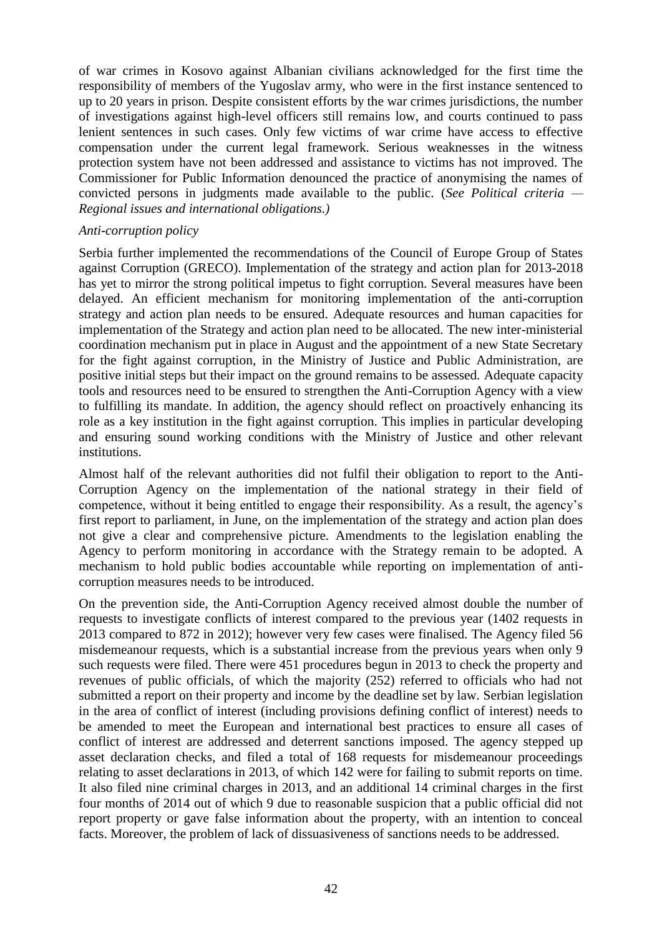of war crimes in Kosovo against Albanian civilians acknowledged for the first time the responsibility of members of the Yugoslav army, who were in the first instance sentenced to up to 20 years in prison. Despite consistent efforts by the war crimes jurisdictions, the number of investigations against high-level officers still remains low, and courts continued to pass lenient sentences in such cases. Only few victims of war crime have access to effective compensation under the current legal framework. Serious weaknesses in the witness protection system have not been addressed and assistance to victims has not improved. The Commissioner for Public Information denounced the practice of anonymising the names of convicted persons in judgments made available to the public. (*See Political criteria — Regional issues and international obligations.)*

#### *Anti-corruption policy*

Serbia further implemented the recommendations of the Council of Europe Group of States against Corruption (GRECO). Implementation of the strategy and action plan for 2013-2018 has yet to mirror the strong political impetus to fight corruption. Several measures have been delayed. An efficient mechanism for monitoring implementation of the anti-corruption strategy and action plan needs to be ensured. Adequate resources and human capacities for implementation of the Strategy and action plan need to be allocated. The new inter-ministerial coordination mechanism put in place in August and the appointment of a new State Secretary for the fight against corruption, in the Ministry of Justice and Public Administration, are positive initial steps but their impact on the ground remains to be assessed. Adequate capacity tools and resources need to be ensured to strengthen the Anti-Corruption Agency with a view to fulfilling its mandate. In addition, the agency should reflect on proactively enhancing its role as a key institution in the fight against corruption. This implies in particular developing and ensuring sound working conditions with the Ministry of Justice and other relevant institutions.

Almost half of the relevant authorities did not fulfil their obligation to report to the Anti-Corruption Agency on the implementation of the national strategy in their field of competence, without it being entitled to engage their responsibility. As a result, the agency's first report to parliament, in June, on the implementation of the strategy and action plan does not give a clear and comprehensive picture. Amendments to the legislation enabling the Agency to perform monitoring in accordance with the Strategy remain to be adopted. A mechanism to hold public bodies accountable while reporting on implementation of anticorruption measures needs to be introduced.

On the prevention side, the Anti-Corruption Agency received almost double the number of requests to investigate conflicts of interest compared to the previous year (1402 requests in 2013 compared to 872 in 2012); however very few cases were finalised. The Agency filed 56 misdemeanour requests, which is a substantial increase from the previous years when only 9 such requests were filed. There were 451 procedures begun in 2013 to check the property and revenues of public officials, of which the majority (252) referred to officials who had not submitted a report on their property and income by the deadline set by law. Serbian legislation in the area of conflict of interest (including provisions defining conflict of interest) needs to be amended to meet the European and international best practices to ensure all cases of conflict of interest are addressed and deterrent sanctions imposed. The agency stepped up asset declaration checks, and filed a total of 168 requests for misdemeanour proceedings relating to asset declarations in 2013, of which 142 were for failing to submit reports on time. It also filed nine criminal charges in 2013, and an additional 14 criminal charges in the first four months of 2014 out of which 9 due to reasonable suspicion that a public official did not report property or gave false information about the property, with an intention to conceal facts. Moreover, the problem of lack of dissuasiveness of sanctions needs to be addressed.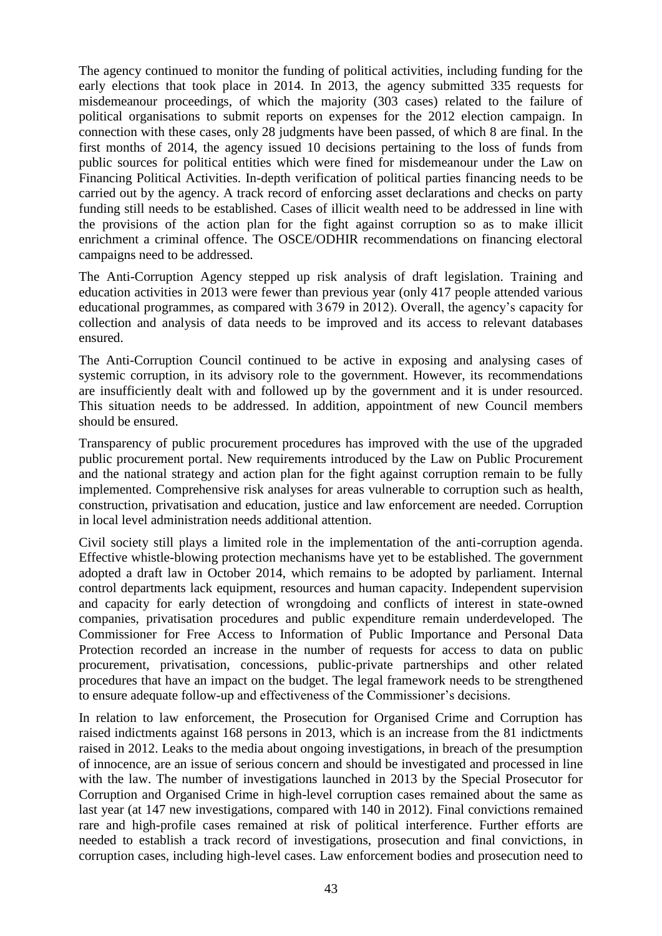The agency continued to monitor the funding of political activities, including funding for the early elections that took place in 2014. In 2013, the agency submitted 335 requests for misdemeanour proceedings, of which the majority (303 cases) related to the failure of political organisations to submit reports on expenses for the 2012 election campaign. In connection with these cases, only 28 judgments have been passed, of which 8 are final. In the first months of 2014, the agency issued 10 decisions pertaining to the loss of funds from public sources for political entities which were fined for misdemeanour under the Law on Financing Political Activities. In-depth verification of political parties financing needs to be carried out by the agency. A track record of enforcing asset declarations and checks on party funding still needs to be established. Cases of illicit wealth need to be addressed in line with the provisions of the action plan for the fight against corruption so as to make illicit enrichment a criminal offence. The OSCE/ODHIR recommendations on financing electoral campaigns need to be addressed.

The Anti-Corruption Agency stepped up risk analysis of draft legislation. Training and education activities in 2013 were fewer than previous year (only 417 people attended various educational programmes, as compared with 3 679 in 2012). Overall, the agency's capacity for collection and analysis of data needs to be improved and its access to relevant databases ensured.

The Anti-Corruption Council continued to be active in exposing and analysing cases of systemic corruption, in its advisory role to the government. However, its recommendations are insufficiently dealt with and followed up by the government and it is under resourced. This situation needs to be addressed. In addition, appointment of new Council members should be ensured.

Transparency of public procurement procedures has improved with the use of the upgraded public procurement portal. New requirements introduced by the Law on Public Procurement and the national strategy and action plan for the fight against corruption remain to be fully implemented. Comprehensive risk analyses for areas vulnerable to corruption such as health, construction, privatisation and education, justice and law enforcement are needed. Corruption in local level administration needs additional attention.

Civil society still plays a limited role in the implementation of the anti-corruption agenda. Effective whistle-blowing protection mechanisms have yet to be established. The government adopted a draft law in October 2014, which remains to be adopted by parliament. Internal control departments lack equipment, resources and human capacity. Independent supervision and capacity for early detection of wrongdoing and conflicts of interest in state-owned companies, privatisation procedures and public expenditure remain underdeveloped. The Commissioner for Free Access to Information of Public Importance and Personal Data Protection recorded an increase in the number of requests for access to data on public procurement, privatisation, concessions, public-private partnerships and other related procedures that have an impact on the budget. The legal framework needs to be strengthened to ensure adequate follow-up and effectiveness of the Commissioner's decisions.

In relation to law enforcement, the Prosecution for Organised Crime and Corruption has raised indictments against 168 persons in 2013, which is an increase from the 81 indictments raised in 2012. Leaks to the media about ongoing investigations, in breach of the presumption of innocence, are an issue of serious concern and should be investigated and processed in line with the law. The number of investigations launched in 2013 by the Special Prosecutor for Corruption and Organised Crime in high-level corruption cases remained about the same as last year (at 147 new investigations, compared with 140 in 2012). Final convictions remained rare and high-profile cases remained at risk of political interference. Further efforts are needed to establish a track record of investigations, prosecution and final convictions, in corruption cases, including high-level cases. Law enforcement bodies and prosecution need to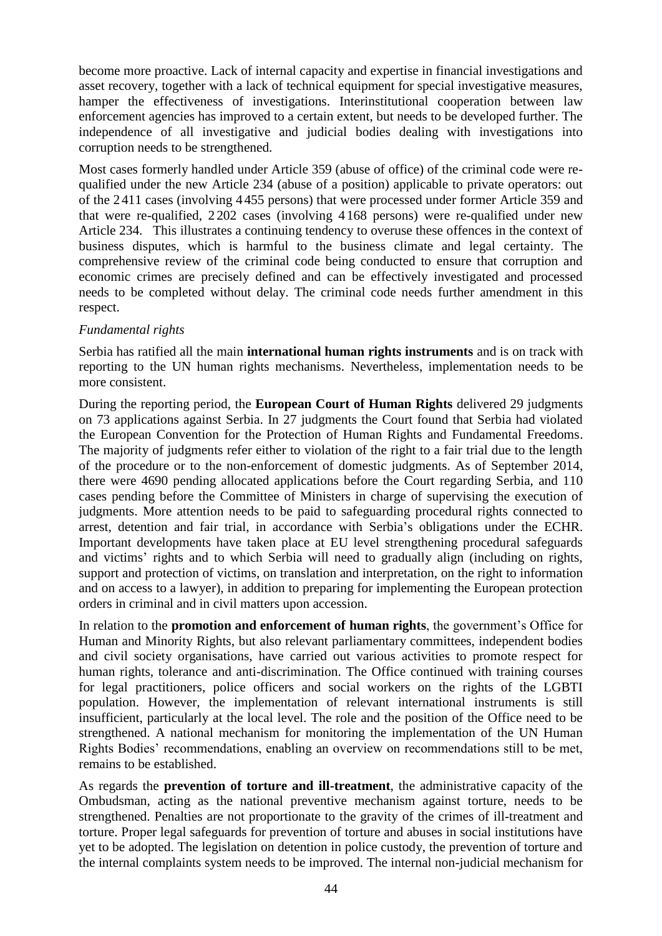become more proactive. Lack of internal capacity and expertise in financial investigations and asset recovery, together with a lack of technical equipment for special investigative measures, hamper the effectiveness of investigations. Interinstitutional cooperation between law enforcement agencies has improved to a certain extent, but needs to be developed further. The independence of all investigative and judicial bodies dealing with investigations into corruption needs to be strengthened.

Most cases formerly handled under Article 359 (abuse of office) of the criminal code were requalified under the new Article 234 (abuse of a position) applicable to private operators: out of the 2411 cases (involving 4 455 persons) that were processed under former Article 359 and that were re-qualified, 2 202 cases (involving 4 168 persons) were re-qualified under new Article 234. This illustrates a continuing tendency to overuse these offences in the context of business disputes, which is harmful to the business climate and legal certainty. The comprehensive review of the criminal code being conducted to ensure that corruption and economic crimes are precisely defined and can be effectively investigated and processed needs to be completed without delay. The criminal code needs further amendment in this respect.

#### *Fundamental rights*

Serbia has ratified all the main **international human rights instruments** and is on track with reporting to the UN human rights mechanisms. Nevertheless, implementation needs to be more consistent.

During the reporting period, the **European Court of Human Rights** delivered 29 judgments on 73 applications against Serbia. In 27 judgments the Court found that Serbia had violated the European Convention for the Protection of Human Rights and Fundamental Freedoms. The majority of judgments refer either to violation of the right to a fair trial due to the length of the procedure or to the non-enforcement of domestic judgments. As of September 2014, there were 4690 pending allocated applications before the Court regarding Serbia, and 110 cases pending before the Committee of Ministers in charge of supervising the execution of judgments. More attention needs to be paid to safeguarding procedural rights connected to arrest, detention and fair trial, in accordance with Serbia's obligations under the ECHR. Important developments have taken place at EU level strengthening procedural safeguards and victims' rights and to which Serbia will need to gradually align (including on rights, support and protection of victims, on translation and interpretation, on the right to information and on access to a lawyer), in addition to preparing for implementing the European protection orders in criminal and in civil matters upon accession.

In relation to the **promotion and enforcement of human rights**, the government's Office for Human and Minority Rights, but also relevant parliamentary committees, independent bodies and civil society organisations, have carried out various activities to promote respect for human rights, tolerance and anti-discrimination. The Office continued with training courses for legal practitioners, police officers and social workers on the rights of the LGBTI population. However, the implementation of relevant international instruments is still insufficient, particularly at the local level. The role and the position of the Office need to be strengthened. A national mechanism for monitoring the implementation of the UN Human Rights Bodies' recommendations, enabling an overview on recommendations still to be met, remains to be established.

As regards the **prevention of torture and ill-treatment**, the administrative capacity of the Ombudsman, acting as the national preventive mechanism against torture, needs to be strengthened. Penalties are not proportionate to the gravity of the crimes of ill-treatment and torture. Proper legal safeguards for prevention of torture and abuses in social institutions have yet to be adopted. The legislation on detention in police custody, the prevention of torture and the internal complaints system needs to be improved. The internal non-judicial mechanism for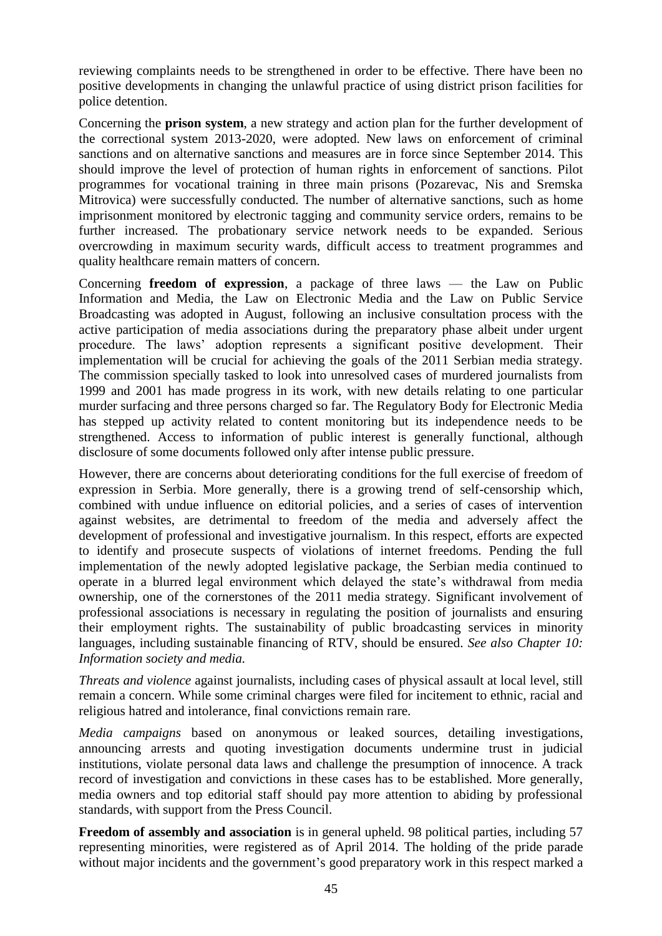reviewing complaints needs to be strengthened in order to be effective. There have been no positive developments in changing the unlawful practice of using district prison facilities for police detention.

Concerning the **prison system**, a new strategy and action plan for the further development of the correctional system 2013-2020, were adopted. New laws on enforcement of criminal sanctions and on alternative sanctions and measures are in force since September 2014. This should improve the level of protection of human rights in enforcement of sanctions. Pilot programmes for vocational training in three main prisons (Pozarevac, Nis and Sremska Mitrovica) were successfully conducted. The number of alternative sanctions, such as home imprisonment monitored by electronic tagging and community service orders, remains to be further increased. The probationary service network needs to be expanded. Serious overcrowding in maximum security wards, difficult access to treatment programmes and quality healthcare remain matters of concern.

Concerning **freedom of expression**, a package of three laws — the Law on Public Information and Media, the Law on Electronic Media and the Law on Public Service Broadcasting was adopted in August, following an inclusive consultation process with the active participation of media associations during the preparatory phase albeit under urgent procedure. The laws' adoption represents a significant positive development. Their implementation will be crucial for achieving the goals of the 2011 Serbian media strategy. The commission specially tasked to look into unresolved cases of murdered journalists from 1999 and 2001 has made progress in its work, with new details relating to one particular murder surfacing and three persons charged so far. The Regulatory Body for Electronic Media has stepped up activity related to content monitoring but its independence needs to be strengthened. Access to information of public interest is generally functional, although disclosure of some documents followed only after intense public pressure.

However, there are concerns about deteriorating conditions for the full exercise of freedom of expression in Serbia. More generally, there is a growing trend of self-censorship which, combined with undue influence on editorial policies, and a series of cases of intervention against websites, are detrimental to freedom of the media and adversely affect the development of professional and investigative journalism. In this respect, efforts are expected to identify and prosecute suspects of violations of internet freedoms. Pending the full implementation of the newly adopted legislative package, the Serbian media continued to operate in a blurred legal environment which delayed the state's withdrawal from media ownership, one of the cornerstones of the 2011 media strategy. Significant involvement of professional associations is necessary in regulating the position of journalists and ensuring their employment rights. The sustainability of public broadcasting services in minority languages, including sustainable financing of RTV, should be ensured. *See also Chapter 10: Information society and media.*

*Threats and violence* against journalists, including cases of physical assault at local level, still remain a concern. While some criminal charges were filed for incitement to ethnic, racial and religious hatred and intolerance, final convictions remain rare.

*Media campaigns* based on anonymous or leaked sources, detailing investigations, announcing arrests and quoting investigation documents undermine trust in judicial institutions, violate personal data laws and challenge the presumption of innocence. A track record of investigation and convictions in these cases has to be established. More generally, media owners and top editorial staff should pay more attention to abiding by professional standards, with support from the Press Council.

**Freedom of assembly and association** is in general upheld. 98 political parties, including 57 representing minorities, were registered as of April 2014. The holding of the pride parade without major incidents and the government's good preparatory work in this respect marked a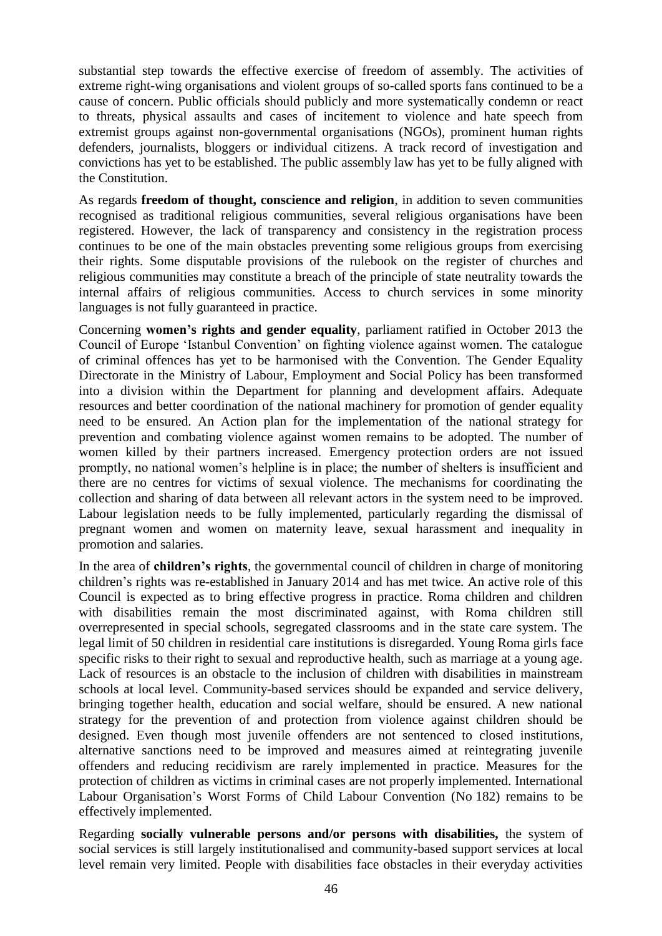substantial step towards the effective exercise of freedom of assembly. The activities of extreme right-wing organisations and violent groups of so-called sports fans continued to be a cause of concern. Public officials should publicly and more systematically condemn or react to threats, physical assaults and cases of incitement to violence and hate speech from extremist groups against non-governmental organisations (NGOs), prominent human rights defenders, journalists, bloggers or individual citizens. A track record of investigation and convictions has yet to be established. The public assembly law has yet to be fully aligned with the Constitution.

As regards **freedom of thought, conscience and religion**, in addition to seven communities recognised as traditional religious communities, several religious organisations have been registered. However, the lack of transparency and consistency in the registration process continues to be one of the main obstacles preventing some religious groups from exercising their rights. Some disputable provisions of the rulebook on the register of churches and religious communities may constitute a breach of the principle of state neutrality towards the internal affairs of religious communities. Access to church services in some minority languages is not fully guaranteed in practice.

Concerning **women's rights and gender equality**, parliament ratified in October 2013 the Council of Europe 'Istanbul Convention' on fighting violence against women. The catalogue of criminal offences has yet to be harmonised with the Convention. The Gender Equality Directorate in the Ministry of Labour, Employment and Social Policy has been transformed into a division within the Department for planning and development affairs. Adequate resources and better coordination of the national machinery for promotion of gender equality need to be ensured. An Action plan for the implementation of the national strategy for prevention and combating violence against women remains to be adopted. The number of women killed by their partners increased. Emergency protection orders are not issued promptly, no national women's helpline is in place; the number of shelters is insufficient and there are no centres for victims of sexual violence. The mechanisms for coordinating the collection and sharing of data between all relevant actors in the system need to be improved. Labour legislation needs to be fully implemented, particularly regarding the dismissal of pregnant women and women on maternity leave, sexual harassment and inequality in promotion and salaries.

In the area of **children's rights**, the governmental council of children in charge of monitoring children's rights was re-established in January 2014 and has met twice. An active role of this Council is expected as to bring effective progress in practice. Roma children and children with disabilities remain the most discriminated against, with Roma children still overrepresented in special schools, segregated classrooms and in the state care system. The legal limit of 50 children in residential care institutions is disregarded. Young Roma girls face specific risks to their right to sexual and reproductive health, such as marriage at a young age. Lack of resources is an obstacle to the inclusion of children with disabilities in mainstream schools at local level. Community-based services should be expanded and service delivery, bringing together health, education and social welfare, should be ensured. A new national strategy for the prevention of and protection from violence against children should be designed. Even though most juvenile offenders are not sentenced to closed institutions, alternative sanctions need to be improved and measures aimed at reintegrating juvenile offenders and reducing recidivism are rarely implemented in practice. Measures for the protection of children as victims in criminal cases are not properly implemented. International Labour Organisation's Worst Forms of Child Labour Convention (No 182) remains to be effectively implemented.

Regarding **socially vulnerable persons and/or persons with disabilities,** the system of social services is still largely institutionalised and community-based support services at local level remain very limited. People with disabilities face obstacles in their everyday activities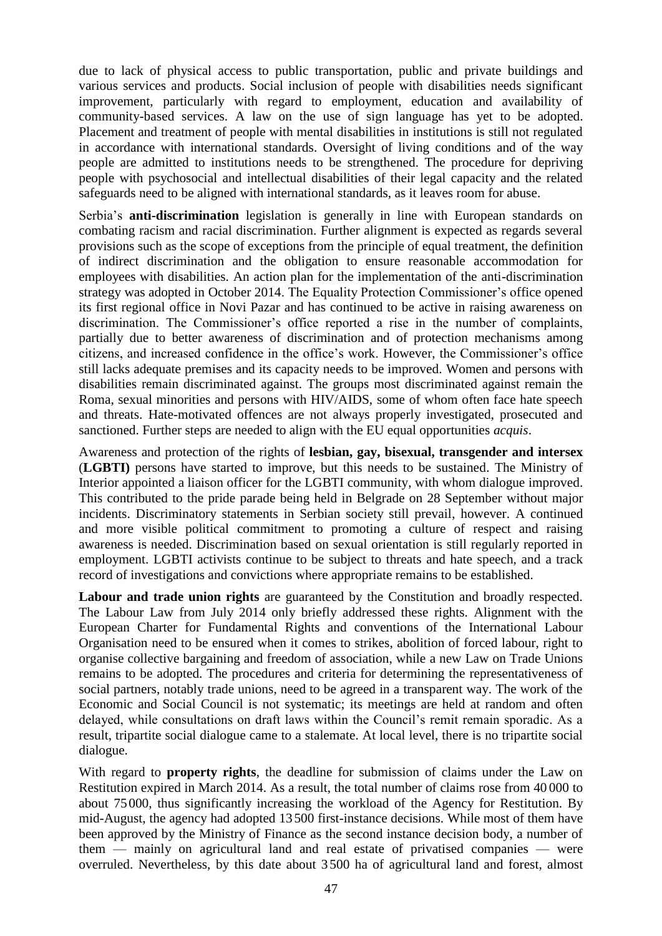due to lack of physical access to public transportation, public and private buildings and various services and products. Social inclusion of people with disabilities needs significant improvement, particularly with regard to employment, education and availability of community-based services. A law on the use of sign language has yet to be adopted. Placement and treatment of people with mental disabilities in institutions is still not regulated in accordance with international standards. Oversight of living conditions and of the way people are admitted to institutions needs to be strengthened. The procedure for depriving people with psychosocial and intellectual disabilities of their legal capacity and the related safeguards need to be aligned with international standards, as it leaves room for abuse.

Serbia's **anti-discrimination** legislation is generally in line with European standards on combating racism and racial discrimination. Further alignment is expected as regards several provisions such as the scope of exceptions from the principle of equal treatment, the definition of indirect discrimination and the obligation to ensure reasonable accommodation for employees with disabilities. An action plan for the implementation of the anti-discrimination strategy was adopted in October 2014. The Equality Protection Commissioner's office opened its first regional office in Novi Pazar and has continued to be active in raising awareness on discrimination. The Commissioner's office reported a rise in the number of complaints, partially due to better awareness of discrimination and of protection mechanisms among citizens, and increased confidence in the office's work. However, the Commissioner's office still lacks adequate premises and its capacity needs to be improved. Women and persons with disabilities remain discriminated against. The groups most discriminated against remain the Roma, sexual minorities and persons with HIV/AIDS, some of whom often face hate speech and threats. Hate-motivated offences are not always properly investigated, prosecuted and sanctioned. Further steps are needed to align with the EU equal opportunities *acquis*.

Awareness and protection of the rights of **lesbian, gay, bisexual, transgender and intersex** (**LGBTI)** persons have started to improve, but this needs to be sustained. The Ministry of Interior appointed a liaison officer for the LGBTI community, with whom dialogue improved. This contributed to the pride parade being held in Belgrade on 28 September without major incidents. Discriminatory statements in Serbian society still prevail, however. A continued and more visible political commitment to promoting a culture of respect and raising awareness is needed. Discrimination based on sexual orientation is still regularly reported in employment. LGBTI activists continue to be subject to threats and hate speech, and a track record of investigations and convictions where appropriate remains to be established.

**Labour and trade union rights** are guaranteed by the Constitution and broadly respected. The Labour Law from July 2014 only briefly addressed these rights. Alignment with the European Charter for Fundamental Rights and conventions of the International Labour Organisation need to be ensured when it comes to strikes, abolition of forced labour, right to organise collective bargaining and freedom of association, while a new Law on Trade Unions remains to be adopted. The procedures and criteria for determining the representativeness of social partners, notably trade unions, need to be agreed in a transparent way. The work of the Economic and Social Council is not systematic; its meetings are held at random and often delayed, while consultations on draft laws within the Council's remit remain sporadic. As a result, tripartite social dialogue came to a stalemate. At local level, there is no tripartite social dialogue.

With regard to **property rights**, the deadline for submission of claims under the Law on Restitution expired in March 2014. As a result, the total number of claims rose from 40 000 to about 75000, thus significantly increasing the workload of the Agency for Restitution. By mid-August, the agency had adopted 13 500 first-instance decisions. While most of them have been approved by the Ministry of Finance as the second instance decision body, a number of them — mainly on agricultural land and real estate of privatised companies — were overruled. Nevertheless, by this date about 3 500 ha of agricultural land and forest, almost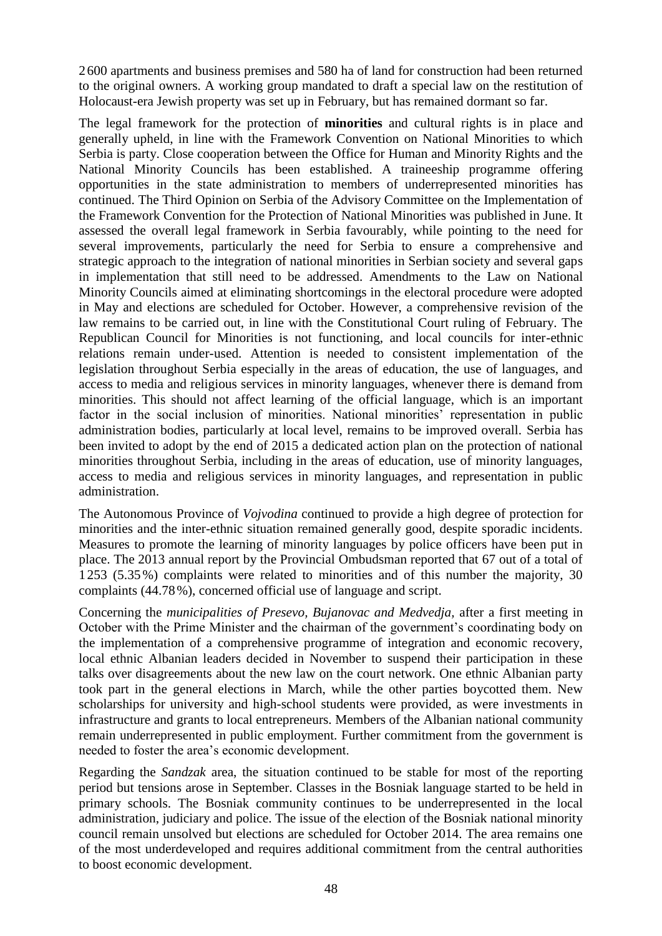2600 apartments and business premises and 580 ha of land for construction had been returned to the original owners. A working group mandated to draft a special law on the restitution of Holocaust-era Jewish property was set up in February, but has remained dormant so far.

The legal framework for the protection of **minorities** and cultural rights is in place and generally upheld, in line with the Framework Convention on National Minorities to which Serbia is party. Close cooperation between the Office for Human and Minority Rights and the National Minority Councils has been established. A traineeship programme offering opportunities in the state administration to members of underrepresented minorities has continued. The Third Opinion on Serbia of the Advisory Committee on the Implementation of the Framework Convention for the Protection of National Minorities was published in June. It assessed the overall legal framework in Serbia favourably, while pointing to the need for several improvements, particularly the need for Serbia to ensure a comprehensive and strategic approach to the integration of national minorities in Serbian society and several gaps in implementation that still need to be addressed. Amendments to the Law on National Minority Councils aimed at eliminating shortcomings in the electoral procedure were adopted in May and elections are scheduled for October. However, a comprehensive revision of the law remains to be carried out, in line with the Constitutional Court ruling of February. The Republican Council for Minorities is not functioning, and local councils for inter-ethnic relations remain under-used. Attention is needed to consistent implementation of the legislation throughout Serbia especially in the areas of education, the use of languages, and access to media and religious services in minority languages, whenever there is demand from minorities. This should not affect learning of the official language, which is an important factor in the social inclusion of minorities. National minorities' representation in public administration bodies, particularly at local level, remains to be improved overall. Serbia has been invited to adopt by the end of 2015 a dedicated action plan on the protection of national minorities throughout Serbia, including in the areas of education, use of minority languages, access to media and religious services in minority languages, and representation in public administration.

The Autonomous Province of *Vojvodina* continued to provide a high degree of protection for minorities and the inter-ethnic situation remained generally good, despite sporadic incidents. Measures to promote the learning of minority languages by police officers have been put in place. The 2013 annual report by the Provincial Ombudsman reported that 67 out of a total of 1253 (5.35%) complaints were related to minorities and of this number the majority, 30 complaints (44.78%), concerned official use of language and script.

Concerning the *municipalities of Presevo, Bujanovac and Medvedja,* after a first meeting in October with the Prime Minister and the chairman of the government's coordinating body on the implementation of a comprehensive programme of integration and economic recovery, local ethnic Albanian leaders decided in November to suspend their participation in these talks over disagreements about the new law on the court network. One ethnic Albanian party took part in the general elections in March, while the other parties boycotted them. New scholarships for university and high-school students were provided, as were investments in infrastructure and grants to local entrepreneurs. Members of the Albanian national community remain underrepresented in public employment. Further commitment from the government is needed to foster the area's economic development.

Regarding the *Sandzak* area, the situation continued to be stable for most of the reporting period but tensions arose in September. Classes in the Bosniak language started to be held in primary schools. The Bosniak community continues to be underrepresented in the local administration, judiciary and police. The issue of the election of the Bosniak national minority council remain unsolved but elections are scheduled for October 2014. The area remains one of the most underdeveloped and requires additional commitment from the central authorities to boost economic development.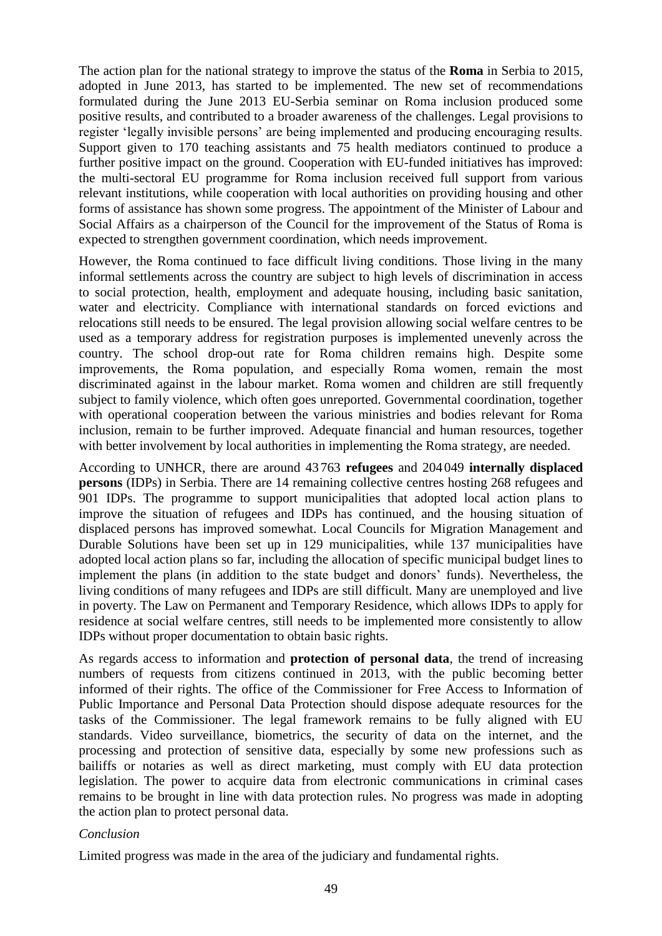The action plan for the national strategy to improve the status of the **Roma** in Serbia to 2015, adopted in June 2013, has started to be implemented. The new set of recommendations formulated during the June 2013 EU-Serbia seminar on Roma inclusion produced some positive results, and contributed to a broader awareness of the challenges. Legal provisions to register 'legally invisible persons' are being implemented and producing encouraging results. Support given to 170 teaching assistants and 75 health mediators continued to produce a further positive impact on the ground. Cooperation with EU-funded initiatives has improved: the multi-sectoral EU programme for Roma inclusion received full support from various relevant institutions, while cooperation with local authorities on providing housing and other forms of assistance has shown some progress. The appointment of the Minister of Labour and Social Affairs as a chairperson of the Council for the improvement of the Status of Roma is expected to strengthen government coordination, which needs improvement.

However, the Roma continued to face difficult living conditions. Those living in the many informal settlements across the country are subject to high levels of discrimination in access to social protection, health, employment and adequate housing, including basic sanitation, water and electricity. Compliance with international standards on forced evictions and relocations still needs to be ensured. The legal provision allowing social welfare centres to be used as a temporary address for registration purposes is implemented unevenly across the country. The school drop-out rate for Roma children remains high. Despite some improvements, the Roma population, and especially Roma women, remain the most discriminated against in the labour market. Roma women and children are still frequently subject to family violence, which often goes unreported. Governmental coordination, together with operational cooperation between the various ministries and bodies relevant for Roma inclusion, remain to be further improved. Adequate financial and human resources, together with better involvement by local authorities in implementing the Roma strategy, are needed.

According to UNHCR, there are around 43 763 **refugees** and 204049 **internally displaced persons** (IDPs) in Serbia. There are 14 remaining collective centres hosting 268 refugees and 901 IDPs. The programme to support municipalities that adopted local action plans to improve the situation of refugees and IDPs has continued, and the housing situation of displaced persons has improved somewhat. Local Councils for Migration Management and Durable Solutions have been set up in 129 municipalities, while 137 municipalities have adopted local action plans so far, including the allocation of specific municipal budget lines to implement the plans (in addition to the state budget and donors' funds). Nevertheless, the living conditions of many refugees and IDPs are still difficult. Many are unemployed and live in poverty. The Law on Permanent and Temporary Residence, which allows IDPs to apply for residence at social welfare centres, still needs to be implemented more consistently to allow IDPs without proper documentation to obtain basic rights.

As regards access to information and **protection of personal data**, the trend of increasing numbers of requests from citizens continued in 2013, with the public becoming better informed of their rights. The office of the Commissioner for Free Access to Information of Public Importance and Personal Data Protection should dispose adequate resources for the tasks of the Commissioner. The legal framework remains to be fully aligned with EU standards. Video surveillance, biometrics, the security of data on the internet, and the processing and protection of sensitive data, especially by some new professions such as bailiffs or notaries as well as direct marketing, must comply with EU data protection legislation. The power to acquire data from electronic communications in criminal cases remains to be brought in line with data protection rules. No progress was made in adopting the action plan to protect personal data.

#### *Conclusion*

Limited progress was made in the area of the judiciary and fundamental rights.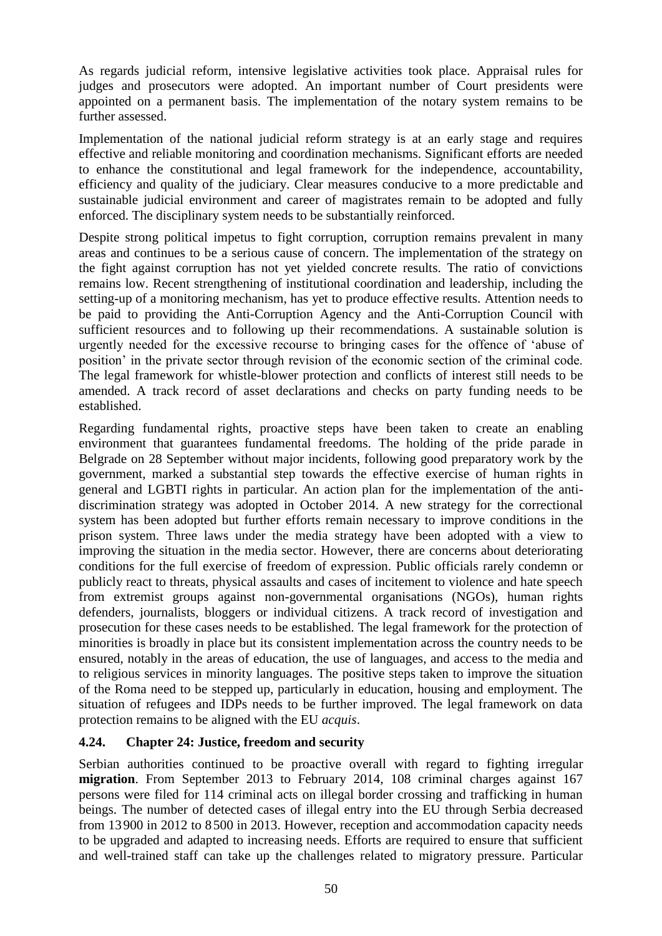As regards judicial reform, intensive legislative activities took place. Appraisal rules for judges and prosecutors were adopted. An important number of Court presidents were appointed on a permanent basis. The implementation of the notary system remains to be further assessed.

Implementation of the national judicial reform strategy is at an early stage and requires effective and reliable monitoring and coordination mechanisms. Significant efforts are needed to enhance the constitutional and legal framework for the independence, accountability, efficiency and quality of the judiciary. Clear measures conducive to a more predictable and sustainable judicial environment and career of magistrates remain to be adopted and fully enforced. The disciplinary system needs to be substantially reinforced.

Despite strong political impetus to fight corruption, corruption remains prevalent in many areas and continues to be a serious cause of concern. The implementation of the strategy on the fight against corruption has not yet yielded concrete results. The ratio of convictions remains low. Recent strengthening of institutional coordination and leadership, including the setting-up of a monitoring mechanism, has yet to produce effective results. Attention needs to be paid to providing the Anti-Corruption Agency and the Anti-Corruption Council with sufficient resources and to following up their recommendations. A sustainable solution is urgently needed for the excessive recourse to bringing cases for the offence of 'abuse of position' in the private sector through revision of the economic section of the criminal code. The legal framework for whistle-blower protection and conflicts of interest still needs to be amended. A track record of asset declarations and checks on party funding needs to be established.

Regarding fundamental rights, proactive steps have been taken to create an enabling environment that guarantees fundamental freedoms. The holding of the pride parade in Belgrade on 28 September without major incidents, following good preparatory work by the government, marked a substantial step towards the effective exercise of human rights in general and LGBTI rights in particular. An action plan for the implementation of the antidiscrimination strategy was adopted in October 2014. A new strategy for the correctional system has been adopted but further efforts remain necessary to improve conditions in the prison system. Three laws under the media strategy have been adopted with a view to improving the situation in the media sector. However, there are concerns about deteriorating conditions for the full exercise of freedom of expression. Public officials rarely condemn or publicly react to threats, physical assaults and cases of incitement to violence and hate speech from extremist groups against non-governmental organisations (NGOs), human rights defenders, journalists, bloggers or individual citizens. A track record of investigation and prosecution for these cases needs to be established. The legal framework for the protection of minorities is broadly in place but its consistent implementation across the country needs to be ensured, notably in the areas of education, the use of languages, and access to the media and to religious services in minority languages. The positive steps taken to improve the situation of the Roma need to be stepped up, particularly in education, housing and employment. The situation of refugees and IDPs needs to be further improved. The legal framework on data protection remains to be aligned with the EU *acquis*.

### <span id="page-50-0"></span>**4.24. Chapter 24: Justice, freedom and security**

Serbian authorities continued to be proactive overall with regard to fighting irregular **migration**. From September 2013 to February 2014, 108 criminal charges against 167 persons were filed for 114 criminal acts on illegal border crossing and trafficking in human beings. The number of detected cases of illegal entry into the EU through Serbia decreased from 13900 in 2012 to 8 500 in 2013. However, reception and accommodation capacity needs to be upgraded and adapted to increasing needs. Efforts are required to ensure that sufficient and well-trained staff can take up the challenges related to migratory pressure. Particular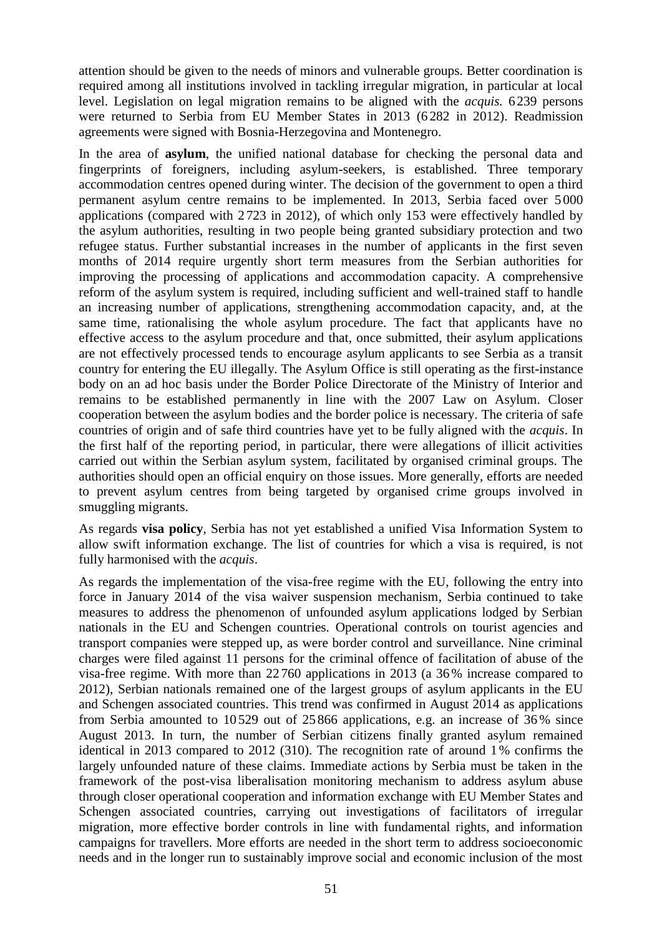attention should be given to the needs of minors and vulnerable groups. Better coordination is required among all institutions involved in tackling irregular migration, in particular at local level. Legislation on legal migration remains to be aligned with the *acquis.* 6239 persons were returned to Serbia from EU Member States in 2013 (6 282 in 2012). Readmission agreements were signed with Bosnia-Herzegovina and Montenegro.

In the area of **asylum**, the unified national database for checking the personal data and fingerprints of foreigners, including asylum-seekers, is established. Three temporary accommodation centres opened during winter. The decision of the government to open a third permanent asylum centre remains to be implemented. In 2013, Serbia faced over 5 000 applications (compared with 2 723 in 2012), of which only 153 were effectively handled by the asylum authorities, resulting in two people being granted subsidiary protection and two refugee status. Further substantial increases in the number of applicants in the first seven months of 2014 require urgently short term measures from the Serbian authorities for improving the processing of applications and accommodation capacity. A comprehensive reform of the asylum system is required, including sufficient and well-trained staff to handle an increasing number of applications, strengthening accommodation capacity, and, at the same time, rationalising the whole asylum procedure. The fact that applicants have no effective access to the asylum procedure and that, once submitted, their asylum applications are not effectively processed tends to encourage asylum applicants to see Serbia as a transit country for entering the EU illegally. The Asylum Office is still operating as the first-instance body on an ad hoc basis under the Border Police Directorate of the Ministry of Interior and remains to be established permanently in line with the 2007 Law on Asylum. Closer cooperation between the asylum bodies and the border police is necessary. The criteria of safe countries of origin and of safe third countries have yet to be fully aligned with the *acquis*. In the first half of the reporting period, in particular, there were allegations of illicit activities carried out within the Serbian asylum system, facilitated by organised criminal groups. The authorities should open an official enquiry on those issues. More generally, efforts are needed to prevent asylum centres from being targeted by organised crime groups involved in smuggling migrants.

As regards **visa policy**, Serbia has not yet established a unified Visa Information System to allow swift information exchange. The list of countries for which a visa is required, is not fully harmonised with the *acquis*.

As regards the implementation of the visa-free regime with the EU, following the entry into force in January 2014 of the visa waiver suspension mechanism, Serbia continued to take measures to address the phenomenon of unfounded asylum applications lodged by Serbian nationals in the EU and Schengen countries*.* Operational controls on tourist agencies and transport companies were stepped up, as were border control and surveillance. Nine criminal charges were filed against 11 persons for the criminal offence of facilitation of abuse of the visa-free regime. With more than 22 760 applications in 2013 (a 36% increase compared to 2012), Serbian nationals remained one of the largest groups of asylum applicants in the EU and Schengen associated countries. This trend was confirmed in August 2014 as applications from Serbia amounted to 10 529 out of 25 866 applications, e.g. an increase of 36 % since August 2013. In turn, the number of Serbian citizens finally granted asylum remained identical in 2013 compared to 2012 (310). The recognition rate of around 1% confirms the largely unfounded nature of these claims. Immediate actions by Serbia must be taken in the framework of the post-visa liberalisation monitoring mechanism to address asylum abuse through closer operational cooperation and information exchange with EU Member States and Schengen associated countries, carrying out investigations of facilitators of irregular migration, more effective border controls in line with fundamental rights, and information campaigns for travellers. More efforts are needed in the short term to address socioeconomic needs and in the longer run to sustainably improve social and economic inclusion of the most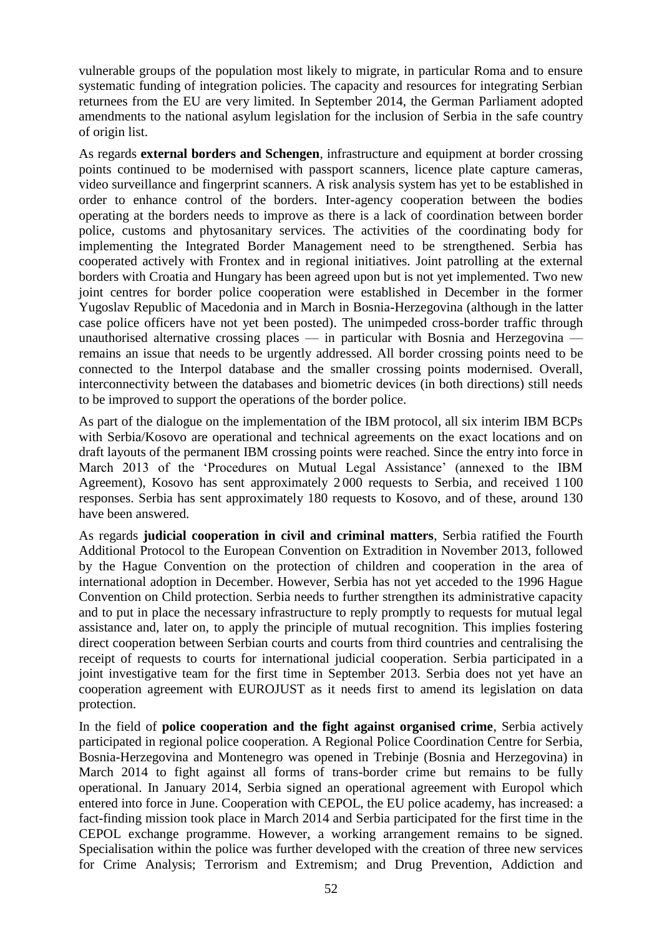vulnerable groups of the population most likely to migrate, in particular Roma and to ensure systematic funding of integration policies. The capacity and resources for integrating Serbian returnees from the EU are very limited. In September 2014, the German Parliament adopted amendments to the national asylum legislation for the inclusion of Serbia in the safe country of origin list.

As regards **external borders and Schengen**, infrastructure and equipment at border crossing points continued to be modernised with passport scanners, licence plate capture cameras, video surveillance and fingerprint scanners. A risk analysis system has yet to be established in order to enhance control of the borders. Inter-agency cooperation between the bodies operating at the borders needs to improve as there is a lack of coordination between border police, customs and phytosanitary services. The activities of the coordinating body for implementing the Integrated Border Management need to be strengthened. Serbia has cooperated actively with Frontex and in regional initiatives. Joint patrolling at the external borders with Croatia and Hungary has been agreed upon but is not yet implemented. Two new joint centres for border police cooperation were established in December in the former Yugoslav Republic of Macedonia and in March in Bosnia-Herzegovina (although in the latter case police officers have not yet been posted). The unimpeded cross-border traffic through unauthorised alternative crossing places — in particular with Bosnia and Herzegovina remains an issue that needs to be urgently addressed. All border crossing points need to be connected to the Interpol database and the smaller crossing points modernised. Overall, interconnectivity between the databases and biometric devices (in both directions) still needs to be improved to support the operations of the border police.

As part of the dialogue on the implementation of the IBM protocol, all six interim IBM BCPs with Serbia/Kosovo are operational and technical agreements on the exact locations and on draft layouts of the permanent IBM crossing points were reached. Since the entry into force in March 2013 of the 'Procedures on Mutual Legal Assistance' (annexed to the IBM Agreement), Kosovo has sent approximately 2 000 requests to Serbia, and received 1 100 responses. Serbia has sent approximately 180 requests to Kosovo, and of these, around 130 have been answered.

As regards **judicial cooperation in civil and criminal matters**, Serbia ratified the Fourth Additional Protocol to the European Convention on Extradition in November 2013, followed by the Hague Convention on the protection of children and cooperation in the area of international adoption in December. However, Serbia has not yet acceded to the 1996 Hague Convention on Child protection. Serbia needs to further strengthen its administrative capacity and to put in place the necessary infrastructure to reply promptly to requests for mutual legal assistance and, later on, to apply the principle of mutual recognition. This implies fostering direct cooperation between Serbian courts and courts from third countries and centralising the receipt of requests to courts for international judicial cooperation. Serbia participated in a joint investigative team for the first time in September 2013. Serbia does not yet have an cooperation agreement with EUROJUST as it needs first to amend its legislation on data protection.

In the field of **police cooperation and the fight against organised crime**, Serbia actively participated in regional police cooperation. A Regional Police Coordination Centre for Serbia, Bosnia-Herzegovina and Montenegro was opened in Trebinje (Bosnia and Herzegovina) in March 2014 to fight against all forms of trans-border crime but remains to be fully operational. In January 2014, Serbia signed an operational agreement with Europol which entered into force in June. Cooperation with CEPOL, the EU police academy, has increased: a fact-finding mission took place in March 2014 and Serbia participated for the first time in the CEPOL exchange programme. However, a working arrangement remains to be signed. Specialisation within the police was further developed with the creation of three new services for Crime Analysis; Terrorism and Extremism; and Drug Prevention, Addiction and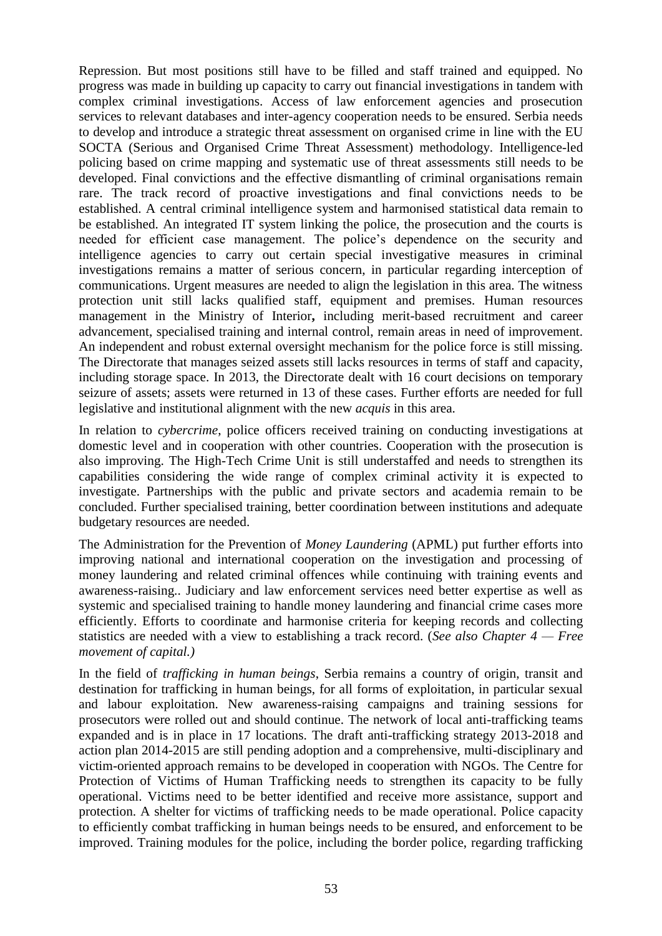Repression. But most positions still have to be filled and staff trained and equipped. No progress was made in building up capacity to carry out financial investigations in tandem with complex criminal investigations. Access of law enforcement agencies and prosecution services to relevant databases and inter-agency cooperation needs to be ensured. Serbia needs to develop and introduce a strategic threat assessment on organised crime in line with the EU SOCTA (Serious and Organised Crime Threat Assessment) methodology. Intelligence-led policing based on crime mapping and systematic use of threat assessments still needs to be developed. Final convictions and the effective dismantling of criminal organisations remain rare. The track record of proactive investigations and final convictions needs to be established. A central criminal intelligence system and harmonised statistical data remain to be established. An integrated IT system linking the police, the prosecution and the courts is needed for efficient case management. The police's dependence on the security and intelligence agencies to carry out certain special investigative measures in criminal investigations remains a matter of serious concern, in particular regarding interception of communications. Urgent measures are needed to align the legislation in this area. The witness protection unit still lacks qualified staff, equipment and premises. Human resources management in the Ministry of Interior**,** including merit-based recruitment and career advancement, specialised training and internal control, remain areas in need of improvement. An independent and robust external oversight mechanism for the police force is still missing. The Directorate that manages seized assets still lacks resources in terms of staff and capacity, including storage space. In 2013, the Directorate dealt with 16 court decisions on temporary seizure of assets; assets were returned in 13 of these cases. Further efforts are needed for full legislative and institutional alignment with the new *acquis* in this area.

In relation to *cybercrime*, police officers received training on conducting investigations at domestic level and in cooperation with other countries. Cooperation with the prosecution is also improving. The High-Tech Crime Unit is still understaffed and needs to strengthen its capabilities considering the wide range of complex criminal activity it is expected to investigate. Partnerships with the public and private sectors and academia remain to be concluded. Further specialised training, better coordination between institutions and adequate budgetary resources are needed.

The Administration for the Prevention of *Money Laundering* (APML) put further efforts into improving national and international cooperation on the investigation and processing of money laundering and related criminal offences while continuing with training events and awareness-raising.. Judiciary and law enforcement services need better expertise as well as systemic and specialised training to handle money laundering and financial crime cases more efficiently. Efforts to coordinate and harmonise criteria for keeping records and collecting statistics are needed with a view to establishing a track record. (*See also Chapter 4 — Free movement of capital.)*

In the field of *trafficking in human beings*, Serbia remains a country of origin, transit and destination for trafficking in human beings, for all forms of exploitation, in particular sexual and labour exploitation. New awareness-raising campaigns and training sessions for prosecutors were rolled out and should continue. The network of local anti-trafficking teams expanded and is in place in 17 locations. The draft anti-trafficking strategy 2013-2018 and action plan 2014-2015 are still pending adoption and a comprehensive, multi-disciplinary and victim-oriented approach remains to be developed in cooperation with NGOs. The Centre for Protection of Victims of Human Trafficking needs to strengthen its capacity to be fully operational. Victims need to be better identified and receive more assistance, support and protection. A shelter for victims of trafficking needs to be made operational. Police capacity to efficiently combat trafficking in human beings needs to be ensured, and enforcement to be improved. Training modules for the police, including the border police, regarding trafficking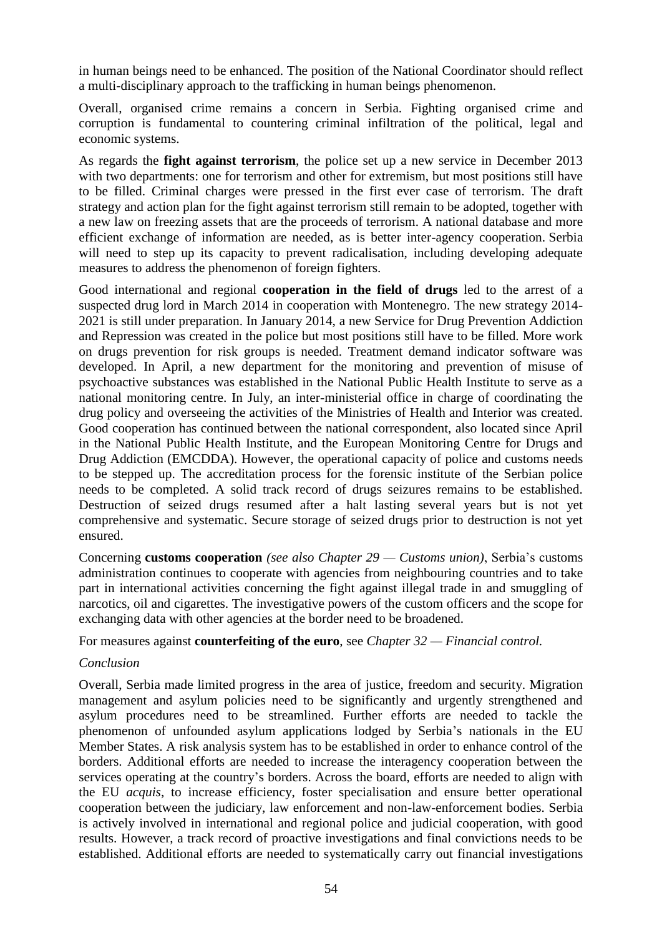in human beings need to be enhanced. The position of the National Coordinator should reflect a multi-disciplinary approach to the trafficking in human beings phenomenon.

Overall, organised crime remains a concern in Serbia. Fighting organised crime and corruption is fundamental to countering criminal infiltration of the political, legal and economic systems.

As regards the **fight against terrorism**, the police set up a new service in December 2013 with two departments: one for terrorism and other for extremism, but most positions still have to be filled. Criminal charges were pressed in the first ever case of terrorism. The draft strategy and action plan for the fight against terrorism still remain to be adopted, together with a new law on freezing assets that are the proceeds of terrorism. A national database and more efficient exchange of information are needed, as is better inter-agency cooperation. Serbia will need to step up its capacity to prevent radicalisation, including developing adequate measures to address the phenomenon of foreign fighters.

Good international and regional **cooperation in the field of drugs** led to the arrest of a suspected drug lord in March 2014 in cooperation with Montenegro. The new strategy 2014- 2021 is still under preparation. In January 2014, a new Service for Drug Prevention Addiction and Repression was created in the police but most positions still have to be filled. More work on drugs prevention for risk groups is needed. Treatment demand indicator software was developed. In April, a new department for the monitoring and prevention of misuse of psychoactive substances was established in the National Public Health Institute to serve as a national monitoring centre. In July, an inter-ministerial office in charge of coordinating the drug policy and overseeing the activities of the Ministries of Health and Interior was created. Good cooperation has continued between the national correspondent, also located since April in the National Public Health Institute, and the European Monitoring Centre for Drugs and Drug Addiction (EMCDDA). However, the operational capacity of police and customs needs to be stepped up. The accreditation process for the forensic institute of the Serbian police needs to be completed. A solid track record of drugs seizures remains to be established. Destruction of seized drugs resumed after a halt lasting several years but is not yet comprehensive and systematic. Secure storage of seized drugs prior to destruction is not yet ensured.

Concerning **customs cooperation** *(see also Chapter 29 — Customs union)*, Serbia's customs administration continues to cooperate with agencies from neighbouring countries and to take part in international activities concerning the fight against illegal trade in and smuggling of narcotics, oil and cigarettes. The investigative powers of the custom officers and the scope for exchanging data with other agencies at the border need to be broadened.

#### For measures against **counterfeiting of the euro**, see *Chapter 32 — Financial control.*

### *Conclusion*

Overall, Serbia made limited progress in the area of justice, freedom and security. Migration management and asylum policies need to be significantly and urgently strengthened and asylum procedures need to be streamlined. Further efforts are needed to tackle the phenomenon of unfounded asylum applications lodged by Serbia's nationals in the EU Member States. A risk analysis system has to be established in order to enhance control of the borders. Additional efforts are needed to increase the interagency cooperation between the services operating at the country's borders. Across the board, efforts are needed to align with the EU *acquis*, to increase efficiency, foster specialisation and ensure better operational cooperation between the judiciary, law enforcement and non-law-enforcement bodies. Serbia is actively involved in international and regional police and judicial cooperation, with good results. However, a track record of proactive investigations and final convictions needs to be established. Additional efforts are needed to systematically carry out financial investigations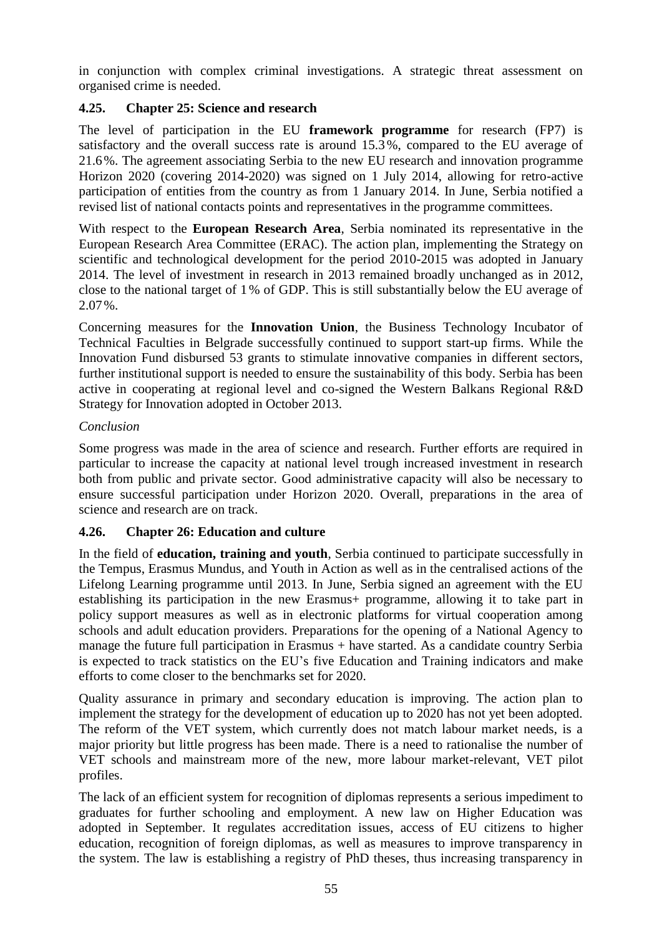in conjunction with complex criminal investigations. A strategic threat assessment on organised crime is needed.

### <span id="page-55-0"></span>**4.25. Chapter 25: Science and research**

The level of participation in the EU **framework programme** for research (FP7) is satisfactory and the overall success rate is around 15.3%, compared to the EU average of 21.6%. The agreement associating Serbia to the new EU research and innovation programme Horizon 2020 (covering 2014-2020) was signed on 1 July 2014, allowing for retro-active participation of entities from the country as from 1 January 2014. In June, Serbia notified a revised list of national contacts points and representatives in the programme committees.

With respect to the **European Research Area**, Serbia nominated its representative in the European Research Area Committee (ERAC). The action plan, implementing the Strategy on scientific and technological development for the period 2010-2015 was adopted in January 2014. The level of investment in research in 2013 remained broadly unchanged as in 2012, close to the national target of 1% of GDP. This is still substantially below the EU average of 2.07%.

Concerning measures for the **Innovation Union**, the Business Technology Incubator of Technical Faculties in Belgrade successfully continued to support start-up firms. While the Innovation Fund disbursed 53 grants to stimulate innovative companies in different sectors, further institutional support is needed to ensure the sustainability of this body. Serbia has been active in cooperating at regional level and co-signed the Western Balkans Regional R&D Strategy for Innovation adopted in October 2013.

### *Conclusion*

Some progress was made in the area of science and research. Further efforts are required in particular to increase the capacity at national level trough increased investment in research both from public and private sector. Good administrative capacity will also be necessary to ensure successful participation under Horizon 2020. Overall, preparations in the area of science and research are on track.

### <span id="page-55-1"></span>**4.26. Chapter 26: Education and culture**

In the field of **education, training and youth**, Serbia continued to participate successfully in the Tempus, Erasmus Mundus, and Youth in Action as well as in the centralised actions of the Lifelong Learning programme until 2013. In June, Serbia signed an agreement with the EU establishing its participation in the new Erasmus+ programme, allowing it to take part in policy support measures as well as in electronic platforms for virtual cooperation among schools and adult education providers. Preparations for the opening of a National Agency to manage the future full participation in Erasmus + have started. As a candidate country Serbia is expected to track statistics on the EU's five Education and Training indicators and make efforts to come closer to the benchmarks set for 2020.

Quality assurance in primary and secondary education is improving. The action plan to implement the strategy for the development of education up to 2020 has not yet been adopted. The reform of the VET system, which currently does not match labour market needs, is a major priority but little progress has been made. There is a need to rationalise the number of VET schools and mainstream more of the new, more labour market-relevant, VET pilot profiles.

The lack of an efficient system for recognition of diplomas represents a serious impediment to graduates for further schooling and employment. A new law on Higher Education was adopted in September. It regulates accreditation issues, access of EU citizens to higher education, recognition of foreign diplomas, as well as measures to improve transparency in the system. The law is establishing a registry of PhD theses, thus increasing transparency in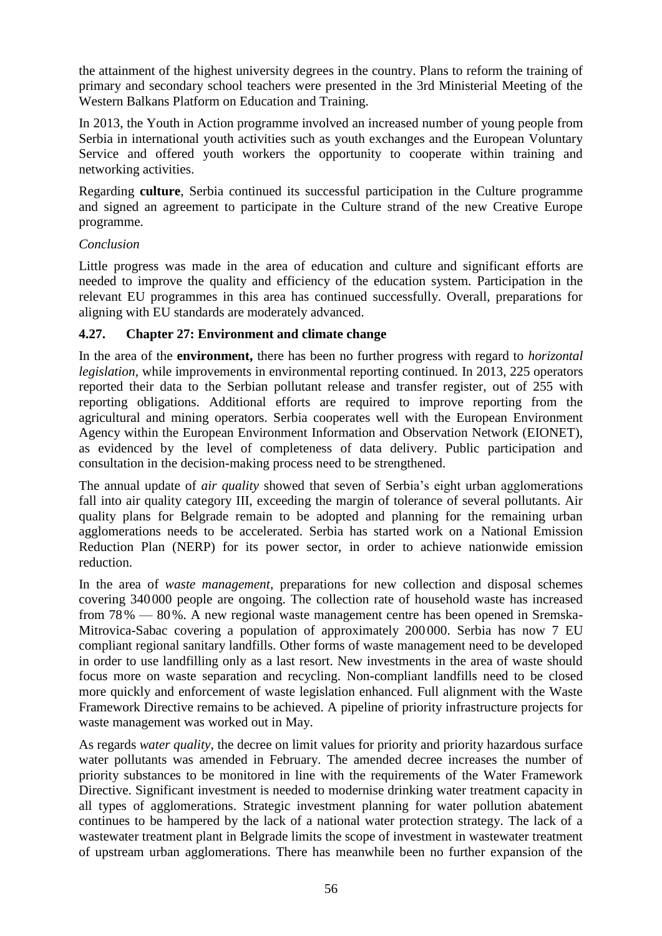the attainment of the highest university degrees in the country. Plans to reform the training of primary and secondary school teachers were presented in the 3rd Ministerial Meeting of the Western Balkans Platform on Education and Training.

In 2013, the Youth in Action programme involved an increased number of young people from Serbia in international youth activities such as youth exchanges and the European Voluntary Service and offered youth workers the opportunity to cooperate within training and networking activities.

Regarding **culture**, Serbia continued its successful participation in the Culture programme and signed an agreement to participate in the Culture strand of the new Creative Europe programme.

### *Conclusion*

Little progress was made in the area of education and culture and significant efforts are needed to improve the quality and efficiency of the education system. Participation in the relevant EU programmes in this area has continued successfully. Overall, preparations for aligning with EU standards are moderately advanced.

### <span id="page-56-0"></span>**4.27. Chapter 27: Environment and climate change**

In the area of the **environment,** there has been no further progress with regard to *horizontal legislation,* while improvements in environmental reporting continued. In 2013, 225 operators reported their data to the Serbian pollutant release and transfer register, out of 255 with reporting obligations. Additional efforts are required to improve reporting from the agricultural and mining operators. Serbia cooperates well with the European Environment Agency within the European Environment Information and Observation Network (EIONET), as evidenced by the level of completeness of data delivery. Public participation and consultation in the decision-making process need to be strengthened.

The annual update of *air quality* showed that seven of Serbia's eight urban agglomerations fall into air quality category III, exceeding the margin of tolerance of several pollutants. Air quality plans for Belgrade remain to be adopted and planning for the remaining urban agglomerations needs to be accelerated. Serbia has started work on a National Emission Reduction Plan (NERP) for its power sector, in order to achieve nationwide emission reduction.

In the area of *waste management*, preparations for new collection and disposal schemes covering 340000 people are ongoing. The collection rate of household waste has increased from 78% — 80%. A new regional waste management centre has been opened in Sremska-Mitrovica-Sabac covering a population of approximately 200 000. Serbia has now 7 EU compliant regional sanitary landfills. Other forms of waste management need to be developed in order to use landfilling only as a last resort. New investments in the area of waste should focus more on waste separation and recycling. Non-compliant landfills need to be closed more quickly and enforcement of waste legislation enhanced. Full alignment with the Waste Framework Directive remains to be achieved. A pipeline of priority infrastructure projects for waste management was worked out in May.

As regards *water quality*, the decree on limit values for priority and priority hazardous surface water pollutants was amended in February. The amended decree increases the number of priority substances to be monitored in line with the requirements of the Water Framework Directive. Significant investment is needed to modernise drinking water treatment capacity in all types of agglomerations. Strategic investment planning for water pollution abatement continues to be hampered by the lack of a national water protection strategy. The lack of a wastewater treatment plant in Belgrade limits the scope of investment in wastewater treatment of upstream urban agglomerations. There has meanwhile been no further expansion of the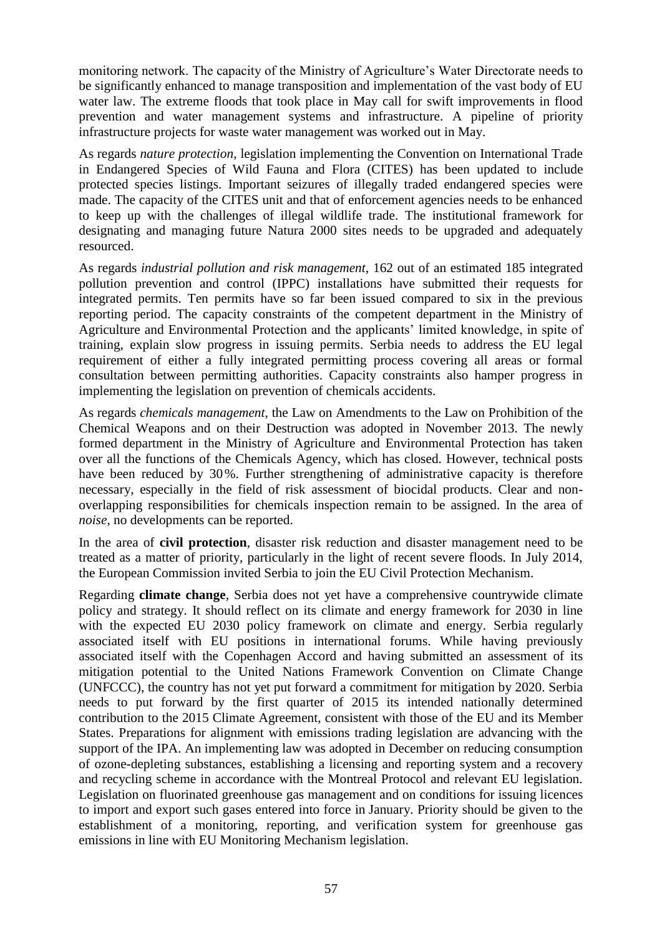monitoring network. The capacity of the Ministry of Agriculture's Water Directorate needs to be significantly enhanced to manage transposition and implementation of the vast body of EU water law. The extreme floods that took place in May call for swift improvements in flood prevention and water management systems and infrastructure. A pipeline of priority infrastructure projects for waste water management was worked out in May.

As regards *nature protection*, legislation implementing the Convention on International Trade in Endangered Species of Wild Fauna and Flora (CITES) has been updated to include protected species listings. Important seizures of illegally traded endangered species were made. The capacity of the CITES unit and that of enforcement agencies needs to be enhanced to keep up with the challenges of illegal wildlife trade. The institutional framework for designating and managing future Natura 2000 sites needs to be upgraded and adequately resourced.

As regards *industrial pollution and risk management,* 162 out of an estimated 185 integrated pollution prevention and control (IPPC) installations have submitted their requests for integrated permits. Ten permits have so far been issued compared to six in the previous reporting period. The capacity constraints of the competent department in the Ministry of Agriculture and Environmental Protection and the applicants' limited knowledge, in spite of training, explain slow progress in issuing permits. Serbia needs to address the EU legal requirement of either a fully integrated permitting process covering all areas or formal consultation between permitting authorities. Capacity constraints also hamper progress in implementing the legislation on prevention of chemicals accidents.

As regards *chemicals management*, the Law on Amendments to the Law on Prohibition of the Chemical Weapons and on their Destruction was adopted in November 2013. The newly formed department in the Ministry of Agriculture and Environmental Protection has taken over all the functions of the Chemicals Agency, which has closed. However, technical posts have been reduced by 30%. Further strengthening of administrative capacity is therefore necessary, especially in the field of risk assessment of biocidal products. Clear and nonoverlapping responsibilities for chemicals inspection remain to be assigned. In the area of *noise,* no developments can be reported.

In the area of **civil protection***,* disaster risk reduction and disaster management need to be treated as a matter of priority, particularly in the light of recent severe floods. In July 2014, the European Commission invited Serbia to join the EU Civil Protection Mechanism.

Regarding **climate change**, Serbia does not yet have a comprehensive countrywide climate policy and strategy. It should reflect on its climate and energy framework for 2030 in line with the expected EU 2030 policy framework on climate and energy. Serbia regularly associated itself with EU positions in international forums. While having previously associated itself with the Copenhagen Accord and having submitted an assessment of its mitigation potential to the United Nations Framework Convention on Climate Change (UNFCCC), the country has not yet put forward a commitment for mitigation by 2020. Serbia needs to put forward by the first quarter of 2015 its intended nationally determined contribution to the 2015 Climate Agreement, consistent with those of the EU and its Member States. Preparations for alignment with emissions trading legislation are advancing with the support of the IPA. An implementing law was adopted in December on reducing consumption of ozone-depleting substances, establishing a licensing and reporting system and a recovery and recycling scheme in accordance with the Montreal Protocol and relevant EU legislation. Legislation on fluorinated greenhouse gas management and on conditions for issuing licences to import and export such gases entered into force in January. Priority should be given to the establishment of a monitoring, reporting, and verification system for greenhouse gas emissions in line with EU Monitoring Mechanism legislation.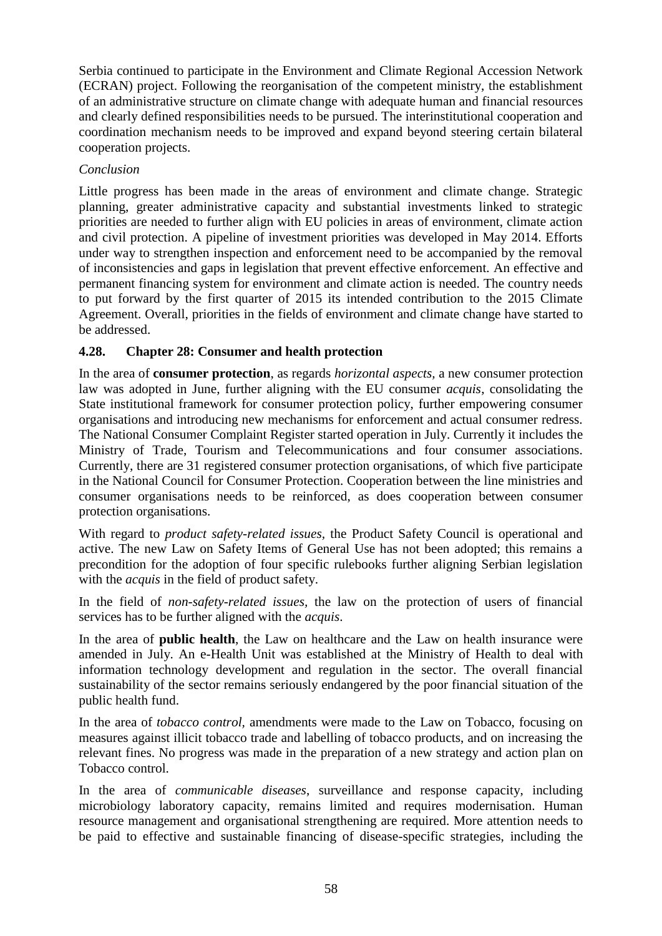Serbia continued to participate in the Environment and Climate Regional Accession Network (ECRAN) project. Following the reorganisation of the competent ministry, the establishment of an administrative structure on climate change with adequate human and financial resources and clearly defined responsibilities needs to be pursued. The interinstitutional cooperation and coordination mechanism needs to be improved and expand beyond steering certain bilateral cooperation projects.

### *Conclusion*

Little progress has been made in the areas of environment and climate change. Strategic planning, greater administrative capacity and substantial investments linked to strategic priorities are needed to further align with EU policies in areas of environment, climate action and civil protection. A pipeline of investment priorities was developed in May 2014. Efforts under way to strengthen inspection and enforcement need to be accompanied by the removal of inconsistencies and gaps in legislation that prevent effective enforcement. An effective and permanent financing system for environment and climate action is needed. The country needs to put forward by the first quarter of 2015 its intended contribution to the 2015 Climate Agreement. Overall, priorities in the fields of environment and climate change have started to be addressed.

### <span id="page-58-0"></span>**4.28. Chapter 28: Consumer and health protection**

In the area of **consumer protection**, as regards *horizontal aspects,* a new consumer protection law was adopted in June, further aligning with the EU consumer *acquis*, consolidating the State institutional framework for consumer protection policy, further empowering consumer organisations and introducing new mechanisms for enforcement and actual consumer redress. The National Consumer Complaint Register started operation in July. Currently it includes the Ministry of Trade, Tourism and Telecommunications and four consumer associations. Currently, there are 31 registered consumer protection organisations, of which five participate in the National Council for Consumer Protection. Cooperation between the line ministries and consumer organisations needs to be reinforced, as does cooperation between consumer protection organisations.

With regard to *product safety-related issues,* the Product Safety Council is operational and active. The new Law on Safety Items of General Use has not been adopted; this remains a precondition for the adoption of four specific rulebooks further aligning Serbian legislation with the *acquis* in the field of product safety.

In the field of *non-safety-related issues,* the law on the protection of users of financial services has to be further aligned with the *acquis*.

In the area of **public health**, the Law on healthcare and the Law on health insurance were amended in July. An e-Health Unit was established at the Ministry of Health to deal with information technology development and regulation in the sector. The overall financial sustainability of the sector remains seriously endangered by the poor financial situation of the public health fund.

In the area of *tobacco control,* amendments were made to the Law on Tobacco, focusing on measures against illicit tobacco trade and labelling of tobacco products, and on increasing the relevant fines. No progress was made in the preparation of a new strategy and action plan on Tobacco control.

In the area of *communicable diseases*, surveillance and response capacity, including microbiology laboratory capacity, remains limited and requires modernisation. Human resource management and organisational strengthening are required. More attention needs to be paid to effective and sustainable financing of disease-specific strategies, including the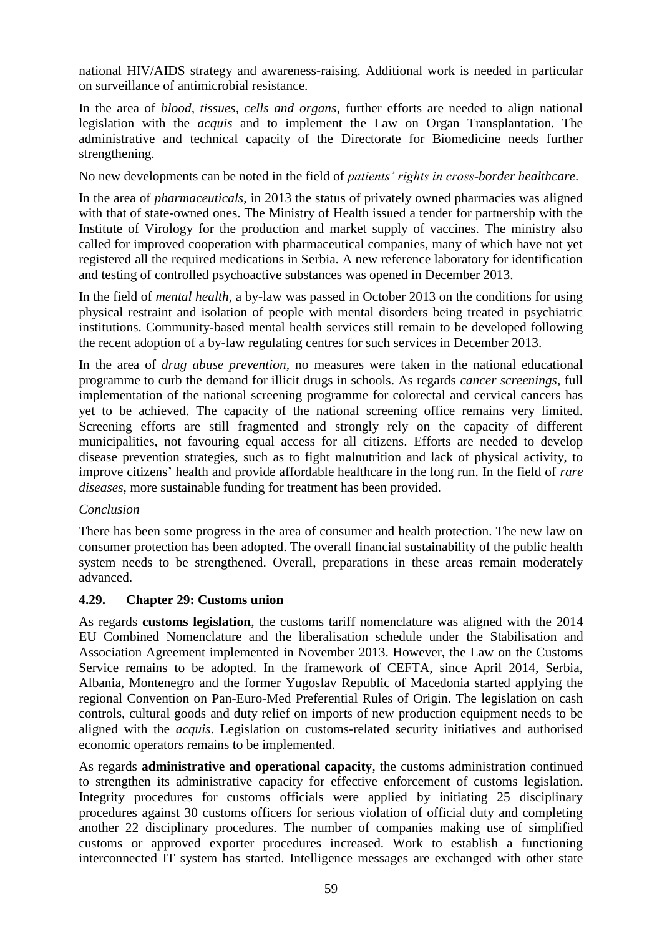national HIV/AIDS strategy and awareness-raising. Additional work is needed in particular on surveillance of antimicrobial resistance.

In the area of *blood, tissues, cells and organs,* further efforts are needed to align national legislation with the *acquis* and to implement the Law on Organ Transplantation. The administrative and technical capacity of the Directorate for Biomedicine needs further strengthening.

No new developments can be noted in the field of *patients' rights in cross-border healthcare*.

In the area of *pharmaceuticals*, in 2013 the status of privately owned pharmacies was aligned with that of state-owned ones. The Ministry of Health issued a tender for partnership with the Institute of Virology for the production and market supply of vaccines. The ministry also called for improved cooperation with pharmaceutical companies, many of which have not yet registered all the required medications in Serbia. A new reference laboratory for identification and testing of controlled psychoactive substances was opened in December 2013.

In the field of *mental health*, a by-law was passed in October 2013 on the conditions for using physical restraint and isolation of people with mental disorders being treated in psychiatric institutions. Community-based mental health services still remain to be developed following the recent adoption of a by-law regulating centres for such services in December 2013.

In the area of *drug abuse prevention,* no measures were taken in the national educational programme to curb the demand for illicit drugs in schools. As regards *cancer screenings*, full implementation of the national screening programme for colorectal and cervical cancers has yet to be achieved. The capacity of the national screening office remains very limited. Screening efforts are still fragmented and strongly rely on the capacity of different municipalities, not favouring equal access for all citizens. Efforts are needed to develop disease prevention strategies, such as to fight malnutrition and lack of physical activity, to improve citizens' health and provide affordable healthcare in the long run. In the field of *rare diseases*, more sustainable funding for treatment has been provided.

#### *Conclusion*

There has been some progress in the area of consumer and health protection. The new law on consumer protection has been adopted. The overall financial sustainability of the public health system needs to be strengthened. Overall, preparations in these areas remain moderately advanced.

### <span id="page-59-0"></span>**4.29. Chapter 29: Customs union**

As regards **customs legislation**, the customs tariff nomenclature was aligned with the 2014 EU Combined Nomenclature and the liberalisation schedule under the Stabilisation and Association Agreement implemented in November 2013. However, the Law on the Customs Service remains to be adopted. In the framework of CEFTA, since April 2014, Serbia, Albania, Montenegro and the former Yugoslav Republic of Macedonia started applying the regional Convention on Pan-Euro-Med Preferential Rules of Origin. The legislation on cash controls, cultural goods and duty relief on imports of new production equipment needs to be aligned with the *acquis*. Legislation on customs-related security initiatives and authorised economic operators remains to be implemented.

As regards **administrative and operational capacity**, the customs administration continued to strengthen its administrative capacity for effective enforcement of customs legislation. Integrity procedures for customs officials were applied by initiating 25 disciplinary procedures against 30 customs officers for serious violation of official duty and completing another 22 disciplinary procedures. The number of companies making use of simplified customs or approved exporter procedures increased. Work to establish a functioning interconnected IT system has started. Intelligence messages are exchanged with other state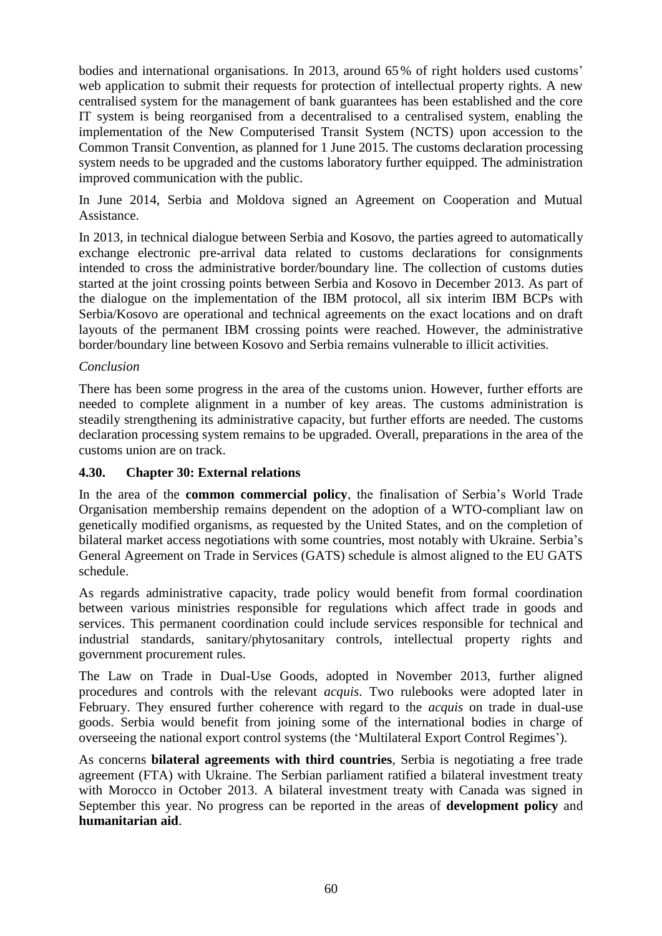bodies and international organisations. In 2013, around 65% of right holders used customs' web application to submit their requests for protection of intellectual property rights. A new centralised system for the management of bank guarantees has been established and the core IT system is being reorganised from a decentralised to a centralised system, enabling the implementation of the New Computerised Transit System (NCTS) upon accession to the Common Transit Convention, as planned for 1 June 2015. The customs declaration processing system needs to be upgraded and the customs laboratory further equipped. The administration improved communication with the public.

In June 2014, Serbia and Moldova signed an Agreement on Cooperation and Mutual Assistance.

In 2013, in technical dialogue between Serbia and Kosovo, the parties agreed to automatically exchange electronic pre-arrival data related to customs declarations for consignments intended to cross the administrative border/boundary line. The collection of customs duties started at the joint crossing points between Serbia and Kosovo in December 2013. As part of the dialogue on the implementation of the IBM protocol, all six interim IBM BCPs with Serbia/Kosovo are operational and technical agreements on the exact locations and on draft layouts of the permanent IBM crossing points were reached. However, the administrative border/boundary line between Kosovo and Serbia remains vulnerable to illicit activities.

#### *Conclusion*

There has been some progress in the area of the customs union. However, further efforts are needed to complete alignment in a number of key areas. The customs administration is steadily strengthening its administrative capacity, but further efforts are needed. The customs declaration processing system remains to be upgraded. Overall, preparations in the area of the customs union are on track.

#### <span id="page-60-0"></span>**4.30. Chapter 30: External relations**

In the area of the **common commercial policy**, the finalisation of Serbia's World Trade Organisation membership remains dependent on the adoption of a WTO-compliant law on genetically modified organisms, as requested by the United States, and on the completion of bilateral market access negotiations with some countries, most notably with Ukraine. Serbia's General Agreement on Trade in Services (GATS) schedule is almost aligned to the EU GATS schedule.

As regards administrative capacity, trade policy would benefit from formal coordination between various ministries responsible for regulations which affect trade in goods and services. This permanent coordination could include services responsible for technical and industrial standards, sanitary/phytosanitary controls, intellectual property rights and government procurement rules.

The Law on Trade in Dual-Use Goods, adopted in November 2013, further aligned procedures and controls with the relevant *acquis*. Two rulebooks were adopted later in February. They ensured further coherence with regard to the *acquis* on trade in dual-use goods. Serbia would benefit from joining some of the international bodies in charge of overseeing the national export control systems (the 'Multilateral Export Control Regimes').

As concerns **bilateral agreements with third countries**, Serbia is negotiating a free trade agreement (FTA) with Ukraine. The Serbian parliament ratified a bilateral investment treaty with Morocco in October 2013. A bilateral investment treaty with Canada was signed in September this year. No progress can be reported in the areas of **development policy** and **humanitarian aid**.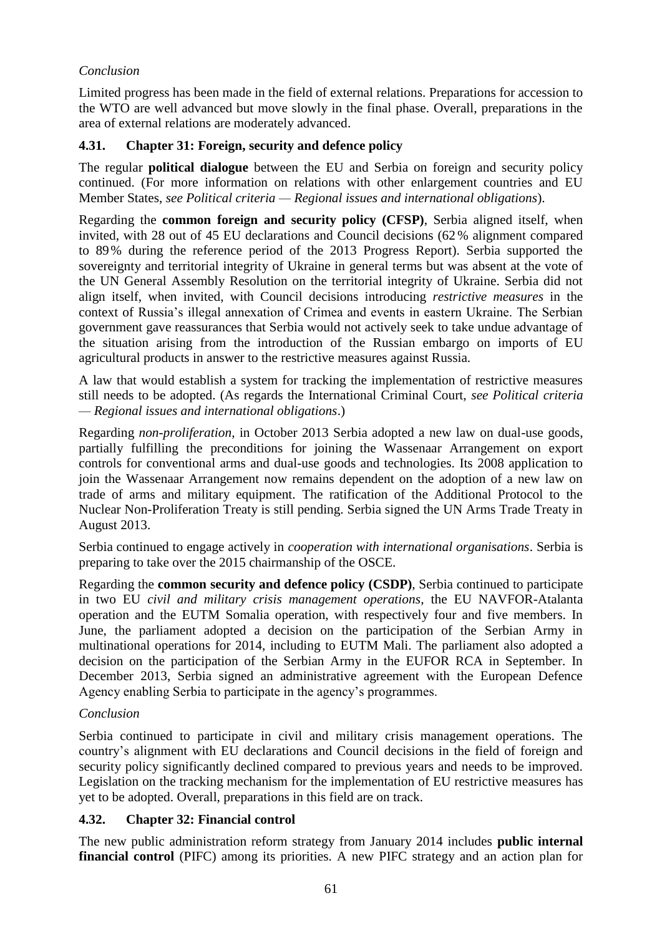### *Conclusion*

Limited progress has been made in the field of external relations. Preparations for accession to the WTO are well advanced but move slowly in the final phase. Overall, preparations in the area of external relations are moderately advanced.

### <span id="page-61-0"></span>**4.31. Chapter 31: Foreign, security and defence policy**

The regular **political dialogue** between the EU and Serbia on foreign and security policy continued. (For more information on relations with other enlargement countries and EU Member States, *see Political criteria — Regional issues and international obligations*).

Regarding the **common foreign and security policy (CFSP)**, Serbia aligned itself, when invited, with 28 out of 45 EU declarations and Council decisions (62% alignment compared to 89% during the reference period of the 2013 Progress Report). Serbia supported the sovereignty and territorial integrity of Ukraine in general terms but was absent at the vote of the UN General Assembly Resolution on the territorial integrity of Ukraine. Serbia did not align itself, when invited, with Council decisions introducing *restrictive measures* in the context of Russia's illegal annexation of Crimea and events in eastern Ukraine. The Serbian government gave reassurances that Serbia would not actively seek to take undue advantage of the situation arising from the introduction of the Russian embargo on imports of EU agricultural products in answer to the restrictive measures against Russia.

A law that would establish a system for tracking the implementation of restrictive measures still needs to be adopted. (As regards the International Criminal Court, *see Political criteria — Regional issues and international obligations*.)

Regarding *non-proliferation*, in October 2013 Serbia adopted a new law on dual-use goods, partially fulfilling the preconditions for joining the Wassenaar Arrangement on export controls for conventional arms and dual-use goods and technologies. Its 2008 application to join the Wassenaar Arrangement now remains dependent on the adoption of a new law on trade of arms and military equipment. The ratification of the Additional Protocol to the Nuclear Non-Proliferation Treaty is still pending. Serbia signed the UN Arms Trade Treaty in August 2013.

Serbia continued to engage actively in *cooperation with international organisations*. Serbia is preparing to take over the 2015 chairmanship of the OSCE.

Regarding the **common security and defence policy (CSDP)**, Serbia continued to participate in two EU *civil and military crisis management operations*, the EU NAVFOR-Atalanta operation and the EUTM Somalia operation, with respectively four and five members. In June, the parliament adopted a decision on the participation of the Serbian Army in multinational operations for 2014, including to EUTM Mali. The parliament also adopted a decision on the participation of the Serbian Army in the EUFOR RCA in September. In December 2013, Serbia signed an administrative agreement with the European Defence Agency enabling Serbia to participate in the agency's programmes.

### *Conclusion*

Serbia continued to participate in civil and military crisis management operations. The country's alignment with EU declarations and Council decisions in the field of foreign and security policy significantly declined compared to previous years and needs to be improved. Legislation on the tracking mechanism for the implementation of EU restrictive measures has yet to be adopted. Overall, preparations in this field are on track.

### <span id="page-61-1"></span>**4.32. Chapter 32: Financial control**

The new public administration reform strategy from January 2014 includes **public internal financial control** (PIFC) among its priorities. A new PIFC strategy and an action plan for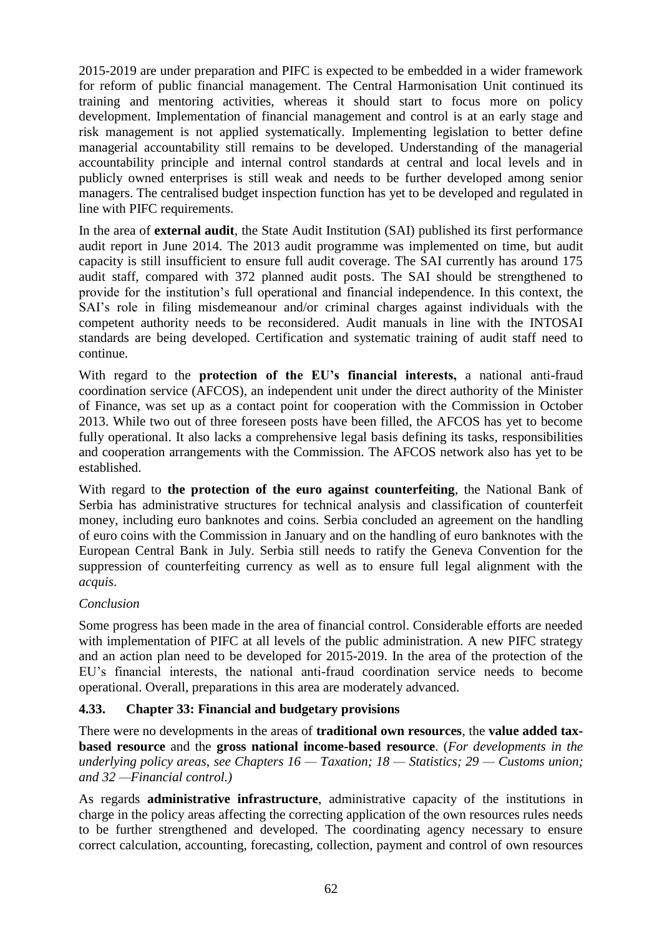2015-2019 are under preparation and PIFC is expected to be embedded in a wider framework for reform of public financial management. The Central Harmonisation Unit continued its training and mentoring activities, whereas it should start to focus more on policy development. Implementation of financial management and control is at an early stage and risk management is not applied systematically. Implementing legislation to better define managerial accountability still remains to be developed. Understanding of the managerial accountability principle and internal control standards at central and local levels and in publicly owned enterprises is still weak and needs to be further developed among senior managers. The centralised budget inspection function has yet to be developed and regulated in line with PIFC requirements.

In the area of **external audit**, the State Audit Institution (SAI) published its first performance audit report in June 2014. The 2013 audit programme was implemented on time, but audit capacity is still insufficient to ensure full audit coverage. The SAI currently has around 175 audit staff, compared with 372 planned audit posts. The SAI should be strengthened to provide for the institution's full operational and financial independence. In this context, the SAI's role in filing misdemeanour and/or criminal charges against individuals with the competent authority needs to be reconsidered. Audit manuals in line with the INTOSAI standards are being developed. Certification and systematic training of audit staff need to continue.

With regard to the **protection of the EU's financial interests,** a national anti-fraud coordination service (AFCOS), an independent unit under the direct authority of the Minister of Finance, was set up as a contact point for cooperation with the Commission in October 2013. While two out of three foreseen posts have been filled, the AFCOS has yet to become fully operational. It also lacks a comprehensive legal basis defining its tasks, responsibilities and cooperation arrangements with the Commission. The AFCOS network also has yet to be established.

With regard to **the protection of the euro against counterfeiting**, the National Bank of Serbia has administrative structures for technical analysis and classification of counterfeit money, including euro banknotes and coins. Serbia concluded an agreement on the handling of euro coins with the Commission in January and on the handling of euro banknotes with the European Central Bank in July. Serbia still needs to ratify the Geneva Convention for the suppression of counterfeiting currency as well as to ensure full legal alignment with the *acquis*.

### *Conclusion*

Some progress has been made in the area of financial control. Considerable efforts are needed with implementation of PIFC at all levels of the public administration. A new PIFC strategy and an action plan need to be developed for 2015-2019. In the area of the protection of the EU's financial interests, the national anti-fraud coordination service needs to become operational. Overall, preparations in this area are moderately advanced.

### <span id="page-62-0"></span>**4.33. Chapter 33: Financial and budgetary provisions**

There were no developments in the areas of **traditional own resources**, the **value added taxbased resource** and the **gross national income-based resource**. (*For developments in the underlying policy areas*, *see Chapters 16 — Taxation; 18 — Statistics; 29 — Customs union; and 32 —Financial control.)*

As regards **administrative infrastructure**, administrative capacity of the institutions in charge in the policy areas affecting the correcting application of the own resources rules needs to be further strengthened and developed. The coordinating agency necessary to ensure correct calculation, accounting, forecasting, collection, payment and control of own resources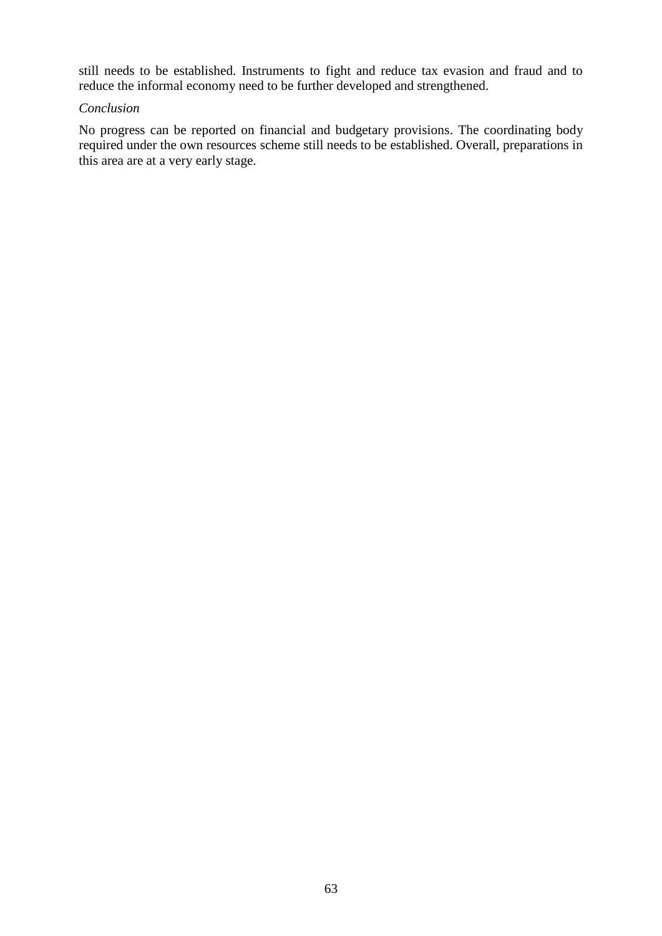still needs to be established. Instruments to fight and reduce tax evasion and fraud and to reduce the informal economy need to be further developed and strengthened.

#### *Conclusion*

No progress can be reported on financial and budgetary provisions. The coordinating body required under the own resources scheme still needs to be established. Overall, preparations in this area are at a very early stage.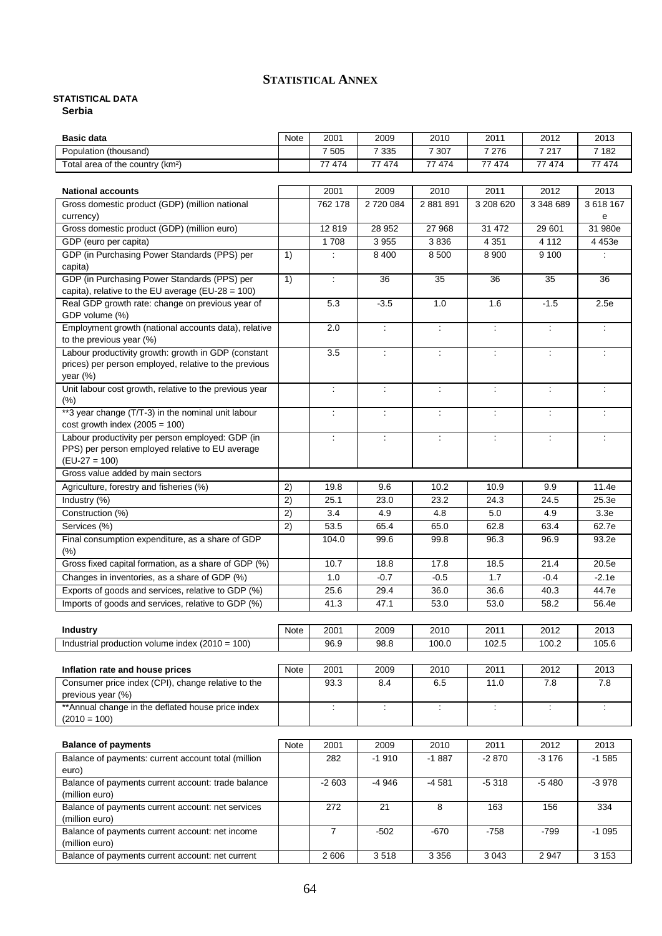#### **STATISTICAL ANNEX**

### <span id="page-64-0"></span>**STATISTICAL DATA**

**Serbia**

| <b>Basic data</b>                                                                |      | 2001                 | 2009                     | 2010                        | 2011                 | 2012                        | 2013                 |
|----------------------------------------------------------------------------------|------|----------------------|--------------------------|-----------------------------|----------------------|-----------------------------|----------------------|
| Population (thousand)                                                            |      | 7 5 0 5              | 7 3 3 5                  | 7 307                       | 7 2 7 6              | 7 2 1 7                     | 7 1 8 2              |
| Total area of the country (km <sup>2</sup> )                                     |      | 77 474               | 77 474                   | 77 474                      | 77 474               | 77 474                      | 77 474               |
|                                                                                  |      |                      |                          |                             |                      |                             |                      |
| <b>National accounts</b>                                                         |      | 2001                 | 2009                     | 2010                        | 2011                 | 2012                        | 2013                 |
| Gross domestic product (GDP) (million national                                   |      | 762 178              | 2720084                  | 2 881 891                   | 3 208 620            | 3 348 689                   | 3 618 167            |
| currency)                                                                        |      |                      |                          |                             |                      |                             | е                    |
| Gross domestic product (GDP) (million euro)                                      |      | 12819                | 28 952                   | 27 968                      | 31 472               | 29 601                      | 31 980e              |
| GDP (euro per capita)                                                            |      | 1708                 | 3 9 5 5                  | 3836                        | 4 3 5 1              | 4 1 1 2                     | 4 453e               |
| GDP (in Purchasing Power Standards (PPS) per                                     | 1)   |                      | 8 4 0 0                  | 8 500                       | 8 9 0 0              | 9 100                       |                      |
| capita)                                                                          |      |                      |                          |                             |                      |                             |                      |
| GDP (in Purchasing Power Standards (PPS) per                                     | 1)   | ÷                    | 36                       | 35                          | 36                   | 35                          | 36                   |
| capita), relative to the EU average (EU-28 = 100)                                |      |                      |                          |                             |                      |                             |                      |
| Real GDP growth rate: change on previous year of                                 |      | 5.3                  | $-3.5$                   | 1.0                         | 1.6                  | $-1.5$                      | 2.5e                 |
| GDP volume (%)                                                                   |      |                      |                          |                             |                      |                             | $\ddot{\phantom{a}}$ |
| Employment growth (national accounts data), relative<br>to the previous year (%) |      | 2.0                  | $\overline{\mathbb{Z}}$  | $\ddot{\phantom{a}}$        | $\ddot{\phantom{a}}$ | $\ddot{\phantom{a}}$        |                      |
| Labour productivity growth: growth in GDP (constant                              |      | 3.5                  | $\ddot{\phantom{a}}$     | $\ddot{\phantom{a}}$        | $\ddot{\phantom{a}}$ | $\ddot{\phantom{a}}$        |                      |
| prices) per person employed, relative to the previous                            |      |                      |                          |                             |                      |                             |                      |
| year $(\%)$                                                                      |      |                      |                          |                             |                      |                             |                      |
| Unit labour cost growth, relative to the previous year                           |      | t                    | $\ddot{\cdot}$           | $\ddot{\phantom{a}}$        | $\ddot{\phantom{a}}$ | ÷                           |                      |
| (%)                                                                              |      |                      |                          |                             |                      |                             |                      |
| **3 year change (T/T-3) in the nominal unit labour                               |      | ÷                    | $\overline{\phantom{a}}$ | $\ddot{\phantom{a}}$        | $\ddot{\phantom{a}}$ | ÷                           |                      |
| cost growth index $(2005 = 100)$                                                 |      |                      |                          |                             |                      |                             |                      |
| Labour productivity per person employed: GDP (in                                 |      | ÷                    | ÷                        | $\ddot{\phantom{a}}$        | ÷                    | $\ddot{\phantom{a}}$        |                      |
| PPS) per person employed relative to EU average                                  |      |                      |                          |                             |                      |                             |                      |
| $(EU-27 = 100)$                                                                  |      |                      |                          |                             |                      |                             |                      |
| Gross value added by main sectors                                                |      |                      |                          |                             |                      |                             |                      |
| Agriculture, forestry and fisheries (%)                                          | 2)   | 19.8                 | 9.6                      | 10.2                        | 10.9                 | 9.9                         | 11.4e                |
| Industry (%)                                                                     | 2)   | 25.1                 | 23.0                     | 23.2                        | 24.3                 | 24.5                        | 25.3e                |
| Construction (%)                                                                 | 2)   | 3.4                  | 4.9                      | 4.8                         | 5.0                  | 4.9                         | 3.3e                 |
| Services (%)                                                                     | 2)   | 53.5                 | 65.4                     | 65.0                        | 62.8                 | 63.4                        | 62.7e                |
| Final consumption expenditure, as a share of GDP                                 |      | 104.0                | 99.6                     | 99.8                        | 96.3                 | 96.9                        | 93.2e                |
| (%)                                                                              |      |                      |                          |                             |                      |                             |                      |
| Gross fixed capital formation, as a share of GDP (%)                             |      | 10.7                 | 18.8                     | 17.8                        | 18.5                 | 21.4                        | 20.5e                |
| Changes in inventories, as a share of GDP (%)                                    |      | 1.0                  | $-0.7$                   | $-0.5$                      | 1.7                  | $-0.4$                      | $-2.1e$              |
| Exports of goods and services, relative to GDP (%)                               |      | 25.6                 | 29.4                     | 36.0                        | 36.6                 | 40.3                        | 44.7e                |
| Imports of goods and services, relative to GDP (%)                               |      | 41.3                 | 47.1                     | 53.0                        | 53.0                 | 58.2                        | 56.4e                |
|                                                                                  |      |                      |                          |                             |                      |                             |                      |
| <b>Industry</b>                                                                  | Note | 2001                 | 2009                     | 2010                        | 2011                 | 2012                        | 2013                 |
| Industrial production volume index $(2010 = 100)$                                |      | 96.9                 | 98.8                     | 100.0                       | 102.5                | 100.2                       | 105.6                |
|                                                                                  |      |                      |                          |                             |                      |                             |                      |
| Inflation rate and house prices                                                  | Note | 2001                 | 2009                     | 2010                        | 2011                 | 2012                        | 2013                 |
| Consumer price index (CPI), change relative to the                               |      | 93.3                 | 8.4                      | 6.5                         | 11.0                 | 7.8                         | 7.8                  |
| previous year (%)                                                                |      |                      |                          |                             |                      |                             |                      |
| ** Annual change in the deflated house price index<br>$(2010 = 100)$             |      | $\ddot{\phantom{a}}$ | $\ddot{\phantom{a}}$     | $\mathcal{L}^{\mathcal{L}}$ | $\ddot{\phantom{a}}$ | $\mathcal{L}_{\mathcal{A}}$ | $\ddot{\phantom{a}}$ |
|                                                                                  |      |                      |                          |                             |                      |                             |                      |
| <b>Balance of payments</b>                                                       | Note | 2001                 | 2009                     | 2010                        | 2011                 | 2012                        | 2013                 |
| Balance of payments: current account total (million                              |      | 282                  | $-1910$                  | $-1887$                     | $-2870$              | $-3176$                     | $-1585$              |
| euro)                                                                            |      |                      |                          |                             |                      |                             |                      |
| Balance of payments current account: trade balance                               |      | $-2603$              | $-4946$                  | $-4581$                     | $-5318$              | $-5480$                     | $-3978$              |
| (million euro)                                                                   |      |                      |                          |                             |                      |                             |                      |
| Balance of payments current account: net services                                |      | 272                  | 21                       | 8                           | 163                  | 156                         | 334                  |
| (million euro)                                                                   |      |                      |                          |                             |                      |                             |                      |
| Balance of payments current account: net income                                  |      | $\overline{7}$       | $-502$                   | $-670$                      | $-758$               | $-799$                      | $-1095$              |
| (million euro)                                                                   |      |                      |                          |                             |                      |                             |                      |
| Balance of payments current account: net current                                 |      | 2 606                | 3518                     | 3 3 5 6                     | 3 0 4 3              | 2 9 4 7                     | 3 1 5 3              |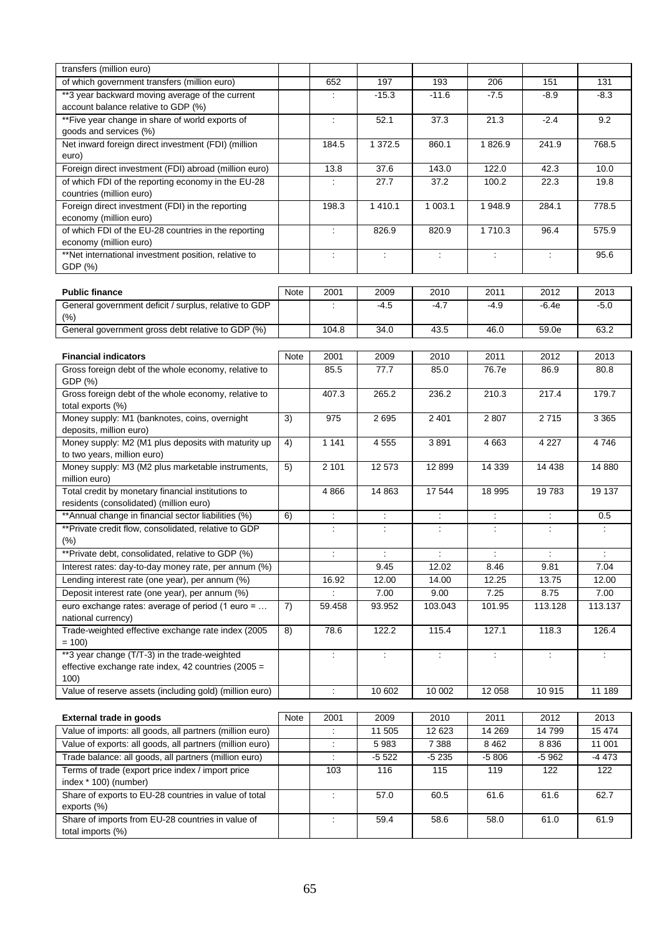| transfers (million euro)                                 |      |                          |                             |                             |                      |                      |                          |
|----------------------------------------------------------|------|--------------------------|-----------------------------|-----------------------------|----------------------|----------------------|--------------------------|
| of which government transfers (million euro)             |      | 652                      | 197                         | 193                         | 206                  | 151                  | 131                      |
| **3 year backward moving average of the current          |      | ÷                        | $-15.3$                     | $-11.6$                     | $-7.5$               | $-8.9$               | $-8.3$                   |
| account balance relative to GDP (%)                      |      |                          |                             |                             |                      |                      |                          |
| **Five year change in share of world exports of          |      | ÷                        | 52.1                        | 37.3                        | 21.3                 | $-2.4$               | 9.2                      |
| goods and services (%)                                   |      |                          |                             |                             |                      |                      |                          |
| Net inward foreign direct investment (FDI) (million      |      | 184.5                    | 1 3 7 2.5                   | 860.1                       | 1826.9               | 241.9                | 768.5                    |
| euro)                                                    |      |                          |                             |                             |                      |                      |                          |
| Foreign direct investment (FDI) abroad (million euro)    |      | 13.8                     | 37.6                        | 143.0                       | 122.0                | 42.3                 | 10.0                     |
| of which FDI of the reporting economy in the EU-28       |      | ÷                        | 27.7                        | 37.2                        | 100.2                | 22.3                 | 19.8                     |
| countries (million euro)                                 |      |                          |                             |                             |                      |                      |                          |
| Foreign direct investment (FDI) in the reporting         |      | 198.3                    | 1 4 1 0.1                   | 1 003.1                     | 1 948.9              | 284.1                | 778.5                    |
| economy (million euro)                                   |      |                          |                             |                             |                      |                      |                          |
| of which FDI of the EU-28 countries in the reporting     |      | $\overline{\phantom{a}}$ | 826.9                       | 820.9                       | 1710.3               | 96.4                 | 575.9                    |
| economy (million euro)                                   |      |                          |                             |                             |                      |                      |                          |
| **Net international investment position, relative to     |      | ÷                        | ÷                           | ÷                           | $\ddot{\phantom{a}}$ | ÷                    | 95.6                     |
| GDP (%)                                                  |      |                          |                             |                             |                      |                      |                          |
|                                                          |      |                          |                             |                             |                      |                      |                          |
| <b>Public finance</b>                                    | Note | 2001                     | 2009                        | 2010                        | 2011                 | 2012                 | 2013                     |
| General government deficit / surplus, relative to GDP    |      | ÷                        | $-4.5$                      | $-4.7$                      | $-4.9$               | $-6.4e$              | $-5.0$                   |
| (% )                                                     |      |                          |                             |                             |                      |                      |                          |
| General government gross debt relative to GDP (%)        |      | 104.8                    | 34.0                        | 43.5                        | 46.0                 | 59.0e                | 63.2                     |
|                                                          |      |                          |                             |                             |                      |                      |                          |
| <b>Financial indicators</b>                              | Note | 2001                     | 2009                        | 2010                        | 2011                 | 2012                 | 2013                     |
| Gross foreign debt of the whole economy, relative to     |      | 85.5                     | 77.7                        | 85.0                        | 76.7e                | 86.9                 | 80.8                     |
| GDP (%)                                                  |      |                          |                             |                             |                      |                      |                          |
| Gross foreign debt of the whole economy, relative to     |      | 407.3                    | 265.2                       | 236.2                       | 210.3                | 217.4                | 179.7                    |
| total exports (%)                                        |      |                          |                             |                             |                      |                      |                          |
| Money supply: M1 (banknotes, coins, overnight            | 3)   | 975                      | 2695                        | 2 4 0 1                     | 2807                 | 2715                 | 3 3 6 5                  |
| deposits, million euro)                                  |      |                          |                             |                             |                      |                      |                          |
| Money supply: M2 (M1 plus deposits with maturity up      | 4)   | 1 1 4 1                  | 4 5 5 5                     | 3891                        | 4 6 63               | 4 2 2 7              | 4746                     |
| to two years, million euro)                              |      |                          |                             |                             |                      |                      |                          |
| Money supply: M3 (M2 plus marketable instruments,        | 5)   | 2 101                    | 12 573                      | 12899                       | 14 339               | 14 4 38              | 14 880                   |
| million euro)                                            |      |                          |                             |                             |                      |                      |                          |
| Total credit by monetary financial institutions to       |      | 4866                     | 14 863                      | 17544                       | 18 995               | 19783                | 19 137                   |
| residents (consolidated) (million euro)                  |      |                          |                             |                             |                      |                      |                          |
| ** Annual change in financial sector liabilities (%)     | 6)   | ÷.                       | $\mathcal{L}_{\mathcal{C}}$ | $\mathcal{L}_{\mathcal{A}}$ | $\ddot{\phantom{a}}$ | $\ddot{\phantom{a}}$ | 0.5                      |
| ** Private credit flow, consolidated, relative to GDP    |      | ÷                        | $\ddot{\phantom{a}}$        | ÷                           | ÷                    | ÷                    | ÷                        |
| (% )                                                     |      |                          |                             |                             |                      |                      |                          |
| **Private debt, consolidated, relative to GDP (%)        |      | ÷                        | $\ddot{\phantom{a}}$        | $\ddot{\cdot}$              | ÷                    | ÷                    | $\overline{\phantom{a}}$ |
| Interest rates: day-to-day money rate, per annum (%)     |      |                          | 9.45                        | 12.02                       | 8.46                 | 9.81                 | 7.04                     |
| Lending interest rate (one year), per annum (%)          |      | 16.92                    | 12.00                       | 14.00                       | 12.25                | 13.75                | 12.00                    |
| Deposit interest rate (one year), per annum (%)          |      |                          | 7.00                        | 9.00                        | 7.25                 | 8.75                 | 7.00                     |
| euro exchange rates: average of period (1 euro =         | 7)   | 59.458                   | 93.952                      | 103.043                     | 101.95               | 113.128              | 113.137                  |
| national currency)                                       |      |                          |                             |                             |                      |                      |                          |
| Trade-weighted effective exchange rate index (2005       | 8)   | 78.6                     | 122.2                       | 115.4                       | 127.1                | 118.3                | 126.4                    |
| $= 100$                                                  |      |                          |                             |                             |                      |                      |                          |
| **3 year change (T/T-3) in the trade-weighted            |      | ÷.                       | $\mathcal{L}$               | $\mathcal{L}^{\mathcal{L}}$ | ÷                    | $\ddot{\phantom{a}}$ | ÷                        |
| effective exchange rate index, 42 countries (2005 =      |      |                          |                             |                             |                      |                      |                          |
| 100)                                                     |      |                          |                             |                             |                      |                      |                          |
| Value of reserve assets (including gold) (million euro)  |      | ÷,                       | 10 602                      | 10 002                      | 12 058               | 10 915               | 11 189                   |
|                                                          |      |                          |                             |                             |                      |                      |                          |
| <b>External trade in goods</b>                           | Note | 2001                     | 2009                        | 2010                        | 2011                 | 2012                 | 2013                     |
| Value of imports: all goods, all partners (million euro) |      | $\ddot{\phantom{a}}$     | 11 505                      | 12 623                      | 14 269               | 14 799               | 15 474                   |
| Value of exports: all goods, all partners (million euro) |      | Ì.                       | 5983                        | 7 3 8 8                     | 8 4 6 2              | 8836                 | 11 001                   |
| Trade balance: all goods, all partners (million euro)    |      | ÷                        | $-5522$                     | $-5235$                     | $-5806$              | $-5962$              | $-4473$                  |
| Terms of trade (export price index / import price        |      | 103                      | 116                         | 115                         | 119                  | 122                  | 122                      |
| index * 100) (number)                                    |      |                          |                             |                             |                      |                      |                          |
| Share of exports to EU-28 countries in value of total    |      | ÷                        | 57.0                        | 60.5                        | 61.6                 | 61.6                 | 62.7                     |
| exports (%)                                              |      |                          |                             |                             |                      |                      |                          |
| Share of imports from EU-28 countries in value of        |      | ÷                        | 59.4                        | 58.6                        | 58.0                 | 61.0                 | 61.9                     |
| total imports (%)                                        |      |                          |                             |                             |                      |                      |                          |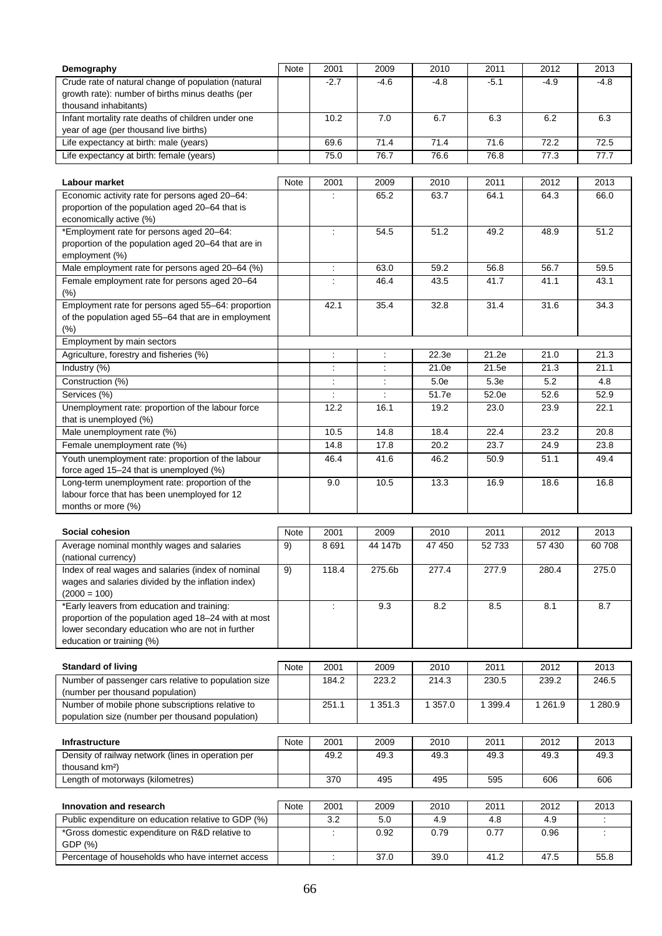| Demography                                           | Note | 2001                     | 2009                 | 2010        | 2011    | 2012       | 2013    |
|------------------------------------------------------|------|--------------------------|----------------------|-------------|---------|------------|---------|
| Crude rate of natural change of population (natural  |      | $-2.7$                   | $-4.6$               | $-4.8$      | $-5.1$  | $-4.9$     | $-4.8$  |
| growth rate): number of births minus deaths (per     |      |                          |                      |             |         |            |         |
| thousand inhabitants)                                |      |                          |                      |             |         |            |         |
| Infant mortality rate deaths of children under one   |      | 10.2                     | 7.0                  | 6.7         | 6.3     | 6.2        | 6.3     |
| year of age (per thousand live births)               |      |                          |                      |             |         |            |         |
| Life expectancy at birth: male (years)               |      | 69.6                     | 71.4                 | 71.4        | 71.6    | 72.2       | 72.5    |
| Life expectancy at birth: female (years)             |      | 75.0                     | 76.7                 | 76.6        | 76.8    | 77.3       | 77.7    |
|                                                      |      |                          |                      |             |         |            |         |
| Labour market                                        | Note | 2001                     | 2009                 | 2010        | 2011    | 2012       | 2013    |
| Economic activity rate for persons aged 20-64:       |      | $\ddot{\phantom{a}}$     | 65.2                 | 63.7        | 64.1    | 64.3       | 66.0    |
| proportion of the population aged 20-64 that is      |      |                          |                      |             |         |            |         |
| economically active (%)                              |      |                          |                      |             |         |            |         |
| *Employment rate for persons aged 20-64:             |      | $\ddot{\cdot}$           | 54.5                 | 51.2        | 49.2    | 48.9       | 51.2    |
| proportion of the population aged 20-64 that are in  |      |                          |                      |             |         |            |         |
| employment (%)                                       |      |                          |                      |             |         |            |         |
| Male employment rate for persons aged 20-64 (%)      |      | $\ddot{\cdot}$           | 63.0                 | 59.2        | 56.8    | 56.7       | 59.5    |
| Female employment rate for persons aged 20-64        |      | $\overline{\phantom{a}}$ | 46.4                 | 43.5        | 41.7    | 41.1       | 43.1    |
| $(\%)$                                               |      |                          |                      |             |         |            |         |
| Employment rate for persons aged 55-64: proportion   |      | 42.1                     | 35.4                 | 32.8        | 31.4    | 31.6       | 34.3    |
| of the population aged 55-64 that are in employment  |      |                          |                      |             |         |            |         |
| (%)                                                  |      |                          |                      |             |         |            |         |
| Employment by main sectors                           |      |                          |                      |             |         |            |         |
| Agriculture, forestry and fisheries (%)              |      | ÷                        | ÷                    | 22.3e       | 21.2e   | 21.0       | 21.3    |
| Industry (%)                                         |      | $\ddot{\phantom{a}}$     | $\ddot{\phantom{a}}$ | 21.0e       | 21.5e   | 21.3       | 21.1    |
| Construction (%)                                     |      |                          | ÷                    | 5.0e        | 5.3e    | 5.2        | 4.8     |
| Services (%)                                         |      | ÷                        | ÷                    | 51.7e       | 52.0e   | 52.6       | 52.9    |
| Unemployment rate: proportion of the labour force    |      | 12.2                     | 16.1                 | 19.2        | 23.0    | 23.9       | 22.1    |
| that is unemployed (%)                               |      |                          |                      |             |         |            |         |
| Male unemployment rate (%)                           |      | 10.5                     | 14.8                 | 18.4        | 22.4    | 23.2       | 20.8    |
| Female unemployment rate (%)                         |      | 14.8                     | 17.8                 | 20.2        | 23.7    | 24.9       | 23.8    |
| Youth unemployment rate: proportion of the labour    |      | 46.4                     | 41.6                 | 46.2        | 50.9    | 51.1       | 49.4    |
| force aged 15-24 that is unemployed (%)              |      |                          |                      |             |         |            |         |
| Long-term unemployment rate: proportion of the       |      | 9.0                      | 10.5                 | 13.3        | 16.9    | 18.6       | 16.8    |
| labour force that has been unemployed for 12         |      |                          |                      |             |         |            |         |
| months or more (%)                                   |      |                          |                      |             |         |            |         |
|                                                      |      |                          |                      |             |         |            |         |
| Social cohesion                                      | Note | 2001                     | 2009                 | 2010        | 2011    | 2012       | 2013    |
| Average nominal monthly wages and salaries           | 9)   | 8691                     | 44 147b              | 47 450      | 52 733  | 57 430     | 60 708  |
| (national currency)                                  |      |                          |                      |             |         |            |         |
| Index of real wages and salaries (index of nominal   | 9)   | 118.4                    | 275.6b               | 277.4       | 277.9   | 280.4      | 275.0   |
| wages and salaries divided by the inflation index)   |      |                          |                      |             |         |            |         |
| $(2000 = 100)$                                       |      |                          |                      |             |         |            |         |
| *Early leavers from education and training:          |      | $\overline{\phantom{a}}$ | 9.3                  | 8.2         | 8.5     | 8.1        | 8.7     |
| proportion of the population aged 18-24 with at most |      |                          |                      |             |         |            |         |
| lower secondary education who are not in further     |      |                          |                      |             |         |            |         |
| education or training (%)                            |      |                          |                      |             |         |            |         |
|                                                      |      |                          |                      |             |         |            |         |
| <b>Standard of living</b>                            | Note | 2001                     | 2009                 | 2010        | 2011    | 2012       | 2013    |
| Number of passenger cars relative to population size |      | 184.2                    | 223.2                | 214.3       | 230.5   | 239.2      | 246.5   |
| (number per thousand population)                     |      |                          |                      |             |         |            |         |
| Number of mobile phone subscriptions relative to     |      | 251.1                    | 1 3 5 1 . 3          | 1 3 5 7 . 0 | 1 399.4 | 1 2 6 1 .9 | 1 280.9 |
| population size (number per thousand population)     |      |                          |                      |             |         |            |         |
|                                                      |      |                          |                      |             |         |            |         |
| <b>Infrastructure</b>                                | Note | 2001                     | 2009                 | 2010        | 2011    | 2012       | 2013    |
| Density of railway network (lines in operation per   |      | 49.2                     | 49.3                 | 49.3        | 49.3    | 49.3       | 49.3    |
| thousand km <sup>2</sup> )                           |      |                          |                      |             |         |            | 606     |
| Length of motorways (kilometres)                     |      | 370                      | 495                  | 495         | 595     | 606        |         |
|                                                      |      |                          |                      |             |         |            |         |
| Innovation and research                              | Note | 2001                     | 2009                 | 2010        | 2011    | 2012       | 2013    |
| Public expenditure on education relative to GDP (%)  |      | 3.2                      | 5.0                  | 4.9         | 4.8     | 4.9        |         |
| *Gross domestic expenditure on R&D relative to       |      | ÷                        | 0.92                 | 0.79        | 0.77    | 0.96       |         |
| GDP (%)                                              |      |                          |                      |             |         |            |         |
| Percentage of households who have internet access    |      | $\mathcal{I}$            | 37.0                 | 39.0        | 41.2    | 47.5       | 55.8    |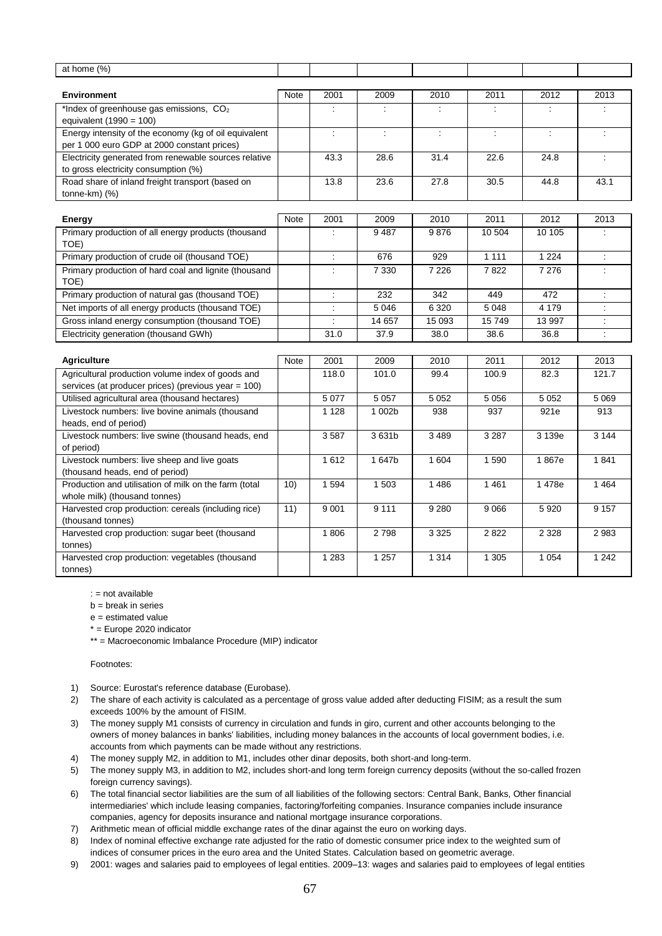| at home (%)                                                                 |                 |                      |                         |         |                      |         |                      |
|-----------------------------------------------------------------------------|-----------------|----------------------|-------------------------|---------|----------------------|---------|----------------------|
|                                                                             |                 |                      |                         |         |                      |         |                      |
| <b>Environment</b>                                                          | <b>Note</b>     | 2001                 | 2009                    | 2010    | 2011                 | 2012    | 2013                 |
| *Index of greenhouse gas emissions, $CO2$                                   |                 |                      |                         |         |                      |         |                      |
| equivalent $(1990 = 100)$                                                   |                 |                      |                         |         |                      |         |                      |
| Energy intensity of the economy (kg of oil equivalent                       |                 | $\ddot{\phantom{a}}$ | $\overline{\mathbb{R}}$ | ÷       | $\ddot{\phantom{a}}$ | ÷       | $\ddot{\phantom{a}}$ |
| per 1 000 euro GDP at 2000 constant prices)                                 |                 |                      |                         |         |                      |         |                      |
| Electricity generated from renewable sources relative                       |                 | 43.3                 | 28.6                    | 31.4    | 22.6                 | 24.8    | $\ddot{\phantom{a}}$ |
| to gross electricity consumption (%)                                        |                 |                      |                         |         |                      |         |                      |
| Road share of inland freight transport (based on                            |                 | 13.8                 | 23.6                    | 27.8    | 30.5                 | 44.8    | 43.1                 |
| tonne-km) (%)                                                               |                 |                      |                         |         |                      |         |                      |
|                                                                             |                 |                      |                         |         |                      |         |                      |
| <b>Energy</b>                                                               | <b>Note</b>     | 2001                 | 2009                    | 2010    | 2011                 | 2012    | 2013                 |
| Primary production of all energy products (thousand                         |                 |                      | 9487                    | 9876    | 10 504               | 10 10 5 |                      |
| TOE)                                                                        |                 |                      |                         |         |                      |         |                      |
| Primary production of crude oil (thousand TOE)                              |                 | ÷                    | 676                     | 929     | 1 1 1 1              | 1 2 2 4 | ÷                    |
| Primary production of hard coal and lignite (thousand                       |                 | $\ddot{\cdot}$       | 7 3 3 0                 | 7 2 2 6 | 7822                 | 7 2 7 6 |                      |
| TOE)                                                                        |                 |                      |                         |         |                      |         |                      |
| Primary production of natural gas (thousand TOE)                            |                 |                      | 232                     | 342     | 449                  | 472     |                      |
| Net imports of all energy products (thousand TOE)                           |                 | $\ddot{\phantom{a}}$ | 5 0 4 6                 | 6 3 2 0 | 5 0 48               | 4 1 7 9 | $\ddot{\cdot}$       |
| Gross inland energy consumption (thousand TOE)                              |                 | $\ddot{\phantom{a}}$ | 14 657                  | 15 093  | 15749                | 13 997  | $\ddot{\phantom{a}}$ |
| Electricity generation (thousand GWh)                                       |                 | 31.0                 | 37.9                    | 38.0    | 38.6                 | 36.8    |                      |
|                                                                             |                 |                      |                         |         |                      |         |                      |
| <b>Agriculture</b>                                                          | <b>Note</b>     | 2001                 | 2009                    | 2010    | 2011                 | 2012    | 2013                 |
| Agricultural production volume index of goods and                           |                 | 118.0                | 101.0                   | 99.4    | 100.9                | 82.3    | 121.7                |
| services (at producer prices) (previous year = 100)                         |                 |                      |                         |         |                      |         |                      |
| Utilised agricultural area (thousand hectares)                              |                 | 5 0 7 7              | 5 0 5 7                 | 5 0 5 2 | 5 0 5 6              | 5 0 5 2 | 5 0 6 9              |
|                                                                             |                 |                      |                         |         |                      |         |                      |
| Livestock numbers: live bovine animals (thousand                            |                 | 1 1 2 8              | 1 002b                  | 938     | 937                  | 921e    | 913                  |
| heads, end of period)<br>Livestock numbers: live swine (thousand heads, end |                 | 3587                 | 3631b                   | 3 4 8 9 | 3 2 8 7              | 3 139e  | 3 1 4 4              |
| of period)                                                                  |                 |                      |                         |         |                      |         |                      |
| Livestock numbers: live sheep and live goats                                |                 | 1612                 | 1647b                   | 1 604   | 1590                 | 1867e   | 1841                 |
| (thousand heads, end of period)                                             |                 |                      |                         |         |                      |         |                      |
|                                                                             | 10)             | 1 5 9 4              | 1 503                   | 1 4 8 6 | 1461                 | 1478e   | 1464                 |
| Production and utilisation of milk on the farm (total                       |                 |                      |                         |         |                      |         |                      |
| whole milk) (thousand tonnes)                                               | $\overline{11}$ | 9 0 0 1              | 9 1 1 1                 | 9 2 8 0 | 9 0 6 6              | 5 9 20  | 9 1 5 7              |
| Harvested crop production: cereals (including rice)<br>(thousand tonnes)    |                 |                      |                         |         |                      |         |                      |
| Harvested crop production: sugar beet (thousand                             |                 | 1806                 | 2798                    | 3 3 2 5 | 2822                 | 2 3 2 8 | 2983                 |
| tonnes)                                                                     |                 |                      |                         |         |                      |         |                      |
| Harvested crop production: vegetables (thousand                             |                 | 1 2 8 3              | 1 2 5 7                 | 1 3 1 4 | 1 3 0 5              | 1 0 5 4 | 1 2 4 2              |
| tonnes)                                                                     |                 |                      |                         |         |                      |         |                      |
|                                                                             |                 |                      |                         |         |                      |         |                      |

: = not available

 $b = b$ reak in series

 $e =$  estimated value

\* = Europe 2020 indicator

\*\* = Macroeconomic Imbalance Procedure (MIP) indicator

#### Footnotes:

- 1) Source: Eurostat's reference database (Eurobase).
- 2) The share of each activity is calculated as a percentage of gross value added after deducting FISIM; as a result the sum exceeds 100% by the amount of FISIM.
- 3) The money supply M1 consists of currency in circulation and funds in giro, current and other accounts belonging to the owners of money balances in banks' liabilities, including money balances in the accounts of local government bodies, i.e. accounts from which payments can be made without any restrictions.
- 4) The money supply M2, in addition to M1, includes other dinar deposits, both short-and long-term.
- 5) The money supply M3, in addition to M2, includes short-and long term foreign currency deposits (without the so-called frozen foreign currency savings).
- 6) The total financial sector liabilities are the sum of all liabilities of the following sectors: Central Bank, Banks, Other financial intermediaries' which include leasing companies, factoring/forfeiting companies. Insurance companies include insurance companies, agency for deposits insurance and national mortgage insurance corporations.
- 7) Arithmetic mean of official middle exchange rates of the dinar against the euro on working days.
- 8) Index of nominal effective exchange rate adjusted for the ratio of domestic consumer price index to the weighted sum of indices of consumer prices in the euro area and the United States. Calculation based on geometric average.
- 9) 2001: wages and salaries paid to employees of legal entities. 2009–13: wages and salaries paid to employees of legal entities